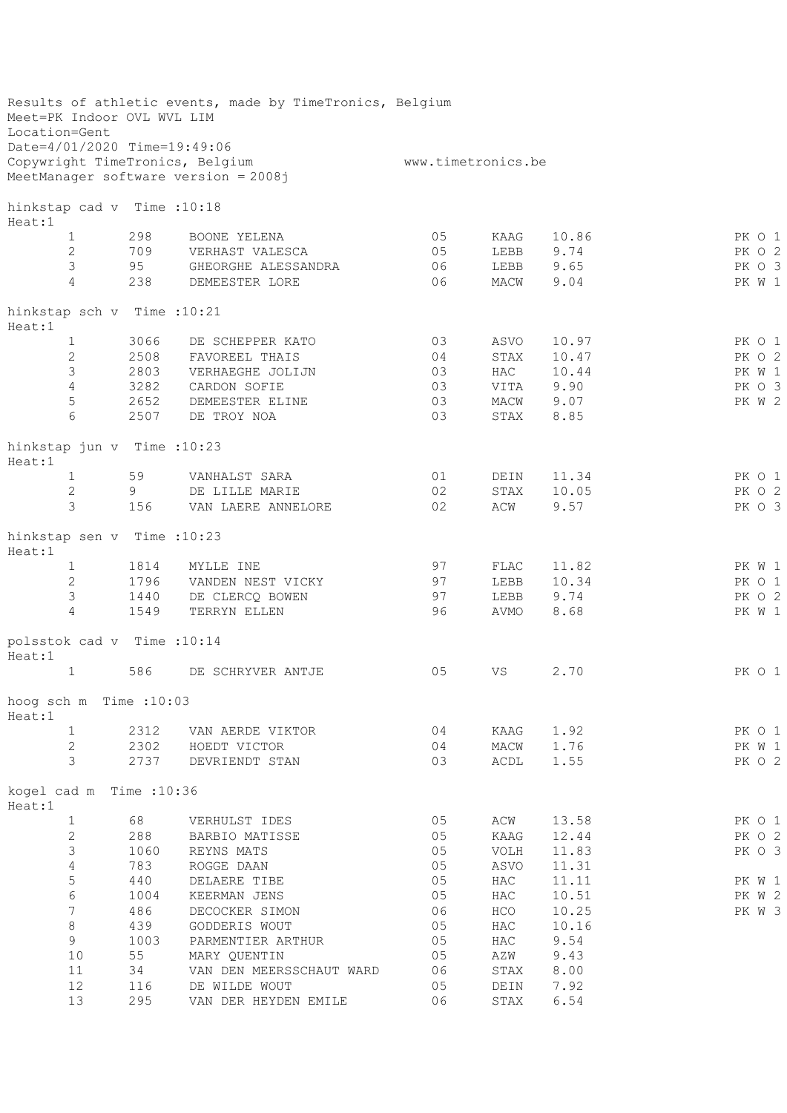| Meet=PK Indoor OVL WVL LIM<br>Location=Gent |      | Results of athletic events, made by TimeTronics, Belgium |                    |      |            |        |
|---------------------------------------------|------|----------------------------------------------------------|--------------------|------|------------|--------|
| Date=4/01/2020 Time=19:49:06                |      |                                                          |                    |      |            |        |
| Copywright TimeTronics, Belgium             |      |                                                          | www.timetronics.be |      |            |        |
|                                             |      | MeetManager software version = 2008j                     |                    |      |            |        |
| hinkstap cad v Time : 10:18<br>Heat:1       |      |                                                          |                    |      |            |        |
| $\mathbf 1$                                 | 298  | BOONE YELENA                                             | 05                 | KAAG | 10.86      | PK 0 1 |
| $\mathbf{2}$                                | 709  | VERHAST VALESCA                                          | 05                 | LEBB | 9.74       | PK O 2 |
| $\mathfrak{Z}$                              | 95   | GHEORGHE ALESSANDRA                                      | 06                 |      | LEBB 9.65  | PK O 3 |
| $\overline{4}$                              | 238  | DEMEESTER LORE                                           | 06                 | MACW | 9.04       | PK W 1 |
| hinkstap sch v Time : 10:21<br>Heat:1       |      |                                                          |                    |      |            |        |
| $\mathbf{1}$                                | 3066 | DE SCHEPPER KATO                                         | 03                 | ASVO | 10.97      | PK O 1 |
| $\mathbf{2}$                                | 2508 | FAVOREEL THAIS                                           | 04                 | STAX | 10.47      | PK O 2 |
| 3                                           | 2803 | VERHAEGHE JOLIJN                                         | 03                 | HAC  | 10.44      | PK W 1 |
| $\overline{4}$                              | 3282 | CARDON SOFIE                                             | 03                 |      | VITA 9.90  | PK O 3 |
| 5                                           | 2652 | DEMEESTER ELINE                                          | 03                 |      | MACW 9.07  | PK W 2 |
| $6\,$                                       | 2507 | DE TROY NOA                                              | 03                 | STAX | 8.85       |        |
| hinkstap jun v Time : 10:23<br>Heat:1       |      |                                                          |                    |      |            |        |
| $\mathbf{1}$                                | 59   | VANHALST SARA                                            | 01                 | DEIN | 11.34      | PK 0 1 |
| 2                                           | 9    | DE LILLE MARIE                                           | 02                 | STAX | 10.05      | PK O 2 |
| 3                                           | 156  | VAN LAERE ANNELORE                                       | 02                 | ACW  | 9.57       | PK O 3 |
| hinkstap sen v Time : 10:23<br>Heat:1       |      |                                                          |                    |      |            |        |
| $\mathbf{1}$                                | 1814 | MYLLE INE                                                | 97                 | FLAC | 11.82      | PK W 1 |
| $\mathbf{2}$                                | 1796 | VANDEN NEST VICKY                                        | 97                 |      | LEBB 10.34 | PK 0 1 |
| 3                                           | 1440 | DE CLERCQ BOWEN                                          | 97                 |      | LEBB 9.74  | PK O 2 |
| 4                                           | 1549 | TERRYN ELLEN                                             | 96                 | AVMO | 8.68       | PK W 1 |
| polsstok cad v Time : 10:14<br>Heat:1       |      |                                                          |                    |      |            |        |
| $\mathbf 1$                                 | 586  | DE SCHRYVER ANTJE                                        | 05                 | VS   | 2.70       | PK 0 1 |
| hoog sch m Time : 10:03<br>Heat:1           |      |                                                          |                    |      |            |        |
| $\mathbf 1$                                 | 2312 | VAN AERDE VIKTOR                                         | 04                 | KAAG | 1.92       | PK O 1 |
| $\mathbf{2}$                                | 2302 | HOEDT VICTOR                                             | 04                 | MACW | 1.76       | PK W 1 |
| 3                                           | 2737 | DEVRIENDT STAN                                           | 03                 | ACDL | 1.55       | PK O 2 |
| kogel cad m Time : 10:36<br>Heat:1          |      |                                                          |                    |      |            |        |
| $\mathbf 1$                                 | 68   | VERHULST IDES                                            | 05                 | ACW  | 13.58      | PK 0 1 |
| $\mathbf{2}$                                | 288  | BARBIO MATISSE                                           | 05                 | KAAG | 12.44      | PK 0 2 |
| 3                                           | 1060 | REYNS MATS                                               | 05                 | VOLH | 11.83      | PK O 3 |
| $\sqrt{4}$                                  | 783  | ROGGE DAAN                                               | 05                 | ASVO | 11.31      |        |
| 5                                           | 440  | DELAERE TIBE                                             | 05                 | HAC  | 11.11      | PK W 1 |
| $\epsilon$                                  | 1004 | KEERMAN JENS                                             | 05                 | HAC  | 10.51      | PK W 2 |
| $\overline{7}$                              | 486  | DECOCKER SIMON                                           | 06                 | HCO  | 10.25      | PK W 3 |
| $\,8\,$                                     | 439  | GODDERIS WOUT                                            | 05                 | HAC  | 10.16      |        |
| 9                                           | 1003 | PARMENTIER ARTHUR                                        | 05                 | HAC  | 9.54       |        |
| 10                                          | 55   | MARY QUENTIN                                             | 05                 | AZW  | 9.43       |        |
| 11                                          | 34   | VAN DEN MEERSSCHAUT WARD                                 | 06                 | STAX | 8.00       |        |
| 12                                          | 116  | DE WILDE WOUT                                            | 05                 | DEIN | 7.92       |        |
| 13                                          | 295  | VAN DER HEYDEN EMILE                                     | 06                 | STAX | 6.54       |        |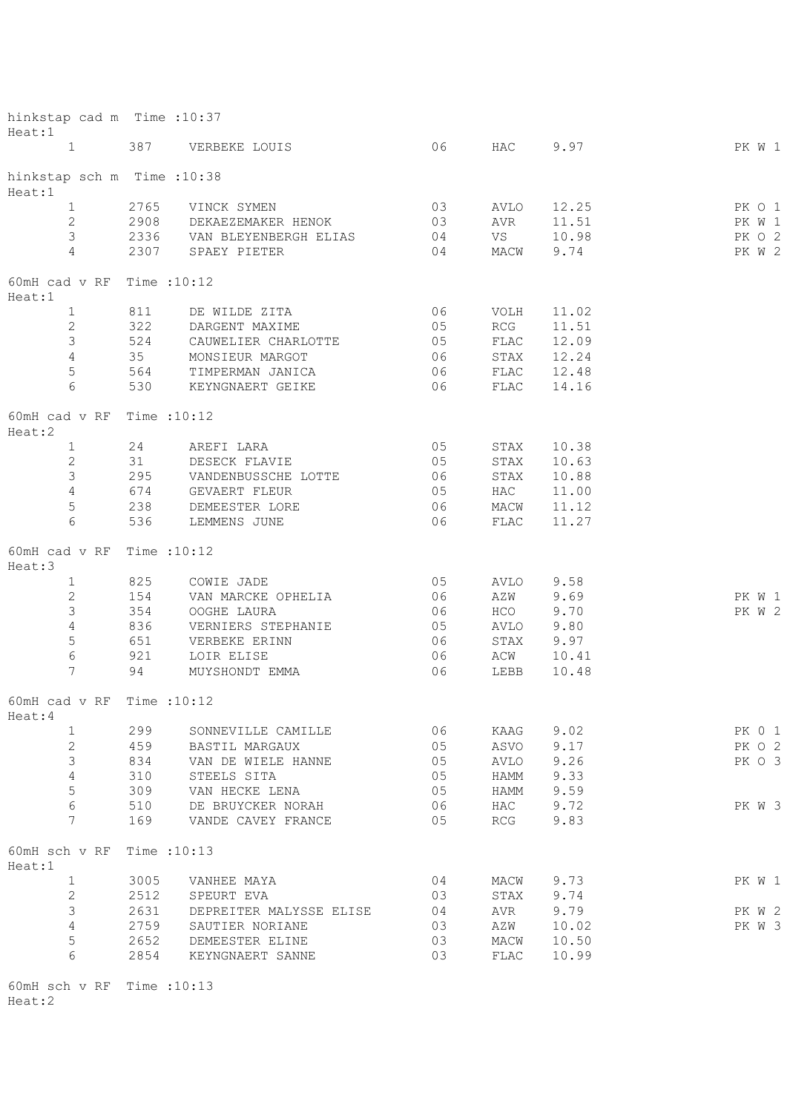| hinkstap cad m Time : 10:37<br>Heat:1  |              |                               |    |              |       |        |  |
|----------------------------------------|--------------|-------------------------------|----|--------------|-------|--------|--|
| $1 \qquad \qquad$                      | 387          | VERBEKE LOUIS                 | 06 | HAC          | 9.97  | PK W 1 |  |
| hinkstap sch m Time : 10:38<br>Heat:1  |              |                               |    |              |       |        |  |
| $1 \qquad \qquad$                      | 2765         | VINCK SYMEN                   | 03 | AVLO         | 12.25 | PK O 1 |  |
| $2^{\circ}$                            | 2908         | DEKAEZEMAKER HENOK            | 03 | AVR          | 11.51 | PK W 1 |  |
| $\mathcal{S}$                          |              | 2336 VAN BLEYENBERGH ELIAS 04 |    | VS           | 10.98 | PK O 2 |  |
| $\overline{4}$                         | 2307         | SPAEY PIETER                  | 04 | MACW         | 9.74  | PK W 2 |  |
| 60mH cad $v$ RF Time : 10:12<br>Heat:1 |              |                               |    |              |       |        |  |
| $\mathbf{1}$                           | 811          | DE WILDE ZITA                 | 06 | VOLH         | 11.02 |        |  |
| $\mathbf{2}$                           | 322          | DARGENT MAXIME                | 05 | RCG          | 11.51 |        |  |
| $\mathcal{S}$                          | 524          | CAUWELIER CHARLOTTE           | 05 | FLAC         | 12.09 |        |  |
| $\overline{4}$                         | 35           | MONSIEUR MARGOT               | 06 | STAX         | 12.24 |        |  |
| 5                                      | 564          | TIMPERMAN JANICA              | 06 | FLAC         | 12.48 |        |  |
| 6                                      | 530          | KEYNGNAERT GEIKE              | 06 | FLAC         | 14.16 |        |  |
| 60mH cad $v$ RF Time : 10:12<br>Heat:2 |              |                               |    |              |       |        |  |
| $\mathbf{1}$                           | 24           | AREFI LARA                    | 05 | STAX         | 10.38 |        |  |
| $\mathbf{2}$                           | 31           | DESECK FLAVIE                 | 05 | STAX         | 10.63 |        |  |
| $\mathfrak{Z}$                         | 295          | VANDENBUSSCHE LOTTE           | 06 | STAX         | 10.88 |        |  |
| $\overline{4}$                         | 674          | GEVAERT FLEUR                 | 05 | HAC          | 11.00 |        |  |
| 5                                      | 238          | DEMEESTER LORE                | 06 | MACW         | 11.12 |        |  |
| 6                                      | 536          | LEMMENS JUNE                  | 06 | ${\tt FLAC}$ | 11.27 |        |  |
|                                        |              |                               |    |              |       |        |  |
| 60mH cad v RF<br>Heat:3                | Time : 10:12 |                               |    |              |       |        |  |
| $\mathbf{1}$                           | 825          | COWIE JADE                    | 05 | AVLO         | 9.58  |        |  |
| $\mathbf{2}$                           | 154          | VAN MARCKE OPHELIA            | 06 | AZW          | 9.69  | PK W 1 |  |
| 3                                      | 354          | OOGHE LAURA                   | 06 | HCO          | 9.70  | PK W 2 |  |
| $\overline{4}$                         | 836          | VERNIERS STEPHANIE            | 05 | AVLO         | 9.80  |        |  |
| 5                                      | 651          | VERBEKE ERINN                 | 06 | STAX         | 9.97  |        |  |
| $\epsilon$                             | 921          | LOIR ELISE                    | 06 | ACW          | 10.41 |        |  |
| 7                                      | 94           | MUYSHONDT EMMA                | 06 | LEBB         | 10.48 |        |  |
| 60mH cad $v$ RF Time : 10:12<br>Heat:4 |              |                               |    |              |       |        |  |
| $\mathbf{1}$                           | 299          | SONNEVILLE CAMILLE            | 06 | KAAG         | 9.02  | PK 0 1 |  |
|                                        |              |                               |    |              | 9.17  |        |  |
| $\mathbf{2}$                           | 459          | BASTIL MARGAUX                | 05 | ASVO         |       | PK O 2 |  |
| 3                                      | 834          | VAN DE WIELE HANNE            | 05 | AVLO         | 9.26  | PK O 3 |  |
| $\overline{4}$                         | 310          | STEELS SITA                   | 05 | HAMM         | 9.33  |        |  |
| 5                                      | 309          | VAN HECKE LENA                | 05 | HAMM         | 9.59  |        |  |
| 6                                      | 510          | DE BRUYCKER NORAH             | 06 | HAC          | 9.72  | PK W 3 |  |
| 7                                      | 169          | VANDE CAVEY FRANCE            | 05 | RCG          | 9.83  |        |  |
| 60mH sch v RF<br>Heat:1                | Time : 10:13 |                               |    |              |       |        |  |
| $\mathbf{1}$                           | 3005         | VANHEE MAYA                   | 04 | MACW         | 9.73  | PK W 1 |  |
| $\mathbf{2}$                           | 2512         | SPEURT EVA                    | 03 | STAX         | 9.74  |        |  |
| $\mathfrak{Z}$                         | 2631         | DEPREITER MALYSSE ELISE       | 04 | AVR          | 9.79  | PK W 2 |  |
| $\overline{4}$                         | 2759         | SAUTIER NORIANE               | 03 | AZW          | 10.02 | PK W 3 |  |
| 5                                      | 2652         | DEMEESTER ELINE               | 03 | MACW         | 10.50 |        |  |
| 6                                      | 2854         | KEYNGNAERT SANNE              | 03 | FLAC         | 10.99 |        |  |
| 60mH sch v RF Time : 10:13             |              |                               |    |              |       |        |  |

Heat:2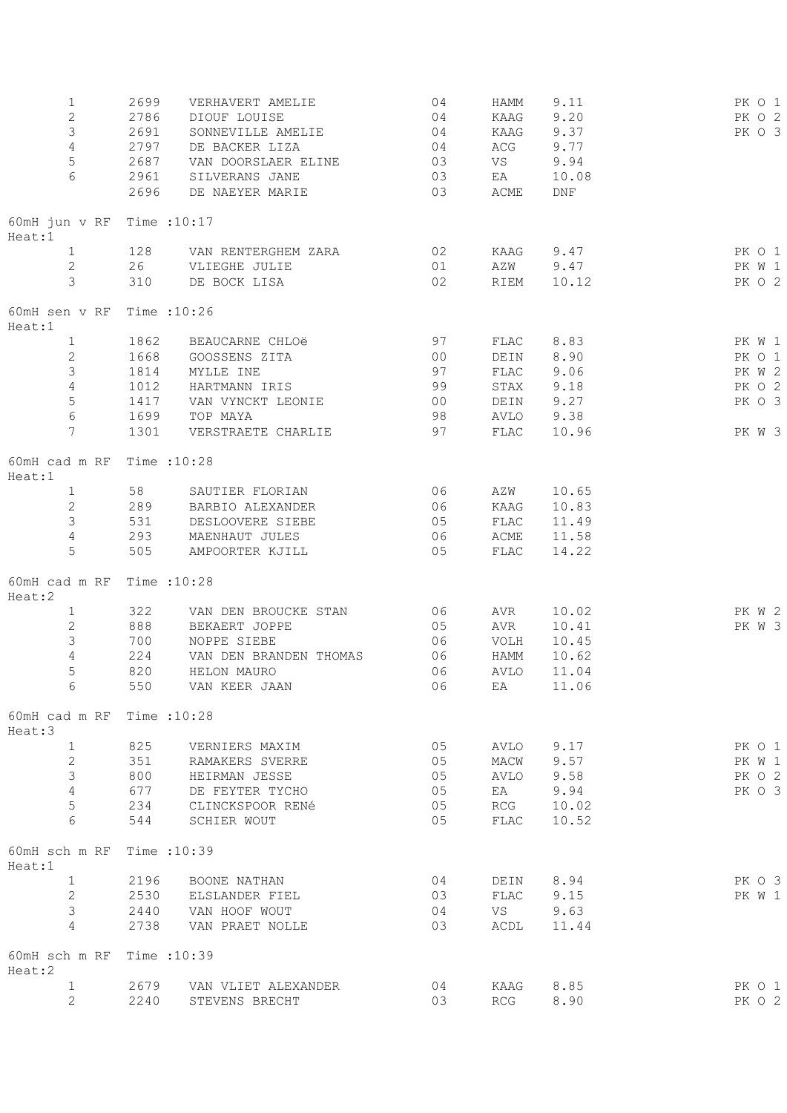| $\mathbf{1}$<br>$\mathbf{2}$<br>3<br>4<br>5<br>6 | 2699<br>2786<br>2691<br>2797<br>2687<br>2961<br>2696 | VERHAVERT AMELIE<br>DIOUF LOUISE<br>SONNEVILLE AMELIE<br>DE BACKER LIZA<br>VAN DOORSLAER ELINE<br>SILVERANS JANE<br>DE NAEYER MARIE | 04<br>04<br>04<br>04<br>03<br>03<br>03 | HAMM<br>KAAG<br>KAAG<br>ACG<br>VS<br>EA<br>ACME | 9.11<br>9.20<br>9.37<br>9.77<br>9.94<br>10.08<br>$\mathop{\rm DNF}$ | PK 0 1<br>PK O 2<br>PK O 3 |
|--------------------------------------------------|------------------------------------------------------|-------------------------------------------------------------------------------------------------------------------------------------|----------------------------------------|-------------------------------------------------|---------------------------------------------------------------------|----------------------------|
| 60mH jun v RF Time : 10:17<br>Heat:1             |                                                      |                                                                                                                                     |                                        |                                                 |                                                                     |                            |
| $\mathbf{1}$<br>$\mathbf{2}$<br>3                | 128<br>26<br>310                                     | VAN RENTERGHEM ZARA<br>VLIEGHE JULIE<br>DE BOCK LISA                                                                                | 02<br>01<br>02                         | KAAG<br>AZW<br>RIEM                             | 9.47<br>9.47<br>10.12                                               | PK 0 1<br>PK W 1<br>PK 0 2 |
| 60mH sen v RF<br>Heat:1                          | Time : 10:26                                         |                                                                                                                                     |                                        |                                                 |                                                                     |                            |
| $\mathbf{1}$                                     | 1862                                                 | BEAUCARNE CHLOë                                                                                                                     | 97                                     | FLAC                                            | 8.83                                                                | PK W 1                     |
| $\overline{2}$                                   | 1668                                                 | GOOSSENS ZITA                                                                                                                       | 00                                     | DEIN                                            | 8.90                                                                | PK 0 1                     |
| 3                                                | 1814                                                 | MYLLE INE                                                                                                                           | 97                                     | FLAC                                            | 9.06                                                                | PK W 2                     |
| 4                                                | 1012                                                 | HARTMANN IRIS                                                                                                                       | 99                                     | STAX                                            | 9.18                                                                | PK 0 2                     |
| 5                                                | 1417                                                 | VAN VYNCKT LEONIE                                                                                                                   | 00                                     | DEIN                                            | 9.27                                                                | PK 0 3                     |
| 6                                                | 1699                                                 | TOP MAYA                                                                                                                            | 98                                     | AVLO 9.38                                       |                                                                     |                            |
| $7\overline{ }$                                  | 1301                                                 | VERSTRAETE CHARLIE                                                                                                                  | 97                                     | FLAC                                            | 10.96                                                               | PK W 3                     |
| 60mH cad m RF<br>Heat:1                          | Time : 10:28                                         |                                                                                                                                     |                                        |                                                 |                                                                     |                            |
| $\mathbf{1}$                                     | 58                                                   | SAUTIER FLORIAN                                                                                                                     | 06                                     | AZW                                             | 10.65                                                               |                            |
| $\mathbf{2}$                                     | 289                                                  | BARBIO ALEXANDER                                                                                                                    | 06                                     | KAAG                                            | 10.83                                                               |                            |
| $\mathcal{S}$                                    | 531                                                  | DESLOOVERE SIEBE                                                                                                                    | 05                                     | FLAC                                            | 11.49                                                               |                            |
| 4                                                | 293                                                  | MAENHAUT JULES                                                                                                                      | 06                                     | ACME                                            | 11.58                                                               |                            |
| 5                                                | 505                                                  | AMPOORTER KJILL                                                                                                                     | 05                                     | FLAC                                            | 14.22                                                               |                            |
| 60mH cad m RF<br>Heat:2                          | Time : 10:28                                         |                                                                                                                                     |                                        |                                                 |                                                                     |                            |
| $\mathbf{1}$                                     | 322                                                  | VAN DEN BROUCKE STAN                                                                                                                | 06                                     | AVR                                             | 10.02                                                               | PK W 2                     |
| $\overline{c}$                                   | 888                                                  | BEKAERT JOPPE                                                                                                                       | 05                                     | AVR                                             | 10.41                                                               | PK W 3                     |
| 3                                                | 700                                                  | NOPPE SIEBE                                                                                                                         | 06                                     | VOLH                                            | 10.45                                                               |                            |
| $\overline{4}$                                   | 224                                                  | VAN DEN BRANDEN THOMAS                                                                                                              | 06                                     | HAMM                                            | 10.62                                                               |                            |
| 5                                                | 820                                                  | HELON MAURO                                                                                                                         | 06                                     | <b>AVLO</b>                                     | 11.04                                                               |                            |
| 6                                                | 550                                                  | VAN KEER JAAN                                                                                                                       | 06                                     | EA                                              | 11.06                                                               |                            |
| 60mH cad m RF<br>Heat:3                          | Time : 10:28                                         |                                                                                                                                     |                                        |                                                 |                                                                     |                            |
| $\mathbf 1$                                      | 825                                                  | VERNIERS MAXIM                                                                                                                      | 05                                     | AVLO                                            | 9.17                                                                | PK 0 1                     |
| $\mathbf{2}$                                     | 351                                                  | RAMAKERS SVERRE                                                                                                                     | 05                                     | MACW                                            | 9.57                                                                | PK W 1                     |
| 3                                                | 800                                                  | HEIRMAN JESSE                                                                                                                       | 05                                     | AVLO                                            | 9.58                                                                | PK O 2                     |
| $\overline{4}$                                   | 677                                                  | DE FEYTER TYCHO                                                                                                                     | 05                                     | EA                                              | 9.94                                                                | PK 0 3                     |
| 5                                                | 234                                                  | CLINCKSPOOR RENé                                                                                                                    | 05                                     | RCG                                             | 10.02                                                               |                            |
| 6                                                | 544                                                  | SCHIER WOUT                                                                                                                         | 05                                     | FLAC                                            | 10.52                                                               |                            |
| 60mH sch m RF<br>Heat:1                          | Time : 10:39                                         |                                                                                                                                     |                                        |                                                 |                                                                     |                            |
| $\mathbf{1}$                                     | 2196                                                 | BOONE NATHAN                                                                                                                        | 04                                     | DEIN                                            | 8.94                                                                | PK O 3                     |
| $\overline{2}$                                   | 2530                                                 | ELSLANDER FIEL                                                                                                                      | 03                                     | FLAC                                            | 9.15                                                                | PK W 1                     |
| 3                                                | 2440                                                 | VAN HOOF WOUT                                                                                                                       | 04                                     | VS                                              | 9.63                                                                |                            |
| 4                                                | 2738                                                 | VAN PRAET NOLLE                                                                                                                     | 03                                     | ACDL                                            | 11.44                                                               |                            |
| 60mH sch m RF<br>Heat:2                          | Time : 10:39                                         |                                                                                                                                     |                                        |                                                 |                                                                     |                            |
| 1                                                | 2679                                                 | VAN VLIET ALEXANDER                                                                                                                 | 04                                     | KAAG                                            | 8.85                                                                | PK 0 1                     |
| 2                                                | 2240                                                 | STEVENS BRECHT                                                                                                                      | 03                                     | RCG                                             | 8.90                                                                | PK O 2                     |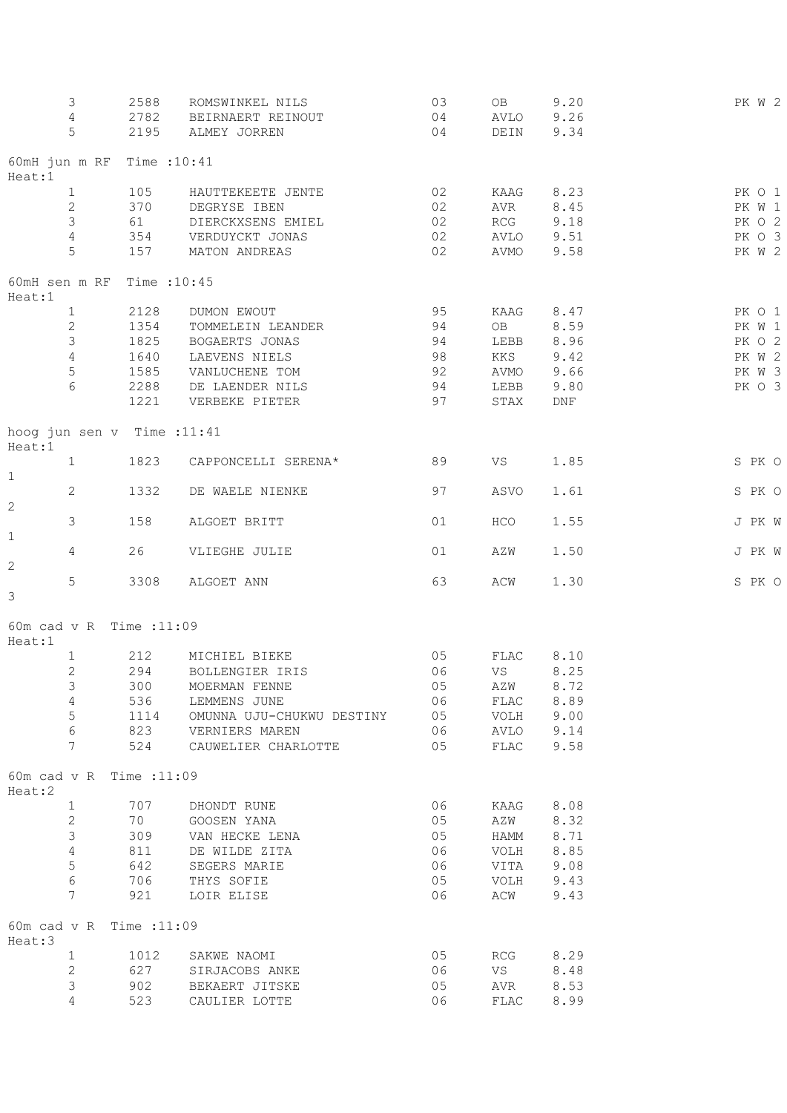|                         | 3<br>4<br>5     | 2588<br>2782<br>2195       | ROMSWINKEL NILS<br>BEIRNAERT REINOUT<br>ALMEY JORREN | 03<br>04<br>04 | OB<br>AVLO<br>DEIN | 9.20<br>9.26<br>9.34 |  | PK W 2 |
|-------------------------|-----------------|----------------------------|------------------------------------------------------|----------------|--------------------|----------------------|--|--------|
|                         |                 | 60mH jun m RF Time : 10:41 |                                                      |                |                    |                      |  |        |
| Heat:1                  |                 |                            |                                                      |                |                    |                      |  |        |
|                         | $\mathbf{1}$    | 105                        | HAUTTEKEETE JENTE                                    | 02             | KAAG               | 8.23                 |  | PK O 1 |
|                         | $\mathbf{2}$    | 370                        | DEGRYSE IBEN                                         | 02             | AVR                | 8.45                 |  | PK W 1 |
|                         | 3               | 61                         | DIERCKXSENS EMIEL                                    | 02             | RCG                | 9.18                 |  | PK O 2 |
|                         | 4               | 354                        | VERDUYCKT JONAS                                      | 02             | AVLO               | 9.51                 |  | PK O 3 |
|                         | 5               | 157                        | MATON ANDREAS                                        | 02             | AVMO               | 9.58                 |  | PK W 2 |
| 60mH sen m RF<br>Heat:1 |                 | Time : 10:45               |                                                      |                |                    |                      |  |        |
|                         | $\mathbf{1}$    | 2128                       | DUMON EWOUT                                          | 95             | KAAG               | 8.47                 |  | PK O 1 |
|                         | $\mathbf{2}$    | 1354                       | TOMMELEIN LEANDER                                    | 94             | OB                 | 8.59                 |  | PK W 1 |
|                         | 3               | 1825                       | BOGAERTS JONAS                                       | 94             | LEBB               | 8.96                 |  | PK O 2 |
|                         | $\overline{4}$  | 1640                       | LAEVENS NIELS                                        | 98             | KKS                | 9.42                 |  | PK W 2 |
|                         | 5               | 1585                       | VANLUCHENE TOM                                       | 92             | AVMO               | 9.66                 |  | PK W 3 |
|                         | 6               | 2288                       | DE LAENDER NILS                                      | 94             | LEBB               | 9.80                 |  | PK O 3 |
|                         |                 | 1221                       | VERBEKE PIETER                                       | 97             | STAX               | $\mathop{\rm DNF}$   |  |        |
| Heat:1                  |                 | hoog jun sen v Time :11:41 |                                                      |                |                    |                      |  |        |
| $\mathbf 1$             | $\mathbf{1}$    | 1823                       | CAPPONCELLI SERENA*                                  | 89             | VS                 | 1.85                 |  | S PK O |
| $\overline{c}$          | $\mathbf{2}$    | 1332                       | DE WAELE NIENKE                                      | 97             | ASVO               | 1.61                 |  | S PK O |
| 1                       | 3               | 158                        | ALGOET BRITT                                         | 01             | HCO                | 1.55                 |  | J PK W |
| $\overline{c}$          | 4               | 26                         | VLIEGHE JULIE                                        | 01             | AZW                | 1.50                 |  | J PK W |
| 3                       | 5               | 3308                       | ALGOET ANN                                           | 63             | ACW                | 1.30                 |  | S PK O |
| Heat:1                  |                 | 60m cad v R Time : 11:09   |                                                      |                |                    |                      |  |        |
|                         | $\mathbf{1}$    | 212                        | MICHIEL BIEKE                                        | 05             | FLAC               | 8.10                 |  |        |
|                         | $\mathbf{2}$    | 294                        | BOLLENGIER IRIS                                      | 06             | VS                 | 8.25                 |  |        |
|                         | 3               | 300                        | MOERMAN FENNE                                        | 05             | AZW                | 8.72                 |  |        |
|                         | $\overline{4}$  | 536                        | LEMMENS JUNE                                         | 06             | FLAC               | 8.89                 |  |        |
|                         | 5               | 1114                       | OMUNNA UJU-CHUKWU DESTINY                            | 05             | VOLH               | 9.00                 |  |        |
|                         | $\epsilon$      | 823                        | VERNIERS MAREN                                       | 06             | AVLO               | 9.14                 |  |        |
|                         | $7\phantom{.0}$ | 524                        | CAUWELIER CHARLOTTE                                  | 05             | ${\tt FLAC}$       | 9.58                 |  |        |
| Heat:2                  |                 | 60m cad v R Time : 11:09   |                                                      |                |                    |                      |  |        |
|                         | $\mathbf{1}$    | 707                        | DHONDT RUNE                                          | 06             | KAAG               | 8.08                 |  |        |
|                         | $\mathbf{2}$    | 70                         | GOOSEN YANA                                          | 05             | AZW                | 8.32                 |  |        |
|                         | 3               | 309                        | VAN HECKE LENA                                       | 05             | HAMM               | 8.71                 |  |        |
|                         | $\sqrt{4}$      | 811                        | DE WILDE ZITA                                        | 06             | VOLH               | 8.85                 |  |        |
|                         | 5               | 642                        | SEGERS MARIE                                         | 06             | VITA               | 9.08                 |  |        |
|                         | 6               | 706                        | THYS SOFIE                                           | 05             | VOLH               | 9.43                 |  |        |
|                         | 7               | 921                        | LOIR ELISE                                           | 06             | ACW                | 9.43                 |  |        |
| Heat:3                  |                 | 60m cad v R Time : 11:09   |                                                      |                |                    |                      |  |        |
|                         | $\mathbf{1}$    | 1012                       | SAKWE NAOMI                                          | 05             | RCG                | 8.29                 |  |        |
|                         | $\mathbf{2}$    | 627                        | SIRJACOBS ANKE                                       | 06             | VS                 | 8.48                 |  |        |
|                         | 3               | 902                        | BEKAERT JITSKE                                       | 05             | AVR                | 8.53                 |  |        |
|                         | 4               | 523                        | CAULIER LOTTE                                        | 06             | FLAC               | 8.99                 |  |        |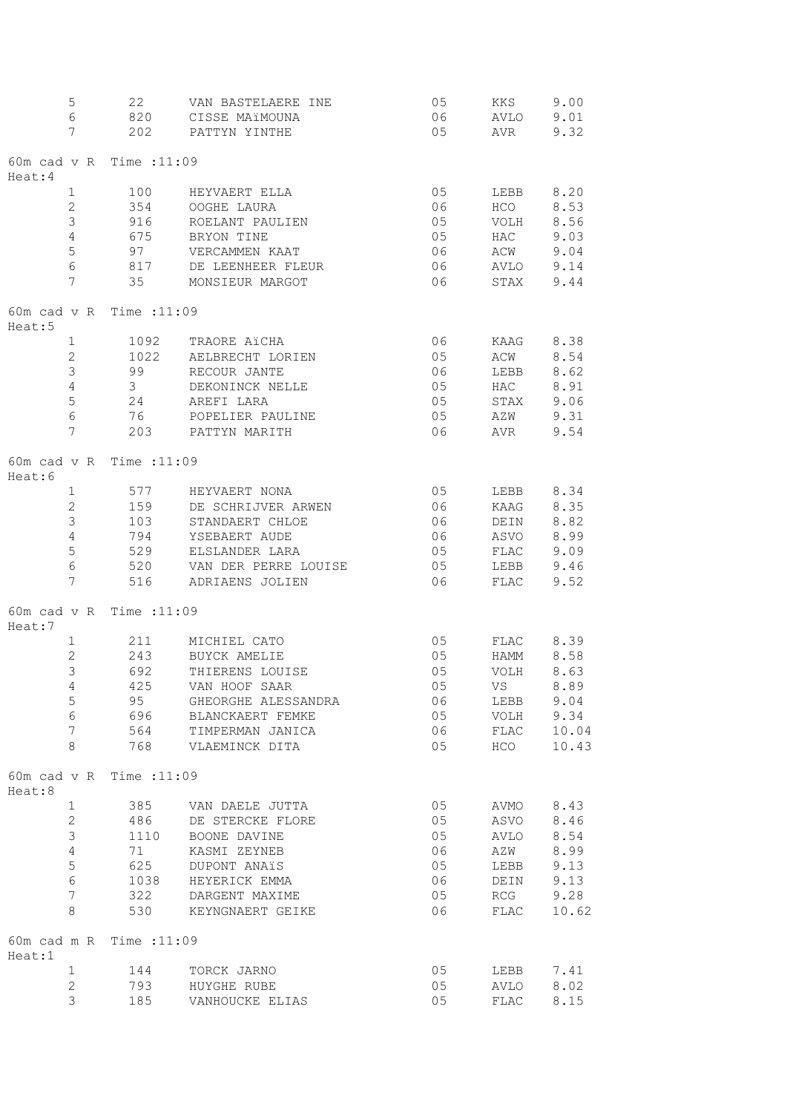|        | $\mathsf S$     | 22                         | VAN BASTELAERE INE   | 05    | KKS                  | 9.00  |
|--------|-----------------|----------------------------|----------------------|-------|----------------------|-------|
|        | $\epsilon$      | 820                        | CISSE MAïMOUNA       | 06    | AVLO                 | 9.01  |
|        | 7               | 202                        | PATTYN YINTHE        | 05    | AVR                  | 9.32  |
|        |                 |                            |                      |       |                      |       |
|        |                 | 60m cad v R Time : 11:09   |                      |       |                      |       |
| Heat:4 |                 |                            |                      |       |                      |       |
|        | $\mathbf 1$     | 100                        | HEYVAERT ELLA        | 05    | LEBB                 | 8.20  |
|        | 2               | 354                        | OOGHE LAURA          | 06    | HCO                  | 8.53  |
|        | 3               | 916                        | ROELANT PAULIEN      | 05    | VOLH                 | 8.56  |
|        | $\sqrt{4}$      | 675                        | BRYON TINE           | 05    | HAC                  | 9.03  |
|        | $\mathsf S$     |                            |                      |       |                      |       |
|        |                 | 97                         | VERCAMMEN KAAT       | 06    | ACW                  | 9.04  |
|        | $\sqrt{6}$      | 817                        | DE LEENHEER FLEUR    | 06    | AVLO                 | 9.14  |
|        | $\overline{7}$  | 35                         | MONSIEUR MARGOT      | 06    | STAX                 | 9.44  |
|        |                 |                            |                      |       |                      |       |
|        |                 | 60m cad v R Time : $11:09$ |                      |       |                      |       |
| Heat:5 |                 |                            |                      |       |                      |       |
|        | $\mathbf 1$     | 1092                       | TRAORE AïCHA         | 06    | KAAG                 | 8.38  |
|        | $\overline{2}$  | 1022                       | AELBRECHT LORIEN     | 05    | ACW                  | 8.54  |
|        | $\mathfrak{Z}$  | 99                         | RECOUR JANTE         | 06    | LEBB                 | 8.62  |
|        | $\sqrt{4}$      | 3 <sup>7</sup>             | DEKONINCK NELLE      | 05    | HAC                  | 8.91  |
|        | $\mathsf S$     | 24                         | AREFI LARA           | 05    | STAX                 | 9.06  |
|        | $\sqrt{6}$      | 76                         | POPELIER PAULINE     | 05    | AZW                  | 9.31  |
|        | 7               | 203                        | PATTYN MARITH        | 06    | AVR                  | 9.54  |
|        |                 |                            |                      |       |                      |       |
|        |                 | 60m cad v R Time : 11:09   |                      |       |                      |       |
| Heat:6 |                 |                            |                      |       |                      |       |
|        | $\mathbf 1$     | 577                        | HEYVAERT NONA        | 05    | LEBB                 | 8.34  |
|        | $\mathbf{2}$    | 159                        | DE SCHRIJVER ARWEN   | 06    | KAAG                 | 8.35  |
|        | $\mathfrak{Z}$  | 103                        | STANDAERT CHLOE      | 06    | DEIN                 | 8.82  |
|        |                 |                            |                      |       |                      |       |
|        | $\sqrt{4}$      | 794                        | YSEBAERT AUDE        | 06    | ASVO<br>${\tt FLAC}$ | 8.99  |
|        | $\mathsf S$     | 529                        | ELSLANDER LARA       | 05    |                      | 9.09  |
|        | 6               | 520                        | VAN DER PERRE LOUISE | 05    | LEBB                 | 9.46  |
|        | $\overline{7}$  | 516                        | ADRIAENS JOLIEN      | 06    | FLAC                 | 9.52  |
|        |                 |                            |                      |       |                      |       |
|        |                 | 60m cad v R Time : 11:09   |                      |       |                      |       |
| Heat:7 |                 |                            |                      |       |                      |       |
|        | $\mathbf{1}$    | 211                        | MICHIEL CATO         | 05    | FLAC                 | 8.39  |
|        | $\mathbf{2}$    | 243                        | BUYCK AMELIE         | 05    | HAMM                 | 8.58  |
|        | 3               | 692                        | THIERENS LOUISE      | 05    | VOLH                 | 8.63  |
|        | $\overline{4}$  |                            | 425 VAN HOOF SAAR    | 05    | <b>VS</b>            | 8.89  |
|        | $\mathsf S$     | 95                         | GHEORGHE ALESSANDRA  | 06    | LEBB                 | 9.04  |
|        | $\sqrt{6}$      |                            | 696 BLANCKAERT FEMKE | 05    | VOLH                 | 9.34  |
|        | $7\phantom{.0}$ |                            | 564 TIMPERMAN JANICA | 06 06 | FLAC                 | 10.04 |
|        | 8               |                            | 768 VLAEMINCK DITA   | 05    | HCO                  | 10.43 |
|        |                 |                            |                      |       |                      |       |
|        |                 | 60m cad v R Time : 11:09   |                      |       |                      |       |
| Heat:8 |                 |                            |                      |       |                      |       |
|        | $\mathbf{1}$    |                            | 385 VAN DAELE JUTTA  | 05    | AVMO 8.43            |       |
|        | $\mathbf{2}$    | 486                        |                      | 05    | ASVO                 | 8.46  |
|        | $\mathfrak{Z}$  |                            | DE STERCKE FLORE     |       |                      |       |
|        |                 | 1110                       | BOONE DAVINE         | 05    | AVLO                 | 8.54  |
|        | $\sqrt{4}$      | 71                         | KASMI ZEYNEB         | 06    | AZW                  | 8.99  |
|        | $\mathsf S$     | 625                        | DUPONT ANAïS         | 05    | LEBB                 | 9.13  |
|        | $\sqrt{6}$      | 1038                       | HEYERICK EMMA        | 06    | DEIN                 | 9.13  |
|        | $\overline{7}$  |                            | 322 DARGENT MAXIME   | 05    | RCG                  | 9.28  |
|        | 8               | 530                        | KEYNGNAERT GEIKE     | 06    | FLAC                 | 10.62 |
|        |                 |                            |                      |       |                      |       |
|        |                 | 60m cad m R Time : 11:09   |                      |       |                      |       |
| Heat:1 |                 |                            |                      |       |                      |       |
|        | $\mathbf{1}$    |                            | 144 TORCK JARNO      | 05    | LEBB 7.41            |       |
|        | 2               |                            | 793 HUYGHE RUBE      | 05    | AVLO                 | 8.02  |
|        | 3               | 185                        | VANHOUCKE ELIAS      | 05    | FLAC                 | 8.15  |
|        |                 |                            |                      |       |                      |       |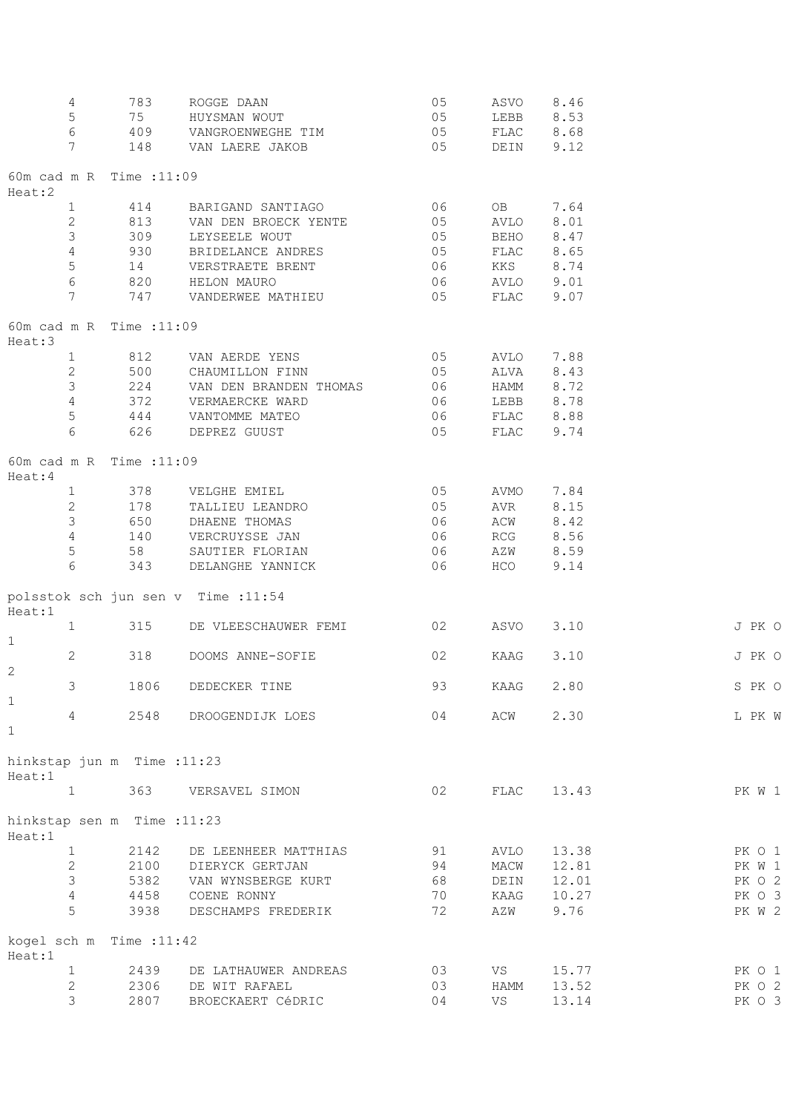|              | 4                 | 783                         | ROGGE DAAN                         | 05             | ASVO      | 8.46       |        |        |
|--------------|-------------------|-----------------------------|------------------------------------|----------------|-----------|------------|--------|--------|
|              | 5                 | 75                          | HUYSMAN WOUT                       | 05             | LEBB 8.53 |            |        |        |
|              | $6\,$             | 409                         | VANGROENWEGHE TIM                  | 05             | FLAC 8.68 |            |        |        |
|              | 7                 | 148                         | VAN LAERE JAKOB                    | 05             | DEIN 9.12 |            |        |        |
| Heat:2       |                   | 60m cad m R Time : 11:09    |                                    |                |           |            |        |        |
|              | $\mathbf{1}$      | 414                         | BARIGAND SANTIAGO                  | 06             | OB        | 7.64       |        |        |
|              | $\mathbf{2}$      | 813                         | VAN DEN BROECK YENTE               | 0 <sub>5</sub> | AVLO      | 8.01       |        |        |
|              | 3                 | 309                         | LEYSEELE WOUT                      | 05             | BEHO      | 8.47       |        |        |
|              |                   |                             |                                    |                |           |            |        |        |
|              | $\overline{4}$    | 930                         | BRIDELANCE ANDRES                  | 05             | FLAC      | 8.65       |        |        |
|              | 5                 | 14                          | VERSTRAETE BRENT                   | 06             | KKS       | 8.74       |        |        |
|              | $\epsilon$        | 820                         | HELON MAURO                        | 06             | AVLO 9.01 |            |        |        |
|              | $\overline{7}$    | 747                         | VANDERWEE MATHIEU                  | 05             | FLAC      | 9.07       |        |        |
| Heat:3       |                   | 60m cad m R Time : 11:09    |                                    |                |           |            |        |        |
|              | $\mathbf{1}$      |                             | 812 VAN AERDE YENS                 | 05             | AVLO 7.88 |            |        |        |
|              | $\overline{2}$    | 500                         | CHAUMILLON FINN                    | 05             | ALVA 8.43 |            |        |        |
|              | $\mathfrak{Z}$    | 224                         | VAN DEN BRANDEN THOMAS 06          |                | HAMM 8.72 |            |        |        |
|              | $\overline{4}$    | 372                         | VERMAERCKE WARD                    | 06             | LEBB 8.78 |            |        |        |
|              | 5                 | 444                         | VANTOMME MATEO                     | 06             | FLAC 8.88 |            |        |        |
|              | 6                 | 626                         | DEPREZ GUUST                       | 05             | FLAC 9.74 |            |        |        |
|              |                   |                             |                                    |                |           |            |        |        |
| Heat:4       |                   | 60m cad m R Time : 11:09    |                                    |                |           |            |        |        |
|              | $1 \qquad \qquad$ |                             | 378 VELGHE EMIEL                   | 05             | AVMO      | 7.84       |        |        |
|              | $\mathbf{2}$      | 178                         | TALLIEU LEANDRO                    | 05             | AVR       | 8.15       |        |        |
|              | $\mathcal{S}$     | 650                         | DHAENE THOMAS                      | 06             | ACW       | 8.42       |        |        |
|              | $\overline{4}$    | 140                         | VERCRUYSSE JAN                     | 06             | RCG       | 8.56       |        |        |
|              | $\mathbf 5$       | 58                          | SAUTIER FLORIAN                    | 06             | AZW       | 8.59       |        |        |
|              | 6                 | 343                         | DELANGHE YANNICK                   | 06             | HCO       | 9.14       |        |        |
|              |                   |                             |                                    |                |           |            |        |        |
| Heat:1       |                   |                             | polsstok sch jun sen v Time :11:54 |                |           |            |        |        |
|              | 1                 | 315                         | DE VLEESCHAUWER FEMI               | 02             | ASVO      | 3.10       |        | J PK O |
| $\mathbf{1}$ |                   |                             |                                    |                |           |            |        |        |
|              | $\mathbf{2}$      | 318                         | DOOMS ANNE-SOFIE                   | 02             | KAAG      | 3.10       |        | J PK O |
| 2            |                   |                             |                                    |                |           |            |        |        |
|              | 3 <sup>7</sup>    | 1806                        | DEDECKER TINE                      | 93             | KAAG 2.80 |            | S PK O |        |
| $\mathbf{1}$ |                   |                             |                                    |                |           |            |        |        |
|              | 4                 | 2548                        | DROOGENDIJK LOES                   | 04             | ACW       | 2.30       |        | L PK W |
| $\mathbf{1}$ |                   |                             |                                    |                |           |            |        |        |
| Heat:1       |                   | hinkstap jun m Time : 11:23 |                                    |                |           |            |        |        |
|              | $\mathbf{1}$      | 363                         | VERSAVEL SIMON                     | 02             |           | FLAC 13.43 |        | PK W 1 |
| Heat:1       |                   | hinkstap sen m Time : 11:23 |                                    |                |           |            |        |        |
|              | 1                 | 2142                        | DE LEENHEER MATTHIAS               | 91             | AVLO      | 13.38      |        | PK 0 1 |
|              |                   |                             |                                    |                |           |            |        |        |
|              | $\mathbf{2}$      |                             | 2100 DIERYCK GERTJAN               | 94             | MACW      | 12.81      |        | PK W 1 |
|              | $\mathcal{S}$     | 5382                        | VAN WYNSBERGE KURT                 | 68             | DEIN      | 12.01      |        | PK O 2 |
|              | $\overline{4}$    | 4458                        | COENE RONNY                        | 70             | KAAG      | 10.27      |        | PK O 3 |
|              | 5                 | 3938                        | DESCHAMPS FREDERIK                 | 72             | AZW       | 9.76       |        | PK W 2 |
| Heat:1       |                   | kogel sch m Time : 11:42    |                                    |                |           |            |        |        |
|              | $\mathbf{1}$      | 2439                        | DE LATHAUWER ANDREAS               | 03             | VS        | 15.77      |        | PK O 1 |
|              | $\mathbf{2}$      | 2306                        | DE WIT RAFAEL                      | 03             |           | 13.52      |        | PK O 2 |
|              | 3                 |                             |                                    |                | HAMM      |            |        |        |
|              |                   | 2807                        | BROECKAERT CéDRIC                  | 04             | VS        | 13.14      |        | PK O 3 |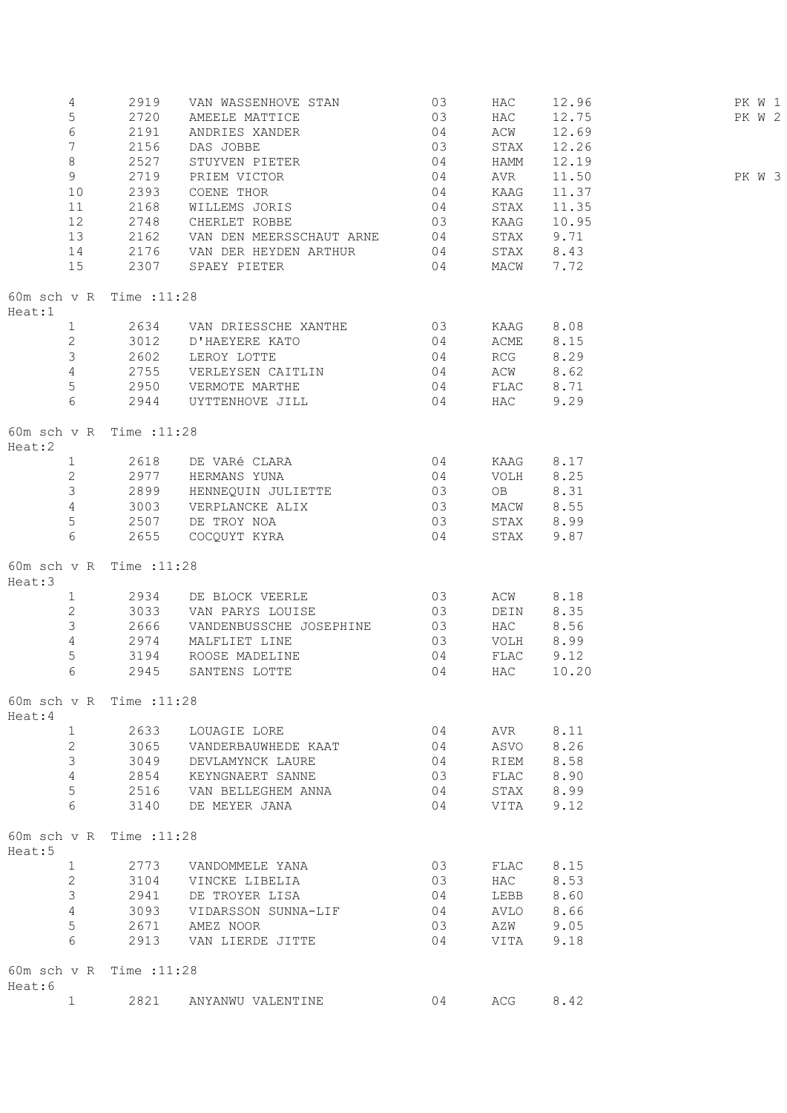|        | 4<br>5<br>$6\phantom{.}6$<br>$7\overline{ }$ | 2919<br>2720<br>2191<br>2156     | VAN WASSENHOVE STAN 03<br>$\sim$ 03<br>AMEELE MATTICE<br>$\begin{array}{c} 04 \\ 03 \\ 04 \end{array}$<br>ANDRIES XANDER<br>DAS JOBBE |                | HAC<br>HAC<br>ACW<br>STAX | 12.96<br>12.75<br>12.69<br>12.26 | PK W 1<br>PK W 2 |  |
|--------|----------------------------------------------|----------------------------------|---------------------------------------------------------------------------------------------------------------------------------------|----------------|---------------------------|----------------------------------|------------------|--|
|        | $8\,$                                        | 2527                             | STUYVEN PIETER                                                                                                                        | 04             | HAMM                      | 12.19                            |                  |  |
|        | 9                                            | 2719                             | 04<br>PRIEM VICTOR                                                                                                                    |                | AVR                       | 11.50                            | PK W 3           |  |
|        | 10                                           | 2393                             | COENE THOR                                                                                                                            | 04             | KAAG                      | 11.37                            |                  |  |
|        | 11                                           | 2168                             | WILLEMS JORIS 04                                                                                                                      |                | STAX                      | 11.35                            |                  |  |
|        | 12                                           | 2748                             | CHERLET ROBBE 03                                                                                                                      |                | KAAG                      | 10.95                            |                  |  |
|        | 13                                           | 2162                             | VAN DEN MEERSSCHAUT ARNE 04                                                                                                           |                | STAX                      | 9.71                             |                  |  |
|        | 14                                           | 2176                             | VAN DER HEYDEN ARTHUR 04                                                                                                              |                | STAX 8.43                 |                                  |                  |  |
|        | 15                                           | 2307                             | SPAEY PIETER                                                                                                                          | 04             | MACW                      | 7.72                             |                  |  |
| Heat:1 |                                              | 60m sch v R Time : 11:28         |                                                                                                                                       |                |                           |                                  |                  |  |
|        | 1                                            |                                  | 2634 VAN DRIESSCHE XANTHE 03                                                                                                          |                | KAAG 8.08                 |                                  |                  |  |
|        | $2^{\circ}$                                  | 3012                             | D'HAEYERE KATO 04                                                                                                                     |                | ACME 8.15                 |                                  |                  |  |
|        | $3 \left( \frac{1}{2} \right)$               | 2602                             | LEROY LOTTE                                                                                                                           | $\sim$ 04      | RCG 8.29                  |                                  |                  |  |
|        | $4\overline{ }$                              |                                  | 2755 VERLEYSEN CAITLIN 04                                                                                                             |                | ACW 8.62                  |                                  |                  |  |
|        | 5                                            |                                  |                                                                                                                                       |                |                           |                                  |                  |  |
|        |                                              |                                  | 2950 VERMOTE MARTHE 04                                                                                                                |                | FLAC 8.71                 |                                  |                  |  |
|        | 6                                            |                                  | 2944 UYTTENHOVE JILL 04                                                                                                               |                | HAC                       | 9.29                             |                  |  |
| Heat:2 |                                              | 60m sch v R Time : 11:28         |                                                                                                                                       |                |                           |                                  |                  |  |
|        | $1 \quad$                                    | 2618                             | DE VARÉ CLARA 04                                                                                                                      |                | KAAG                      | 8.17                             |                  |  |
|        | $2^{\circ}$                                  |                                  | 2977 HERMANS YUNA                                                                                                                     | $\sim$ 04      | VOLH 8.25                 |                                  |                  |  |
|        | $3 \left( \frac{1}{2} \right)$               | 2899                             | HENNEQUIN JULIETTE 03                                                                                                                 |                | OB 8.31                   |                                  |                  |  |
|        | $4\overline{ }$                              | 3003                             | VERPLANCKE ALIX 03                                                                                                                    |                | MACW 8.55                 |                                  |                  |  |
|        | 5 <sup>1</sup>                               |                                  | 2507 DE TROY NOA                                                                                                                      | 03             | STAX 8.99                 |                                  |                  |  |
|        | 6                                            | 2655                             | COCQUYT KYRA                                                                                                                          | 0 <sub>4</sub> | STAX                      | 9.87                             |                  |  |
|        |                                              |                                  |                                                                                                                                       |                |                           |                                  |                  |  |
| Heat:3 |                                              | 60m sch v R Time : 11:28         |                                                                                                                                       |                |                           |                                  |                  |  |
|        | 1                                            |                                  | 2934 DE BLOCK VEERLE 63                                                                                                               |                | ACW                       | 8.18                             |                  |  |
|        | $\overline{2}$                               |                                  | 3033 VAN PARYS LOUISE 03                                                                                                              |                | DEIN                      | 8.35                             |                  |  |
|        | $\mathfrak{Z}$                               | 2666                             | VANDENBUSSCHE JOSEPHINE 03                                                                                                            |                | <b>HAC</b>                | 8.56                             |                  |  |
|        | $\overline{4}$                               | 2974                             | MALFLIET LINE                                                                                                                         | 03             | VOLH                      | 8.99                             |                  |  |
|        | 5                                            | 3194                             |                                                                                                                                       | 04             |                           |                                  |                  |  |
| 6      |                                              | 2945                             | ROOSE MADELINE<br>SANTENS LOTTE                                                                                                       | 04             | FLAC<br><b>HAC</b>        | 9.12<br>10.20                    |                  |  |
| Heat:4 |                                              | 60m sch v R Time : 11:28         |                                                                                                                                       |                |                           |                                  |                  |  |
|        |                                              |                                  |                                                                                                                                       |                |                           |                                  |                  |  |
|        | $\mathbf{1}$                                 | 2633                             | LOUAGIE LORE                                                                                                                          | 04             | AVR                       | 8.11                             |                  |  |
|        | $\mathbf{2}$                                 | 3065                             | VANDERBAUWHEDE KAAT                                                                                                                   | 04             | ASVO                      | 8.26                             |                  |  |
|        | 3                                            | 3049                             | DEVLAMYNCK LAURE                                                                                                                      | 04             | RIEM                      | 8.58                             |                  |  |
|        | $\overline{4}$                               | 2854                             | KEYNGNAERT SANNE                                                                                                                      | 03             | FLAC                      | 8.90                             |                  |  |
|        | 5                                            | 2516                             | VAN BELLEGHEM ANNA                                                                                                                    | 04             | STAX                      | 8.99                             |                  |  |
| 6      |                                              | 3140<br>60m sch v R Time : 11:28 | DE MEYER JANA                                                                                                                         | 04             | VITA                      | 9.12                             |                  |  |
| Heat:5 |                                              |                                  |                                                                                                                                       |                |                           |                                  |                  |  |
|        | 1                                            | 2773                             | VANDOMMELE YANA                                                                                                                       | 03             | FLAC                      | 8.15                             |                  |  |
|        | $\mathbf{2}$                                 | 3104                             | VINCKE LIBELIA                                                                                                                        | 03             | HAC                       | 8.53                             |                  |  |
|        | 3                                            | 2941                             | DE TROYER LISA                                                                                                                        | 04             | LEBB                      | 8.60                             |                  |  |
|        | $\overline{4}$                               | 3093                             | VIDARSSON SUNNA-LIF                                                                                                                   | 04             | AVLO                      | 8.66                             |                  |  |
|        | 5                                            | 2671                             | AMEZ NOOR                                                                                                                             | 03             | AZW                       | 9.05                             |                  |  |
| 6      |                                              | 2913                             | VAN LIERDE JITTE                                                                                                                      | 04             | VITA                      | 9.18                             |                  |  |
| Heat:6 |                                              | 60m sch v R Time : 11:28         |                                                                                                                                       |                |                           |                                  |                  |  |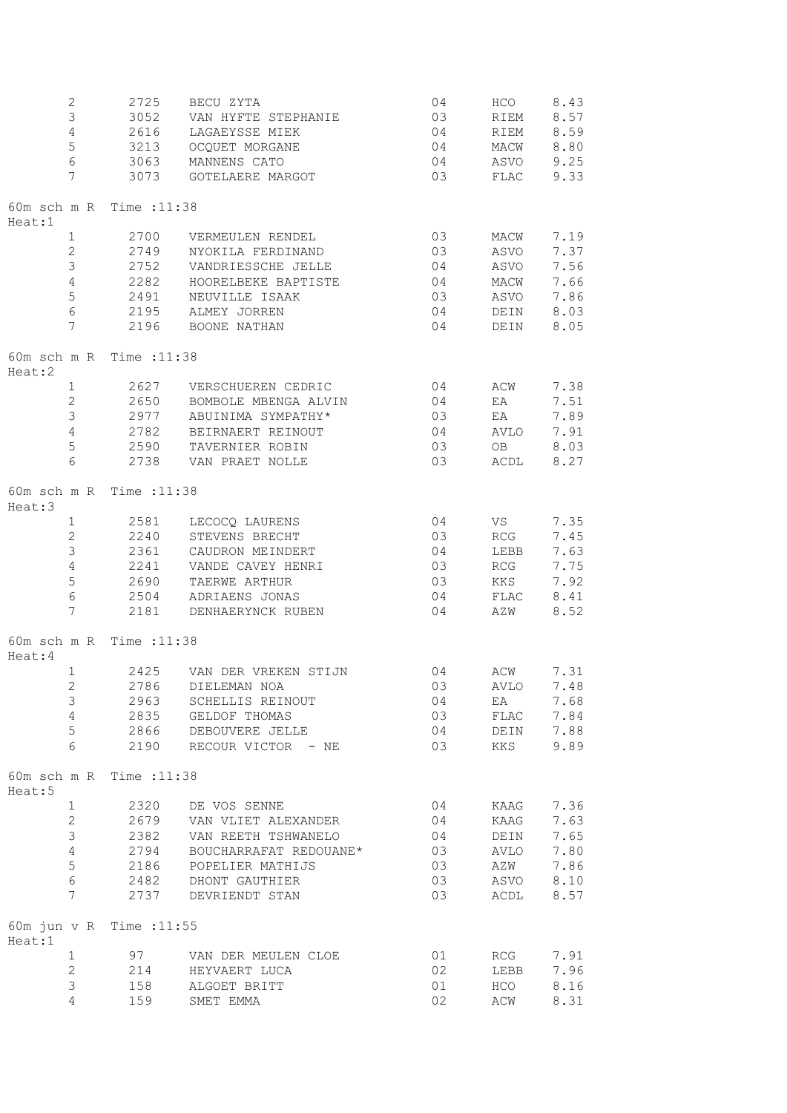| $\mathbf{2}$                        | 2725 | BECU ZYTA                | 04 | HCO  | 8.43 |
|-------------------------------------|------|--------------------------|----|------|------|
| 3                                   | 3052 | VAN HYFTE STEPHANIE      | 03 | RIEM | 8.57 |
| $\overline{4}$                      | 2616 | LAGAEYSSE MIEK           | 04 | RIEM | 8.59 |
| 5                                   | 3213 | OCQUET MORGANE           | 04 | MACW | 8.80 |
| 6                                   | 3063 |                          |    |      |      |
|                                     |      | MANNENS CATO             | 04 | ASVO | 9.25 |
| 7                                   | 3073 | GOTELAERE MARGOT         | 03 | FLAC | 9.33 |
| 60m sch m R Time : 11:38<br>Heat:1  |      |                          |    |      |      |
| $\mathbf{1}$                        | 2700 | VERMEULEN RENDEL         | 03 | MACW | 7.19 |
| $\overline{2}$                      | 2749 | NYOKILA FERDINAND        | 03 | ASVO | 7.37 |
| $\mathfrak{Z}$                      | 2752 | VANDRIESSCHE JELLE       | 04 | ASVO | 7.56 |
| $\overline{4}$                      | 2282 | HOORELBEKE BAPTISTE      | 04 | MACW | 7.66 |
|                                     |      |                          |    |      |      |
| $\mathsf S$                         | 2491 | NEUVILLE ISAAK           | 03 | ASVO | 7.86 |
| $6\,$                               |      | 2195 ALMEY JORREN        | 04 | DEIN | 8.03 |
| 7                                   |      | 2196 BOONE NATHAN        | 04 | DEIN | 8.05 |
| 60m sch m R Time : 11:38<br>Heat:2  |      |                          |    |      |      |
| $\mathbf{1}$                        |      | 2627 VERSCHUEREN CEDRIC  | 04 | ACW  | 7.38 |
| $\overline{2}$                      | 2650 | BOMBOLE MBENGA ALVIN     | 04 | EA   | 7.51 |
| $\mathfrak{Z}$                      | 2977 | ABUINIMA SYMPATHY*       | 03 | EA   | 7.89 |
|                                     |      |                          |    |      |      |
| $\overline{4}$                      | 2782 | BEIRNAERT REINOUT        | 04 | AVLO | 7.91 |
| 5                                   | 2590 | TAVERNIER ROBIN          | 03 | OB   | 8.03 |
| $6\phantom{a}$                      |      | 2738 VAN PRAET NOLLE     | 03 | ACDL | 8.27 |
| 60m sch m R Time : 11:38<br>Heat:3  |      |                          |    |      |      |
| $\mathbf{1}$                        | 2581 | LECOCO LAURENS           | 04 | VS   | 7.35 |
| $\overline{2}$                      | 2240 | STEVENS BRECHT           | 03 | RCG  | 7.45 |
| $\mathfrak{Z}$                      | 2361 | CAUDRON MEINDERT         | 04 | LEBB | 7.63 |
|                                     |      |                          |    |      |      |
| $\overline{4}$                      | 2241 | VANDE CAVEY HENRI        | 03 | RCG  | 7.75 |
| 5                                   | 2690 | TAERWE ARTHUR            | 03 | KKS  | 7.92 |
| $\epsilon$                          | 2504 | ADRIAENS JONAS           | 04 | FLAC | 8.41 |
| 7                                   | 2181 | DENHAERYNCK RUBEN        | 04 | AZW  | 8.52 |
| 60m sch m R Time : 11:38<br>Heat: 4 |      |                          |    |      |      |
| $\mathbf{1}$                        | 2425 | VAN DER VREKEN STIJN     | 04 | ACW  | 7.31 |
| $\overline{c}$                      |      | 2786 DIELEMAN NOA        | 03 | AVLO | 7.48 |
|                                     | 2963 | SCHELLIS REINOUT         |    |      | 7.68 |
| 3                                   |      |                          | 04 | EA   |      |
| $\overline{4}$                      |      | 2835 GELDOF THOMAS       | 03 | FLAC | 7.84 |
| 5                                   |      | 2866 DEBOUVERE JELLE     | 04 | DEIN | 7.88 |
| 6                                   |      | 2190 RECOUR VICTOR - NE  | 03 | KKS  | 9.89 |
| 60m sch m R Time : 11:38<br>Heat:5  |      |                          |    |      |      |
| $\mathbf{1}$                        | 2320 | DE VOS SENNE             | 04 | KAAG | 7.36 |
| $\mathbf{2}^{\prime}$               |      | 2679 VAN VLIET ALEXANDER | 04 | KAAG | 7.63 |
| 3                                   | 2382 | VAN REETH TSHWANELO      | 04 | DEIN | 7.65 |
|                                     |      |                          |    |      |      |
| $\overline{4}$                      | 2794 | BOUCHARRAFAT REDOUANE*   | 03 | AVLO | 7.80 |
| 5                                   | 2186 | POPELIER MATHIJS         | 03 | AZW  | 7.86 |
| $6\phantom{.}6$                     | 2482 | DHONT GAUTHIER           | 03 | ASVO | 8.10 |
| 7                                   | 2737 | DEVRIENDT STAN           | 03 | ACDL | 8.57 |
| 60m jun v R Time : 11:55<br>Heat:1  |      |                          |    |      |      |
| $\mathbf{1}$                        |      | 97 VAN DER MEULEN CLOE   | 01 | RCG  | 7.91 |
| $\mathbf{2}$                        |      | 214 HEYVAERT LUCA        | 02 | LEBB | 7.96 |
| 3                                   | 158  | ALGOET BRITT             | 01 | HCO  | 8.16 |
| 4                                   | 159  | SMET EMMA                | 02 | ACW  | 8.31 |
|                                     |      |                          |    |      |      |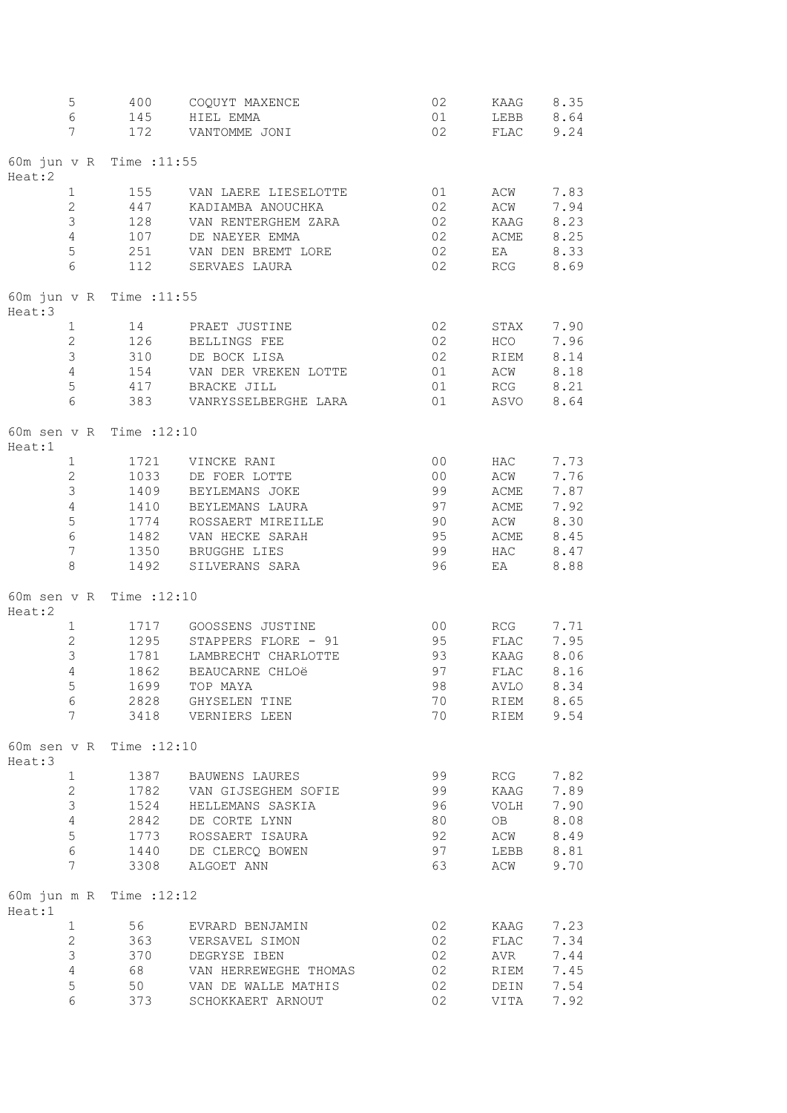| 5<br>$\epsilon$                    | 400<br>145   | COQUYT MAXENCE<br>HIEL EMMA                 | 02<br>01             | KAAG<br>LEBB      | 8.35<br>8.64 |
|------------------------------------|--------------|---------------------------------------------|----------------------|-------------------|--------------|
| 7                                  | 172          | VANTOMME JONI                               | 02                   | FLAC              | 9.24         |
| 60m jun v R Time : 11:55<br>Heat:2 |              |                                             |                      |                   |              |
| $\mathbf 1$<br>$\overline{2}$      | 155<br>447   | VAN LAERE LIESELOTTE<br>KADIAMBA ANOUCHKA   | 01<br>02             | ACW<br>ACW        | 7.83<br>7.94 |
| 3                                  | 128          | VAN RENTERGHEM ZARA                         | 02                   | KAAG              | 8.23         |
| $\overline{4}$                     | 107          | DE NAEYER EMMA                              | 02                   | ACME              | 8.25         |
| 5<br>$6\phantom{a}$                | 251<br>112   | VAN DEN BREMT LORE<br>SERVAES LAURA         | 02<br>02             | EA<br>RCG         | 8.33<br>8.69 |
| 60m jun v R Time : 11:55<br>Heat:3 |              |                                             |                      |                   |              |
| $\mathbf 1$                        | 14           | PRAET JUSTINE                               | 02                   | STAX              | 7.90         |
| $\mathbf{2}$                       | 126          | BELLINGS FEE                                | 02                   | HCO               | 7.96         |
| 3<br>$\overline{4}$                | 310          | DE BOCK LISA                                | 02                   | RIEM              | 8.14         |
| 5                                  | 154<br>417   | VAN DER VREKEN LOTTE<br>BRACKE JILL         | 01<br>01             | ACW<br>RCG        | 8.18<br>8.21 |
| $6\,$                              | 383          | VANRYSSELBERGHE LARA                        | 01                   | ASVO              | 8.64         |
| 60m sen v R Time : 12:10<br>Heat:1 |              |                                             |                      |                   |              |
| $\mathbf{1}$                       | 1721         | VINCKE RANI                                 | 0 <sub>0</sub>       | HAC               | 7.73         |
| $\mathbf{2}$<br>3                  | 1033<br>1409 | DE FOER LOTTE<br>BEYLEMANS JOKE             | 0 <sub>0</sub><br>99 | ACW<br>ACME       | 7.76<br>7.87 |
| $\overline{4}$                     | 1410         | BEYLEMANS LAURA                             | 97                   | ACME              | 7.92         |
| 5                                  | 1774         | ROSSAERT MIREILLE                           | 90                   | ACW               | 8.30         |
| $\epsilon$                         | 1482         | VAN HECKE SARAH                             | 95                   | ACME              | 8.45         |
| $\overline{7}$<br>$\,8\,$          | 1350<br>1492 | BRUGGHE LIES<br>SILVERANS SARA              | 99<br>96             | HAC<br>ΕA         | 8.47<br>8.88 |
| 60m sen v R Time : 12:10<br>Heat:2 |              |                                             |                      |                   |              |
| 1                                  | 1717         | GOOSSENS JUSTINE                            | 0 <sup>0</sup>       | RCG               | 7.71         |
| $\overline{2}$                     | 1295         | STAPPERS FLORE - 91                         | 95                   | FLAC              | 7.95         |
| 3                                  | 1781         | LAMBRECHT CHARLOTTE                         | 93                   | KAAG              | 8.06         |
| $\overline{4}$<br>5                | 1862         | BEAUCARNE CHLOë<br>1699 TOP MAYA            | 97<br>98             | FLAC              | 8.16         |
| 6                                  |              | 2828 GHYSELEN TINE                          | 70                   | AVLO<br>RIEM 8.65 | 8.34         |
| $7\overline{ }$                    |              | 3418 VERNIERS LEEN                          | 70                   | RIEM              | 9.54         |
| 60m sen v R Time : 12:10<br>Heat:3 |              |                                             |                      |                   |              |
| $\mathbf{1}$                       |              | 1387 BAUWENS LAURES                         | 99                   | RCG               | 7.82         |
| $\overline{2}$<br>3                |              | 1782 VAN GIJSEGHEM SOFIE                    | 99<br>96             | KAAG<br>VOLH      | 7.89<br>7.90 |
| $\overline{4}$                     |              | 1524 HELLEMANS SASKIA<br>2842 DE CORTE LYNN | 80                   | <b>OB</b>         | 8.08         |
| 5                                  |              | 1773 ROSSAERT ISAURA                        | 92                   | ACW               | 8.49         |
| 6                                  |              | 1440 DE CLERCQ BOWEN                        | 97                   | LEBB              | 8.81         |
| $7\overline{ }$                    |              | 3308 ALGOET ANN                             | 63                   | ACW               | 9.70         |
| 60m jun m R Time : 12:12<br>Heat:1 |              |                                             |                      |                   |              |
| $\mathbf{1}$<br>$\overline{2}$     | 56           | EVRARD BENJAMIN                             | 02                   | <b>KAAG</b>       | 7.23<br>7.34 |
| $\mathfrak{Z}$                     | 363<br>370   | VERSAVEL SIMON<br>DEGRYSE IBEN              | 02<br>02             | FLAC<br>AVR       | 7.44         |
| $\overline{4}$                     |              | 68 VAN HERREWEGHE THOMAS                    | 02                   | RIEM              | 7.45         |
| 5                                  |              | 50 VAN DE WALLE MATHIS                      | 02                   | DEIN              | 7.54         |
| 6                                  | 373          | SCHOKKAERT ARNOUT                           | 02                   | VITA              | 7.92         |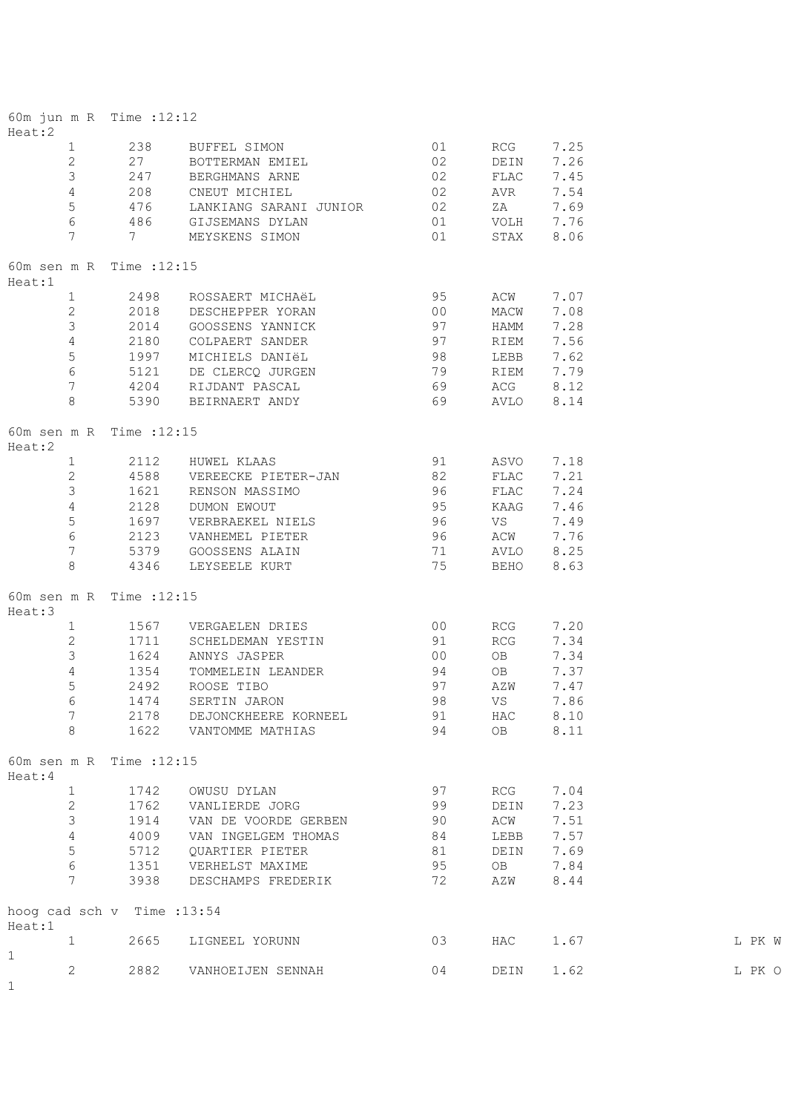| Heat:2                      |                   | 60m jun m R Time : 12:12    |                                                                                       |                 |             |      |        |
|-----------------------------|-------------------|-----------------------------|---------------------------------------------------------------------------------------|-----------------|-------------|------|--------|
| $\mathbf{1}$                |                   | 238                         | BUFFEL SIMON 01                                                                       |                 | RCG         | 7.25 |        |
| $\overline{2}$              |                   | 27                          | BOTTERMAN EMIEL 02                                                                    |                 | DEIN        | 7.26 |        |
| $\mathcal{S}$               |                   | 247                         | BERGHMANS ARNE                                                                        | 02              | FLAC        | 7.45 |        |
| $\overline{4}$              |                   | 208                         | CNEUT MICHIEL                                                                         | 02              | AVR         | 7.54 |        |
|                             | 5                 |                             | LANKIANG SARANI JUNIOR 02                                                             |                 | ZA          | 7.69 |        |
|                             | 6                 |                             |                                                                                       | 01              | VOLH 7.76   |      |        |
| $7\overline{ }$             |                   |                             | 476     LANKIANG SARANI JU<br>486       GIJSEMANS DYLAN<br>7           MEYSKENS SIMON | 01              | STAX 8.06   |      |        |
| Heat:1                      |                   | 60m sen m R Time : 12:15    |                                                                                       |                 |             |      |        |
|                             |                   | 1 2498                      | ROSSAERT MICHAëL 65                                                                   |                 | ACW         | 7.07 |        |
|                             |                   |                             | 2 2018 DESCHEPPER YORAN                                                               | 00              | MACW        | 7.08 |        |
| $\mathcal{S}$               |                   | 2014                        | GOOSSENS YANNICK                                                                      | 97              | HAMM        | 7.28 |        |
|                             | $4\overline{ }$   | 2180                        | COLPAERT SANDER 97                                                                    |                 | RIEM        | 7.56 |        |
|                             | 5 <sup>5</sup>    | 1997                        |                                                                                       |                 | LEBB        | 7.62 |        |
| $6\overline{6}$             |                   | 5121                        | MICHIELS DANIËL 98<br>DE CLERCQ JURGEN 79<br>RIJDANT PASCAL 69                        |                 | RIEM 7.79   |      |        |
| $7\phantom{.0}$             |                   | 4204                        |                                                                                       |                 | ACG 8.12    |      |        |
| 8                           |                   |                             | 5390 BEIRNAERT ANDY                                                                   | $\frac{65}{69}$ | AVLO 8.14   |      |        |
|                             |                   |                             |                                                                                       |                 |             |      |        |
| Heat:2                      |                   | 60m sen m R Time : 12:15    |                                                                                       |                 |             |      |        |
|                             | $1 \qquad \qquad$ |                             | 2112 HUWEL KLAAS                                                                      | 91 ASVO 7.18    |             |      |        |
|                             | $2^{\circ}$       |                             | 4588 VEREECKE PIETER-JAN 82                                                           |                 | FLAC 7.21   |      |        |
|                             | $\mathcal{S}$     | 1621                        | RENSON MASSIMO                                                                        | $\frac{96}{17}$ | FLAC        | 7.24 |        |
| $\overline{4}$              |                   | 2128                        | DUMON EWOUT                                                                           | 95              | KAAG        | 7.46 |        |
| $\mathbf 5$                 |                   |                             | 1697 VERBRAEKEL NIELS                                                                 | 96              | VS          | 7.49 |        |
| $6\,$                       |                   |                             | 2123 VANHEMEL PIETER                                                                  | 96              | ACW         | 7.76 |        |
| $7\phantom{.0}$             |                   |                             | 5379 GOOSSENS ALAIN 71                                                                |                 | AVLO 8.25   |      |        |
| 8                           |                   | 4346                        | LEYSEELE KURT 75                                                                      |                 | BEHO        | 8.63 |        |
| Heat:3                      |                   | 60m sen m R Time : 12:15    |                                                                                       |                 |             |      |        |
|                             | $1 \quad$         |                             | 1567 VERGAELEN DRIES                                                                  | 00              | RCG         | 7.20 |        |
| $\overline{2}$              |                   |                             | 1711 SCHELDEMAN YESTIN                                                                | 91              | RCG         | 7.34 |        |
| $\mathfrak{Z}$              |                   | 1624                        | ANNYS JASPER                                                                          | 00              | OB          | 7.34 |        |
| $\overline{4}$              |                   | 1354                        | TOMMELEIN LEANDER                                                                     | 94              | OB          | 7.37 |        |
| 5                           |                   | 2492                        | ROOSE TIBO                                                                            | 97              | AZW         | 7.47 |        |
| 6                           |                   | 1474                        | SERTIN JARON                                                                          | 98              | $_{\rm VS}$ | 7.86 |        |
| 7                           |                   | 2178                        | DEJONCKHEERE KORNEEL                                                                  | 91              | HAC         | 8.10 |        |
| 8                           |                   | 1622                        | VANTOMME MATHIAS                                                                      | 94              | OB          | 8.11 |        |
|                             |                   | 60m sen m R Time : 12:15    |                                                                                       |                 |             |      |        |
| Heat: 4                     |                   |                             |                                                                                       |                 |             |      |        |
| $\mathbf{1}$                |                   | 1742                        | OWUSU DYLAN                                                                           | 97              | RCG         | 7.04 |        |
| $\mathbf{2}$                |                   | 1762                        | VANLIERDE JORG                                                                        | 99              | DEIN        | 7.23 |        |
| 3                           |                   | 1914                        | VAN DE VOORDE GERBEN                                                                  | 90              | ACW         | 7.51 |        |
| $\sqrt{4}$                  |                   | 4009                        | VAN INGELGEM THOMAS                                                                   | 84              | LEBB        | 7.57 |        |
| 5                           |                   | 5712                        | QUARTIER PIETER                                                                       | 81              | DEIN        | 7.69 |        |
| $\epsilon$                  |                   | 1351                        | VERHELST MAXIME                                                                       | 95              | OB          | 7.84 |        |
| 7                           |                   | 3938                        | DESCHAMPS FREDERIK                                                                    | 72              | AZW         | 8.44 |        |
| Heat:1                      |                   | hoog cad sch v Time : 13:54 |                                                                                       |                 |             |      |        |
| $\mathbf{1}$<br>$\mathbf 1$ |                   | 2665                        | LIGNEEL YORUNN                                                                        | 03              | HAC         | 1.67 | L PK W |
| 2<br>1                      |                   | 2882                        | VANHOEIJEN SENNAH                                                                     | 04              | DEIN        | 1.62 | L PK O |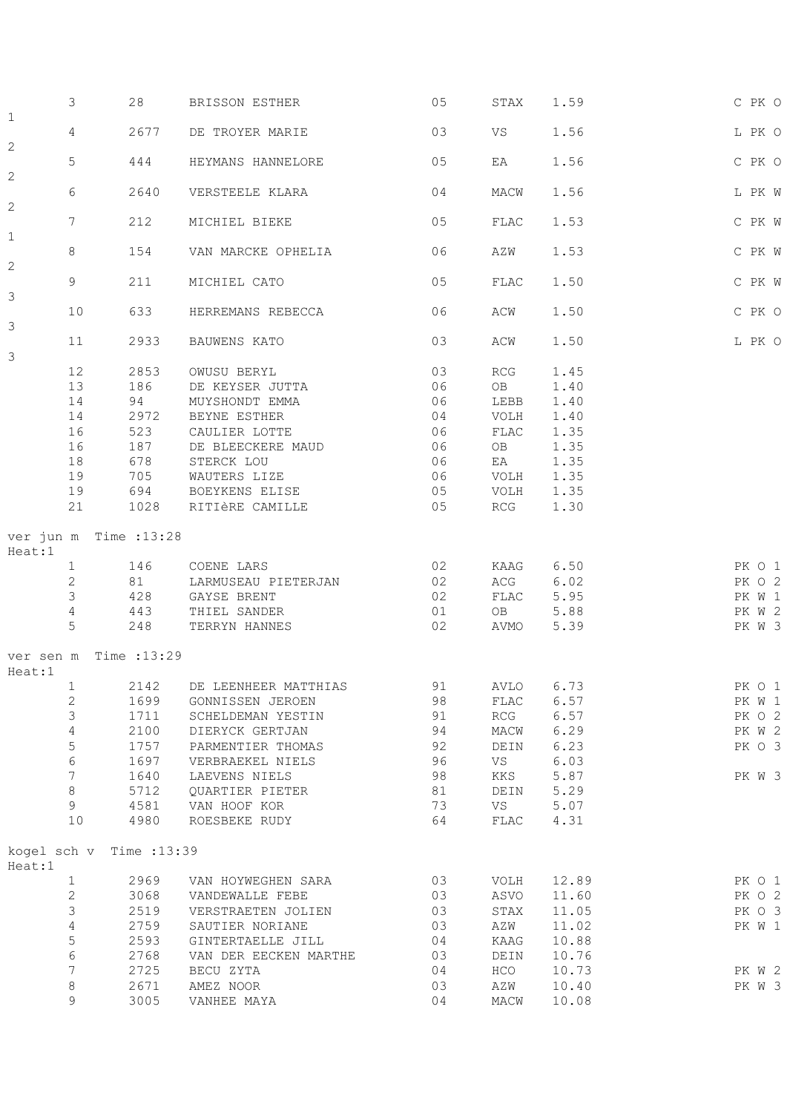|                         | 3                     | 28           | BRISSON ESTHER                    | 05       | STAX       | 1.59         | C PK O           |
|-------------------------|-----------------------|--------------|-----------------------------------|----------|------------|--------------|------------------|
| $\mathbf{1}$            | $\overline{4}$        | 2677         | DE TROYER MARIE                   | 03       | VS         | 1.56         | L PK O           |
| $\overline{\mathbf{c}}$ | 5                     | 444          | HEYMANS HANNELORE                 | 05       | EA         | 1.56         | C PK O           |
| $\overline{c}$          | 6                     | 2640         | VERSTEELE KLARA                   | 04       | MACW       | 1.56         | L PK W           |
| 2                       | $7\phantom{.0}$       | 212          | MICHIEL BIEKE                     | 05       | FLAC       | 1.53         | C PK W           |
| $\mathbf 1$             | 8                     | 154          | VAN MARCKE OPHELIA                | 06       | AZW        | 1.53         | C PK W           |
| $\overline{c}$          |                       |              |                                   |          |            |              |                  |
| 3                       | 9                     | 211          | MICHIEL CATO                      | 05       | FLAC       | 1.50         | C PK W           |
| 3                       | 10                    | 633          | HERREMANS REBECCA                 | 06       | ACW        | 1.50         | C PK O           |
| 3                       | 11                    | 2933         | BAUWENS KATO                      | 03       | ACW        | 1.50         | L PK O           |
|                         | 12                    | 2853         | OWUSU BERYL                       | 03       | RCG        | 1.45         |                  |
|                         | 13                    | 186          | DE KEYSER JUTTA                   | 06       | OB         | 1.40         |                  |
|                         | 14                    | 94           | MUYSHONDT EMMA                    | 06       | LEBB       | 1.40         |                  |
|                         | 14                    | 2972         | BEYNE ESTHER                      | 04       | VOLH       | 1.40         |                  |
|                         | 16                    | 523          | CAULIER LOTTE                     | 06       | FLAC       | 1.35         |                  |
|                         | 16                    | 187          | DE BLEECKERE MAUD                 | 06       | OB         | 1.35         |                  |
|                         |                       | 678          | STERCK LOU                        | 06       |            | 1.35         |                  |
|                         | 18                    |              |                                   |          | EA         |              |                  |
|                         | 19                    | 705          | WAUTERS LIZE                      | 06       | VOLH       | 1.35         |                  |
|                         | 19                    |              | 694 BOEYKENS ELISE                | 05       | VOLH       | 1.35         |                  |
|                         | 21                    |              | 1028 RITIÈRE CAMILLE              | 05       | RCG        | 1.30         |                  |
| Heat:1                  | ver jun m Time :13:28 |              |                                   |          |            |              |                  |
|                         | $\mathbf{1}$          | 146          | COENE LARS                        | 02       |            | KAAG 6.50    | PK O 1           |
|                         | $\mathbf{2}$          | 81           | LARMUSEAU PIETERJAN               | 02       | ACG        | 6.02         | PK O 2           |
|                         | 3                     | 428          |                                   | 02       |            | 5.95         |                  |
|                         |                       |              | GAYSE BRENT                       |          | FLAC<br>OB |              | PK W 1           |
|                         | 4<br>5                | 443          | THIEL SANDER<br>248 TERRYN HANNES | 01<br>02 | AVMO       | 5.88<br>5.39 | PK W 2<br>PK W 3 |
|                         |                       |              |                                   |          |            |              |                  |
| Heat:1                  | ver sen m Time :13:29 |              |                                   |          |            |              |                  |
|                         | 1                     | 2142         | DE LEENHEER MATTHIAS              | 91       | AVLO       | 6.73         | PK O 1           |
|                         | $\mathbf{2}$          | 1699         | GONNISSEN JEROEN                  | 98       | FLAC       | 6.57         | PK W 1           |
|                         | $\mathsf 3$           | 1711         | SCHELDEMAN YESTIN                 | 91       | RCG        | 6.57         | PK O 2           |
|                         | $\sqrt{4}$            | 2100         | DIERYCK GERTJAN                   | 94       | MACW       | 6.29         | PK W 2           |
|                         | 5                     | 1757         | PARMENTIER THOMAS                 | 92       | DEIN       | 6.23         | PK O 3           |
|                         | $\epsilon$            | 1697         | VERBRAEKEL NIELS                  | 96       | VS         | 6.03         |                  |
|                         | $\overline{7}$        | 1640         | LAEVENS NIELS                     | 98       | KKS        | 5.87         | PK W 3           |
|                         | $\,8\,$               | 5712         | QUARTIER PIETER                   | 81       | DEIN       | 5.29         |                  |
|                         | 9                     | 4581         | VAN HOOF KOR                      | 73       | VS         | 5.07         |                  |
|                         | $10$                  | 4980         | ROESBEKE RUDY                     | 64       | FLAC       | 4.31         |                  |
|                         |                       |              |                                   |          |            |              |                  |
| Heat:1                  | kogel sch v           | Time : 13:39 |                                   |          |            |              |                  |
|                         | $\mathbf{1}$          | 2969         | VAN HOYWEGHEN SARA                | 03       | VOLH       | 12.89        | PK O 1           |
|                         | $\mathbf{2}$          | 3068         | VANDEWALLE FEBE                   | 03       | ASVO       | 11.60        | PK O 2           |
|                         | 3                     | 2519         | VERSTRAETEN JOLIEN                | 03       | STAX       | 11.05        | PK O 3           |
|                         | $\sqrt{4}$            | 2759         | SAUTIER NORIANE                   | 03       | AZW        | 11.02        | PK W 1           |
|                         | 5                     | 2593         | GINTERTAELLE JILL                 | 04       | KAAG       | 10.88        |                  |
|                         | $\sqrt{6}$            | 2768         | VAN DER EECKEN MARTHE             | 03       | DEIN       | 10.76        |                  |
|                         | $\boldsymbol{7}$      | 2725         | BECU ZYTA                         | 04       | HCO        | 10.73        | PK W 2           |
|                         | $\,8\,$               | 2671         | AMEZ NOOR                         | 03       | AZW        | 10.40        | PK W 3           |
|                         | 9                     | 3005         | VANHEE MAYA                       | 04       | MACW       | 10.08        |                  |
|                         |                       |              |                                   |          |            |              |                  |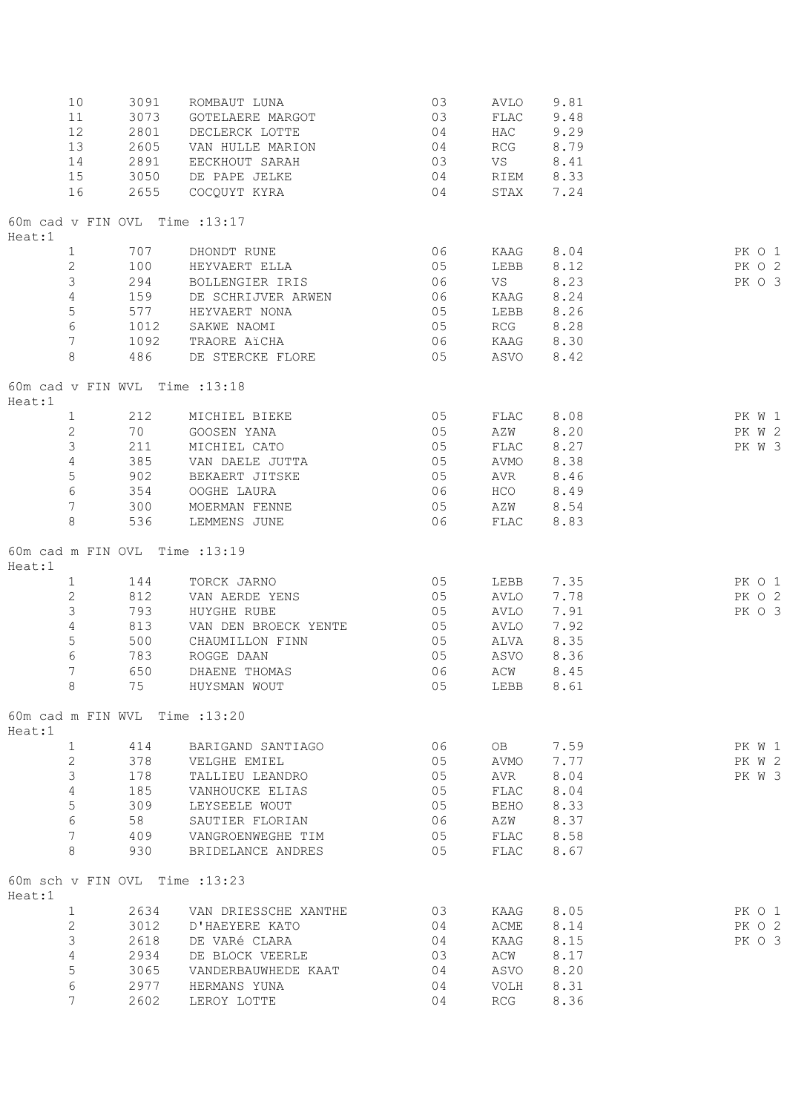| 10<br>11                                 | 3091<br>3073 | ROMBAUT LUNA<br>GOTELAERE MARGOT   | 03<br>03       | AVLO<br>FLAC | 9.81<br>9.48 |        |  |
|------------------------------------------|--------------|------------------------------------|----------------|--------------|--------------|--------|--|
| 12<br>13                                 | 2801<br>2605 | DECLERCK LOTTE<br>VAN HULLE MARION | 04<br>04       | HAC<br>RCG   | 9.29<br>8.79 |        |  |
| 14                                       | 2891         | EECKHOUT SARAH                     | 03             | VS           | 8.41         |        |  |
| 15                                       | 3050         | DE PAPE JELKE                      | 04             |              | RIEM 8.33    |        |  |
| 16                                       | 2655         | COCQUYT KYRA                       | 04             | STAX         | 7.24         |        |  |
| 60m cad v FIN OVL Time : 13:17<br>Heat:1 |              |                                    |                |              |              |        |  |
| $\mathbf{1}$                             | 707          | DHONDT RUNE                        | 06             | KAAG         | 8.04         | PK 0 1 |  |
| 2                                        | 100          | HEYVAERT ELLA                      | 05             | LEBB         | 8.12         | PK O 2 |  |
| 3                                        | 294          | BOLLENGIER IRIS                    | 06             | VS           | 8.23         | PK O 3 |  |
| $\overline{4}$                           | 159          | DE SCHRIJVER ARWEN                 | 06             | KAAG         | 8.24         |        |  |
| 5                                        |              | 577 HEYVAERT NONA                  | 05             | LEBB         | 8.26         |        |  |
| $\sqrt{6}$                               | 1012         | SAKWE NAOMI                        | 05             | RCG          | 8.28         |        |  |
| $7\phantom{.0}$                          | 1092         | TRAORE AïCHA                       | 06             |              | KAAG 8.30    |        |  |
| 8                                        | 486          | DE STERCKE FLORE 65                |                | ASVO         | 8.42         |        |  |
| 60m cad v FIN WVL Time : 13:18<br>Heat:1 |              |                                    |                |              |              |        |  |
| $\mathbf{1}$                             | 212          | MICHIEL BIEKE                      | 05             | FLAC         | 8.08         | PK W 1 |  |
| $\mathbf{2}$                             | 70           | GOOSEN YANA                        | 05             | AZW          | 8.20         | PK W 2 |  |
| 3                                        | 211          | MICHIEL CATO                       | 05             | FLAC         | 8.27         | PK W 3 |  |
| $\overline{4}$                           | 385          | VAN DAELE JUTTA                    | 05             | AVMO         | 8.38         |        |  |
| 5                                        | 902          | BEKAERT JITSKE                     | 05             | AVR          | 8.46         |        |  |
| $\epsilon$                               | 354          | OOGHE LAURA                        | 06             |              | HCO 8.49     |        |  |
| $\overline{7}$                           | 300          | MOERMAN FENNE                      | 05             | AZW 8.54     |              |        |  |
| 8                                        | 536          | LEMMENS JUNE                       | 06             | FLAC         | 8.83         |        |  |
| 60m cad m FIN OVL Time : 13:19<br>Heat:1 |              |                                    |                |              |              |        |  |
| $\mathbf{1}$                             | 144          | TORCK JARNO                        | 05             | LEBB         | 7.35         | PK O 1 |  |
| $\mathbf{2}$                             | 812          | VAN AERDE YENS                     | 05             | AVLO         | 7.78         | PK O 2 |  |
| 3                                        | 793          | HUYGHE RUBE                        | 05             | AVLO         | 7.91         | PK 0 3 |  |
| $\sqrt{4}$                               | 813          | VAN DEN BROECK YENTE               | 0 <sub>5</sub> | AVLO         | 7.92         |        |  |
| 5                                        |              | 500 CHAUMILLON FINN                | 05             |              | ALVA 8.35    |        |  |
| $6\,$                                    | 783          | ROGGE DAAN                         | 05             | ASVO         | 8.36         |        |  |
| $\overline{7}$                           | 650          | DHAENE THOMAS                      | 06             | ACW          | 8.45         |        |  |
| $8\,$                                    | 75           | HUYSMAN WOUT                       | 05             | LEBB 8.61    |              |        |  |
| 60m cad m FIN WVL Time : 13:20<br>Heat:1 |              |                                    |                |              |              |        |  |
| $\mathbf{1}$                             | 414          | BARIGAND SANTIAGO                  | 06             | OB           | 7.59         | PK W 1 |  |
| $\mathbf{2}$                             | 378          | VELGHE EMIEL                       | 05             | AVMO         | 7.77         | PK W 2 |  |
| 3                                        | 178          | TALLIEU LEANDRO                    | 05             | AVR          | 8.04         | PK W 3 |  |
| $\sqrt{4}$                               | 185          | VANHOUCKE ELIAS                    | 05             | FLAC         | 8.04         |        |  |
| 5                                        | 309          | LEYSEELE WOUT                      | 05             | BEHO         | 8.33         |        |  |
| $\epsilon$                               | 58           | SAUTIER FLORIAN                    | 06             | AZW          | 8.37         |        |  |
| 7                                        | 409          | VANGROENWEGHE TIM                  | 05             | FLAC         | 8.58         |        |  |
| 8                                        | 930          | BRIDELANCE ANDRES                  | 05             | FLAC         | 8.67         |        |  |
| 60m sch v FIN OVL Time : 13:23<br>Heat:1 |              |                                    |                |              |              |        |  |
| $\mathbf{1}$                             | 2634         | VAN DRIESSCHE XANTHE               | 03             | KAAG         | 8.05         | PK O 1 |  |
| $\mathbf{2}$                             | 3012         | D'HAEYERE KATO                     | 04             | ACME         | 8.14         | PK O 2 |  |
| 3                                        | 2618         | DE VARé CLARA                      | 04             | KAAG         | 8.15         | PK O 3 |  |
| $\sqrt{4}$                               | 2934         | DE BLOCK VEERLE                    | 03             | ACW          | 8.17         |        |  |
| 5                                        | 3065         | VANDERBAUWHEDE KAAT                | 04             | ASVO         | 8.20         |        |  |
| $\epsilon$                               | 2977         | HERMANS YUNA                       | 04             | VOLH         | 8.31         |        |  |
| 7                                        | 2602         | LEROY LOTTE                        | 04             | RCG          | 8.36         |        |  |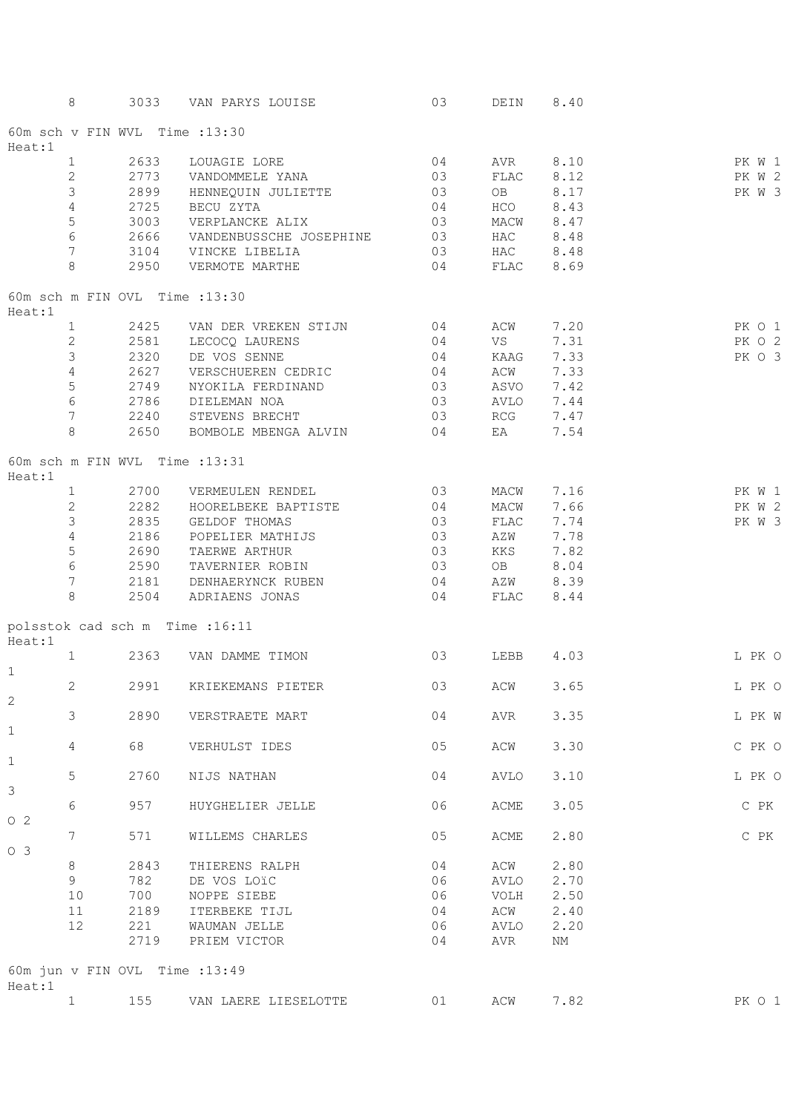|                | 8               |      | 3033 VAN PARYS LOUISE                                                 | 03                                        | DEIN 8.40 |           |        |
|----------------|-----------------|------|-----------------------------------------------------------------------|-------------------------------------------|-----------|-----------|--------|
| Heat:1         |                 |      | 60m sch v FIN WVL Time : 13:30                                        |                                           |           |           |        |
|                | $\mathbf{1}$    | 2633 | LOUAGIE LORE                                                          | 04                                        |           | AVR 8.10  | PK W 1 |
|                | 2               |      | 2773 VANDOMMELE YANA                                                  | 03                                        | FLAC 8.12 |           | PK W 2 |
|                | $\mathfrak{Z}$  |      |                                                                       | 03                                        |           | OB 8.17   | PK W 3 |
|                |                 |      |                                                                       |                                           |           |           |        |
|                | $\overline{4}$  |      |                                                                       | 04                                        | HCO 8.43  |           |        |
|                | $\mathsf S$     | 3003 | VERPLANCKE ALIX                                                       | 03                                        | MACW 8.47 |           |        |
|                | $\sqrt{6}$      | 2666 | VANDENBUSSCHE JOSEPHINE 03                                            |                                           | HAC 8.48  |           |        |
|                | $7\phantom{.0}$ |      | 3104 VINCKE LIBELIA                                                   | 03                                        | HAC 8.48  |           |        |
|                | 8               |      | 04 FLAC 8.69<br>2950 VERMOTE MARTHE                                   |                                           |           |           |        |
| Heat:1         |                 |      | 60m sch m FIN OVL Time : 13:30                                        |                                           |           |           |        |
|                | $\mathbf{1}$    |      | 2425 VAN DER VREKEN STIJN<br>2581 LECOCQ LAURENS<br>2320 DE VOS SENNE | 04                                        |           | ACW 7.20  | PK O 1 |
|                | $\mathbf{2}$    |      |                                                                       |                                           | <b>VS</b> | 7.31      | PK O 2 |
|                | $\mathsf 3$     |      |                                                                       | $\begin{array}{c} 0 4 \\ 0 4 \end{array}$ |           | KAAG 7.33 | PK O 3 |
|                | $\overline{4}$  |      | 2627 VERSCHUEREN CEDRIC 04                                            |                                           | ACW 7.33  |           |        |
|                | $\mathsf S$     |      | 2749 NYOKILA FERDINAND 03 ASVO 7.42                                   |                                           |           |           |        |
|                | $\sqrt{6}$      |      | 2786 DIELEMAN NOA                                                     | 03 AVLO 7.44                              |           |           |        |
|                |                 |      |                                                                       |                                           |           |           |        |
|                | $7\overline{ }$ |      | 2240 STEVENS BRECHT 63 RCG 7.47                                       |                                           |           |           |        |
|                | 8               |      | 2650 BOMBOLE MBENGA ALVIN 04 EA 7.54                                  |                                           |           |           |        |
| Heat:1         |                 |      | 60m sch m FIN WVL Time : 13:31                                        |                                           |           |           |        |
|                | $\mathbf{1}$    |      | 2700 VERMEULEN RENDEL                                                 | 03                                        |           | MACW 7.16 | PK W 1 |
|                | $\mathbf{2}$    | 2282 | HOORELBEKE BAPTISTE                                                   | 04                                        | MACW      | 7.66      | PK W 2 |
|                | 3               |      | 2835 GELDOF THOMAS                                                    | 03                                        | FLAC      | 7.74      | PK W 3 |
|                | $\overline{4}$  | 2186 | POPELIER MATHIJS                                                      | $\sim$ 03                                 | AZW       | 7.78      |        |
|                | $\mathsf S$     | 2690 | TAERWE ARTHUR                                                         | 03                                        | KKS       | 7.82      |        |
|                | $\sqrt{6}$      | 2590 | TAVERNIER ROBIN                                                       | 03                                        | OB        | 8.04      |        |
|                | $7\overline{ }$ |      |                                                                       |                                           |           |           |        |
|                |                 |      | 2181 DENHAERYNCK RUBEN 04                                             |                                           | AZW 8.39  |           |        |
|                | 8               |      | 2504 ADRIAENS JONAS                                                   | 04 FLAC 8.44                              |           |           |        |
| Heat:1         |                 |      | polsstok cad sch m Time :16:11                                        |                                           |           |           |        |
| $\mathbf{1}$   | $\mathbf{1}$    |      | 2363 VAN DAMME TIMON                                                  | 03                                        |           | LEBB 4.03 | L PK O |
| 2              | 2               | 2991 | KRIEKEMANS PIETER                                                     | 03                                        | ACW       | 3.65      | L PK O |
| $\mathbf 1$    | 3               | 2890 | VERSTRAETE MART                                                       | 04                                        | AVR       | 3.35      | L PK W |
| $\mathbf 1$    | 4               | 68   | VERHULST IDES                                                         | 05                                        | ACW       | 3.30      | C PK O |
|                | 5               | 2760 | NIJS NATHAN                                                           | 04                                        | AVLO      | 3.10      | L PK O |
| 3              | 6               | 957  | HUYGHELIER JELLE                                                      | 06                                        | ACME      | 3.05      | C PK   |
| 02             | 7               | 571  | WILLEMS CHARLES                                                       | 05                                        | ACME      | 2.80      | C PK   |
| O <sub>3</sub> |                 |      |                                                                       |                                           |           |           |        |
|                | 8               | 2843 | THIERENS RALPH                                                        | 04                                        | ACW       | 2.80      |        |
|                | 9               | 782  | DE VOS LOIC                                                           | 06                                        | AVLO      | 2.70      |        |
|                | 10              | 700  | NOPPE SIEBE                                                           | 06                                        | VOLH      | 2.50      |        |
|                | 11              | 2189 | ITERBEKE TIJL                                                         | 04                                        | ACW       | 2.40      |        |
|                | 12              | 221  | WAUMAN JELLE                                                          | 06                                        | AVLO      | 2.20      |        |
|                |                 | 2719 | PRIEM VICTOR                                                          | 04                                        | AVR       | NΜ        |        |
|                |                 |      |                                                                       |                                           |           |           |        |
| Heat:1         |                 |      | 60m jun v FIN OVL Time : 13:49                                        |                                           |           |           |        |
|                | $\mathbf{1}$    | 155  | VAN LAERE LIESELOTTE                                                  | 01                                        | ACW       | 7.82      | PK O 1 |
|                |                 |      |                                                                       |                                           |           |           |        |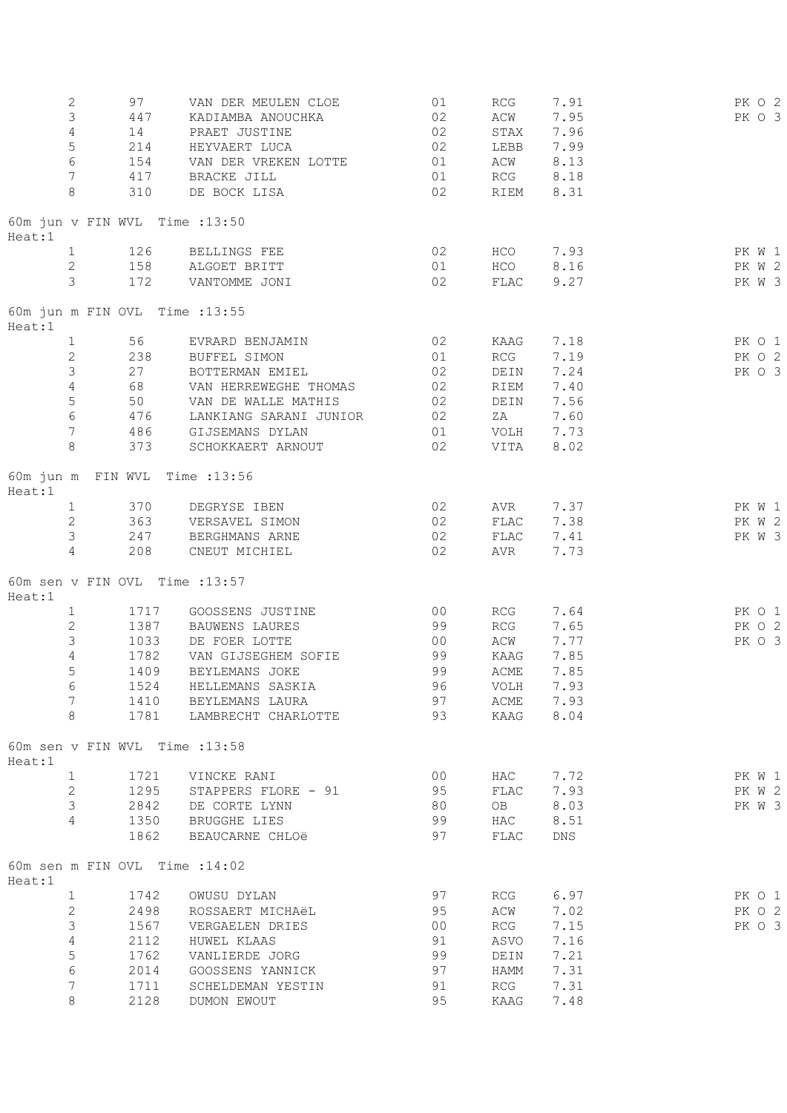| $\mathbf{2}$<br>3<br>4<br>5<br>$\sqrt{6}$<br>7<br>8 | 97<br>447<br>14<br>214<br>154<br>417<br>310 | VAN DER MEULEN CLOE<br>KADIAMBA ANOUCHKA<br>PRAET JUSTINE<br>HEYVAERT LUCA<br>VAN DER VREKEN LOTTE<br>BRACKE JILL<br>DE BOCK LISA | 01<br>02<br>02<br>02<br>01<br>01<br>02 | RCG<br>ACW<br>STAX<br>LEBB<br>ACW<br>RCG<br>RIEM | 7.91<br>7.95<br>7.96<br>7.99<br>8.13<br>8.18<br>8.31 | PK O 2<br>PK O 3 |
|-----------------------------------------------------|---------------------------------------------|-----------------------------------------------------------------------------------------------------------------------------------|----------------------------------------|--------------------------------------------------|------------------------------------------------------|------------------|
| Heat:1                                              | 60m jun v FIN WVL Time :13:50               |                                                                                                                                   |                                        |                                                  |                                                      |                  |
| $\mathbf{1}$                                        | 126                                         | BELLINGS FEE                                                                                                                      | 02                                     | HCO                                              | 7.93                                                 | PK W 1           |
| $\overline{2}$                                      | 158                                         | ALGOET BRITT                                                                                                                      | 01                                     | HCO                                              | 8.16                                                 | PK W 2           |
| 3                                                   | 172                                         | VANTOMME JONI                                                                                                                     | 02                                     | FLAC                                             | 9.27                                                 | PK W 3           |
| Heat:1                                              | 60m jun m FIN OVL Time : 13:55              |                                                                                                                                   |                                        |                                                  |                                                      |                  |
| $\mathbf{1}$                                        | 56                                          | EVRARD BENJAMIN                                                                                                                   | 02                                     | KAAG                                             | 7.18                                                 | PK 0 1           |
| $\overline{c}$                                      | 238                                         | <b>BUFFEL SIMON</b>                                                                                                               | 01                                     | RCG                                              | 7.19                                                 | PK O 2           |
| 3                                                   | 27                                          | BOTTERMAN EMIEL                                                                                                                   | 02                                     | DEIN                                             | 7.24                                                 | PK 0 3           |
| $\sqrt{4}$                                          | 68                                          | VAN HERREWEGHE THOMAS                                                                                                             | 02                                     | RIEM                                             | 7.40                                                 |                  |
| $\mathsf S$                                         | 50                                          | VAN DE WALLE MATHIS                                                                                                               | 02                                     | DEIN                                             | 7.56                                                 |                  |
| $\epsilon$                                          | 476                                         | LANKIANG SARANI JUNIOR                                                                                                            | 02                                     | ZA                                               | 7.60                                                 |                  |
| $7\phantom{.0}$<br>8                                | 486<br>373                                  | GIJSEMANS DYLAN                                                                                                                   | 01<br>02                               | VOLH                                             | 7.73                                                 |                  |
|                                                     |                                             | SCHOKKAERT ARNOUT                                                                                                                 |                                        | VITA                                             | 8.02                                                 |                  |
| Heat:1                                              | 60m jun m FIN WVL Time : 13:56              |                                                                                                                                   |                                        |                                                  |                                                      |                  |
| $\mathbf{1}$                                        | 370                                         | DEGRYSE IBEN                                                                                                                      | 02                                     | AVR                                              | 7.37                                                 | PK W 1           |
| $\mathbf{2}$                                        | 363                                         | VERSAVEL SIMON                                                                                                                    | 02                                     | FLAC                                             | 7.38                                                 | PK W 2           |
| 3                                                   | 247                                         | BERGHMANS ARNE                                                                                                                    | 02                                     | FLAC                                             | 7.41                                                 | PK W 3           |
| 4                                                   | 208                                         | CNEUT MICHIEL                                                                                                                     | 02                                     | AVR                                              | 7.73                                                 |                  |
| Heat:1                                              | 60m sen v FIN OVL Time : 13:57              |                                                                                                                                   |                                        |                                                  |                                                      |                  |
| $\mathbf{1}$                                        | 1717                                        | GOOSSENS JUSTINE                                                                                                                  | 00                                     | RCG                                              | 7.64                                                 | PK 0 1           |
| $\mathbf{2}$                                        | 1387                                        | BAUWENS LAURES                                                                                                                    | 99                                     | RCG                                              | 7.65                                                 | PK 0 2           |
| 3                                                   | 1033                                        | DE FOER LOTTE                                                                                                                     | 00                                     | ACW                                              | 7.77                                                 | PK 0 3           |
| 4                                                   | 1782                                        | VAN GIJSEGHEM SOFIE                                                                                                               | 99                                     | KAAG                                             | 7.85                                                 |                  |
| 5                                                   | 1409                                        | BEYLEMANS JOKE                                                                                                                    | 99                                     | $\mathop{\rm ACME}\nolimits$                     | 7.85                                                 |                  |
| 6                                                   | 1524                                        | HELLEMANS SASKIA                                                                                                                  | 96                                     | VOLH                                             | 7.93                                                 |                  |
| 7                                                   | 1410                                        | BEYLEMANS LAURA                                                                                                                   | 97                                     | ACME                                             | 7.93                                                 |                  |
| 8                                                   | 1781                                        | LAMBRECHT CHARLOTTE                                                                                                               | 93                                     | KAAG                                             | 8.04                                                 |                  |
| Heat:1                                              | 60m sen v FIN WVL Time : 13:58              |                                                                                                                                   |                                        |                                                  |                                                      |                  |
| $\mathbf{1}$                                        | 1721                                        | VINCKE RANI                                                                                                                       | 0 <sup>0</sup>                         | HAC                                              | 7.72                                                 | PK W 1           |
| $\mathbf{2}$                                        | 1295                                        | STAPPERS FLORE - 91                                                                                                               | 95                                     | FLAC                                             | 7.93                                                 | PK W 2           |
| 3                                                   | 2842                                        | DE CORTE LYNN                                                                                                                     | 80                                     | OB                                               | 8.03                                                 | PK W 3           |
| $\overline{4}$                                      | 1350                                        | <b>BRUGGHE LIES</b>                                                                                                               | 99                                     | HAC                                              | 8.51                                                 |                  |
|                                                     | 1862                                        | BEAUCARNE CHLOë                                                                                                                   | 97                                     | FLAC                                             | DNS                                                  |                  |
| Heat:1                                              | 60m sen m FIN OVL Time : 14:02              |                                                                                                                                   |                                        |                                                  |                                                      |                  |
| $\mathbf{1}$                                        | 1742                                        | OWUSU DYLAN                                                                                                                       | 97                                     | RCG                                              | 6.97                                                 | PK 0 1           |
| $\mathbf{2}$                                        | 2498                                        | ROSSAERT MICHAëL                                                                                                                  | 95                                     | ACW                                              | 7.02                                                 | PK 0 2           |
| 3                                                   | 1567                                        | VERGAELEN DRIES                                                                                                                   | 0 <sup>0</sup>                         | <b>RCG</b>                                       | 7.15                                                 | PK O 3           |
| $\overline{4}$                                      | 2112                                        | HUWEL KLAAS                                                                                                                       | 91                                     | ASVO                                             | 7.16                                                 |                  |
| 5                                                   | 1762                                        | VANLIERDE JORG                                                                                                                    | 99                                     | DEIN                                             | 7.21                                                 |                  |
| $\sqrt{6}$                                          | 2014                                        | GOOSSENS YANNICK                                                                                                                  | 97                                     | HAMM                                             | 7.31                                                 |                  |
| 7                                                   | 1711                                        | SCHELDEMAN YESTIN                                                                                                                 | 91                                     | RCG                                              | 7.31                                                 |                  |
| 8                                                   | 2128                                        | DUMON EWOUT                                                                                                                       | 95                                     | KAAG                                             | 7.48                                                 |                  |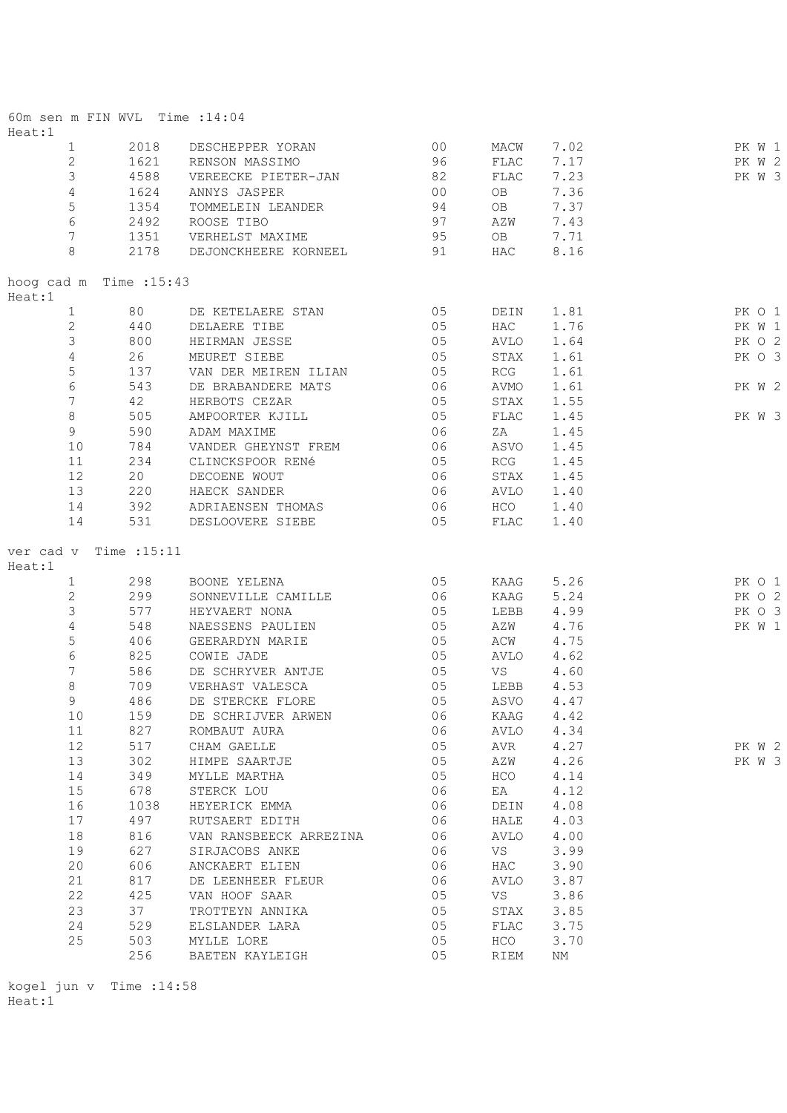| 60m sen m FIN WVL Time : 14:04    |            |                                     |          |              |              |                  |
|-----------------------------------|------------|-------------------------------------|----------|--------------|--------------|------------------|
| Heat:1<br>$\mathbf{1}$            | 2018       | DESCHEPPER YORAN                    | 00       | MACW         | 7.02         | PK W 1           |
| $\mathbf{2}$                      | 1621       | RENSON MASSIMO                      | 96       | FLAC         | 7.17         | PK W 2           |
| 3                                 | 4588       | VEREECKE PIETER-JAN                 | 82       | FLAC         | 7.23         | PK W 3           |
| $\overline{4}$                    | 1624       | ANNYS JASPER                        | 00       | OB           | 7.36         |                  |
| 5                                 | 1354       | TOMMELEIN LEANDER                   | 94       | OB           | 7.37         |                  |
| $\epsilon$                        | 2492       | ROOSE TIBO                          | 97       | AZW          | 7.43         |                  |
| $7\phantom{.0}$                   | 1351       | VERHELST MAXIME                     | 95       | OB           | 7.71         |                  |
| 8                                 | 2178       | DEJONCKHEERE KORNEEL                | 91       | HAC          | 8.16         |                  |
| hoog cad m Time : 15:43<br>Heat:1 |            |                                     |          |              |              |                  |
| $\mathbf{1}$                      | 80 — 10    | DE KETELAERE STAN                   | 05       |              | DEIN 1.81    | PK 0 1           |
| $\mathbf{2}$                      | 440        | DELAERE TIBE                        | 05       | HAC          | 1.76         | PK W 1           |
| 3                                 | 800        | HEIRMAN JESSE                       | 05       | AVLO         | 1.64         | PK O 2           |
| $\sqrt{4}$                        | 26         | MEURET SIEBE                        | 05       | STAX         | 1.61         | PK 0 3           |
| $\mathsf S$                       | 137        | VAN DER MEIREN ILIAN                | 05       | RCG          | 1.61         |                  |
| $\epsilon$                        | 543        | DE BRABANDERE MATS                  | 06       | AVMO         | 1.61         | PK W 2           |
| 7                                 | 42         | HERBOTS CEZAR                       | 05       | STAX         | 1.55         |                  |
| $\,8\,$                           | 505        | AMPOORTER KJILL                     | 05       | FLAC         | 1.45         | PK W 3           |
| 9                                 | 590        | ADAM MAXIME                         | 06       | ZA           | 1.45         |                  |
| 10                                | 784        | VANDER GHEYNST FREM                 | 06       | ASVO         | 1.45         |                  |
| 11                                | 234        | CLINCKSPOOR RENé                    | 05       | RCG          | 1.45         |                  |
| 12                                | 20         | DECOENE WOUT                        | 06       | STAX         | 1.45         |                  |
| 13                                | 220        | HAECK SANDER                        | 06       | AVLO         | 1.40         |                  |
| 14                                | 392        | ADRIAENSEN THOMAS                   | 06       | HCO          | 1.40         |                  |
| 14                                | 531        | DESLOOVERE SIEBE                    | 05       | FLAC         | 1.40         |                  |
| ver cad v Time :15:11             |            |                                     |          |              |              |                  |
| Heat:1                            |            |                                     |          |              |              |                  |
| $\mathbf{1}$                      | 298        | BOONE YELENA                        | 05       | KAAG         | 5.26         | PK O 1           |
| $\mathbf{2}$<br>3                 | 299<br>577 | SONNEVILLE CAMILLE<br>HEYVAERT NONA | 06<br>05 | KAAG<br>LEBB | 5.24<br>4.99 | PK O 2<br>PK O 3 |
| $\sqrt{4}$                        | 548        | NAESSENS PAULIEN                    | 05       | AZW          | 4.76         | PK W 1           |
| 5                                 | 406        | GEERARDYN MARIE                     | 05       | ACW          | 4.75         |                  |
| $\epsilon$                        | 825        | COWIE JADE                          | 05       | AVLO         | 4.62         |                  |
| 7                                 | 586        | DE SCHRYVER ANTJE                   | 05       | VS           | 4.60         |                  |
| 8                                 | 709        | VERHAST VALESCA                     | 05       | LEBB 4.53    |              |                  |
| $\circ$                           | 486        | DE STERCKE FLORE                    | 05       | ASVO         | 4.47         |                  |
| 10                                | 159        | DE SCHRIJVER ARWEN                  | 06       | KAAG         | 4.42         |                  |
| 11                                | 827        | ROMBAUT AURA                        | 06       | AVLO         | 4.34         |                  |
| 12                                | 517        | CHAM GAELLE                         | 05       | AVR          | 4.27         | PK W 2           |
| 13                                | 302        | HIMPE SAARTJE                       | 05       | AZW          | 4.26         | PK W 3           |
| 14                                | 349        | MYLLE MARTHA                        | 05       | HCO          | 4.14         |                  |
| 15                                | 678        | STERCK LOU                          | 06       | EA           | 4.12         |                  |
| 16                                | 1038       | HEYERICK EMMA                       | 06       | DEIN         | 4.08         |                  |
| 17                                | 497        | RUTSAERT EDITH                      | 06       | HALE         | 4.03         |                  |
| 18                                | 816        | VAN RANSBEECK ARREZINA              | 06       | AVLO         | 4.00         |                  |
| 19                                | 627        | SIRJACOBS ANKE                      | 06       | VS           | 3.99         |                  |
| 20                                | 606        | ANCKAERT ELIEN                      | 06       | HAC          | 3.90         |                  |
| 21                                | 817        | DE LEENHEER FLEUR                   | 06       | AVLO         | 3.87         |                  |
| 22                                | 425        | VAN HOOF SAAR                       | 05       | VS           | 3.86         |                  |
| 23                                | 37         | TROTTEYN ANNIKA                     | 05       | STAX         | 3.85         |                  |
| 24                                | 529        | ELSLANDER LARA                      | 05       | FLAC         | 3.75         |                  |
| 25                                | 503        | MYLLE LORE                          | 05       | HCO          | 3.70         |                  |
|                                   | 256        | BAETEN KAYLEIGH                     | 05       | RIEM         | NΜ           |                  |

kogel jun v Time :14:58 Heat:1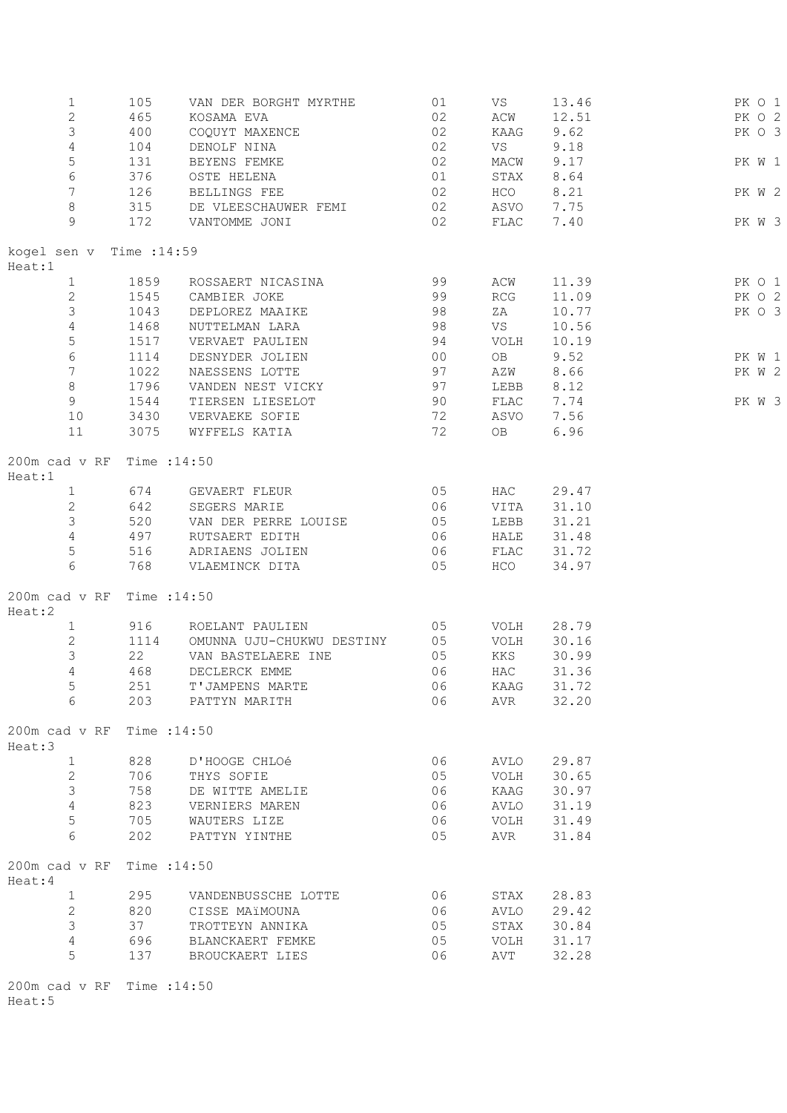| $\mathbf{1}$               | 105          | VAN DER BORGHT MYRTHE        | 01                                      | VS         | 13.46      | PK O 1 |
|----------------------------|--------------|------------------------------|-----------------------------------------|------------|------------|--------|
| $\overline{2}$             | 465          | KOSAMA EVA                   | 02                                      | ACW        | 12.51      | PK O 2 |
| $\mathfrak{Z}$             | 400          | COQUYT MAXENCE               | 02                                      | KAAG       | 9.62       | PK O 3 |
|                            |              |                              |                                         |            |            |        |
| $\overline{4}$             | 104          | DENOLF NINA                  | $\begin{array}{c} 02 \\ 02 \end{array}$ | VS         | 9.18       |        |
| 5                          | 131          | BEYENS FEMKE                 |                                         | MACW       | 9.17       | PK W 1 |
| 6                          | 376          | OSTE HELENA                  | 01                                      |            | STAX 8.64  |        |
| $7\phantom{.0}$            | 126          | BELLINGS FEE                 | 02                                      | HCO        | 8.21       | PK W 2 |
| $\,8\,$                    | 315          | DE VLEESCHAUWER FEMI 02      |                                         | ASVO 7.75  |            |        |
| 9                          | 172          | VANTOMME JONI                | 02                                      | FLAC       | 7.40       | PK W 3 |
|                            |              |                              |                                         |            |            |        |
| kogel sen v Time : 14:59   |              |                              |                                         |            |            |        |
| Heat:1                     |              |                              |                                         |            |            |        |
| 1                          | 1859         | ROSSAERT NICASINA            | 99                                      | ACW        | 11.39      | PK O 1 |
| $\mathbf{2}$               | 1545         | CAMBIER JOKE                 | 99                                      | RCG        | 11.09      | PK O 2 |
| 3                          | 1043         | DEPLOREZ MAAIKE<br>98        |                                         | ZA         | 10.77      | PK O 3 |
| $\overline{4}$             | 1468         | NUTTELMAN LARA               | 98                                      | VS         | 10.56      |        |
| 5                          | 1517         | VERVAET PAULIEN 94           |                                         | VOLH       | 10.19      |        |
| $\epsilon$                 | 1114         |                              | 00                                      | OB         | 9.52       |        |
| $7\overline{ }$            |              | DESNYDER JOLIEN              |                                         |            |            | PK W 1 |
|                            | 1022         | NAESSENS LOTTE               | 97                                      | AZW        | 8.66       | PK W 2 |
| 8                          | 1796         | VANDEN NEST VICKY 97         |                                         | LEBB       | 8.12       |        |
| 9                          | 1544         | TIERSEN LIESELOT             |                                         | FLAC       | 7.74       | PK W 3 |
| $10$                       | 3430         | VERVAEKE SOFIE               | 90<br>72<br>72                          | ASVO       | 7.56       |        |
| 11                         | 3075         | WYFFELS KATIA                |                                         | OB         | 6.96       |        |
|                            |              |                              |                                         |            |            |        |
| 200m cad v RF              | Time : 14:50 |                              |                                         |            |            |        |
| Heat:1                     |              |                              |                                         |            |            |        |
| $1 \qquad \qquad$          | 674          | GEVAERT FLEUR                | 0 <sub>5</sub>                          | HAC        | 29.47      |        |
| $\overline{2}$             | 642          | SEGERS MARIE                 | 06                                      | VITA       | 31.10      |        |
| $\mathcal{S}$              | 520          | VAN DER PERRE LOUISE 05      |                                         | LEBB       | 31.21      |        |
| $4\overline{ }$            | 497          | RUTSAERT EDITH               | 06                                      | HALE       | 31.48      |        |
| $\overline{5}$             | 516          | ADRIAENS JOLIEN              | 06                                      | FLAC       | 31.72      |        |
| 6                          | 768          | VLAEMINCK DITA               | 05                                      | HCO        | 34.97      |        |
|                            |              |                              |                                         |            |            |        |
| 200m cad v RF Time : 14:50 |              |                              |                                         |            |            |        |
|                            |              |                              |                                         |            |            |        |
| Heat:2                     |              |                              |                                         |            |            |        |
| $\mathbf{1}$               | 916          | ROELANT PAULIEN 05           |                                         |            | VOLH 28.79 |        |
| $\overline{2}$             | 1114         | OMUNNA UJU-CHUKWU DESTINY 05 |                                         |            | VOLH 30.16 |        |
| $\mathfrak{Z}$             | 22           | 05<br>VAN BASTELAERE INE     |                                         |            | KKS 30.99  |        |
| $\overline{4}$             | 468          | DECLERCK EMME                | 06                                      | HAC        | 31.36      |        |
| 5 <sup>5</sup>             | 251          | T'JAMPENS MARTE              | 06                                      | KAAG 31.72 |            |        |
| 6                          | 203          | PATTYN MARITH                | 06                                      | AVR        | 32.20      |        |
|                            |              |                              |                                         |            |            |        |
| 200m cad v RF              | Time : 14:50 |                              |                                         |            |            |        |
| Heat:3                     |              |                              |                                         |            |            |        |
| $\mathbf{1}$               | 828          | D'HOOGE CHLOé                | 06                                      | AVLO       | 29.87      |        |
| $\mathbf{2}$               | 706          | THYS SOFIE                   | 05                                      | VOLH       | 30.65      |        |
| 3                          | 758          | DE WITTE AMELIE              | 06                                      | KAAG       | 30.97      |        |
| $\overline{4}$             | 823          | VERNIERS MAREN               | 06                                      | AVLO       | 31.19      |        |
| 5                          | 705          | WAUTERS LIZE                 | 06                                      | VOLH       | 31.49      |        |
| 6                          | 202          | PATTYN YINTHE                | 05                                      | AVR        | 31.84      |        |
|                            |              |                              |                                         |            |            |        |
|                            |              |                              |                                         |            |            |        |
| 200m cad v RF              | Time : 14:50 |                              |                                         |            |            |        |
| Heat:4                     |              |                              |                                         |            |            |        |
| $\mathbf{1}$               | 295          | VANDENBUSSCHE LOTTE          | 06                                      | STAX       | 28.83      |        |
| $\mathbf{2}$               | 820          | CISSE MAïMOUNA               | 06                                      | AVLO       | 29.42      |        |
| $\mathfrak{Z}$             | 37           | TROTTEYN ANNIKA              | 05                                      | STAX       | 30.84      |        |
| $\overline{4}$             | 696          | BLANCKAERT FEMKE             | 05                                      | VOLH       | 31.17      |        |
| 5                          | 137          | BROUCKAERT LIES              | 06                                      | AVT        | 32.28      |        |
|                            |              |                              |                                         |            |            |        |
| 200m cad v RF Time : 14:50 |              |                              |                                         |            |            |        |

Heat:5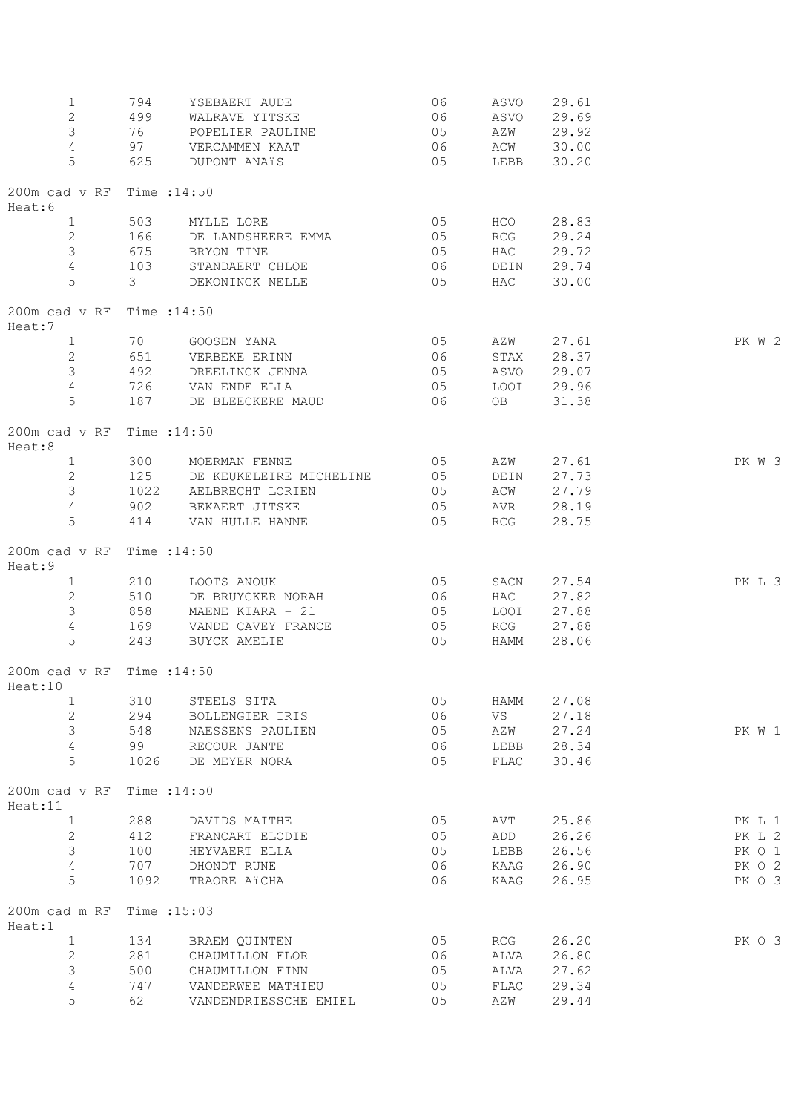| $\mathbf 1$<br>$\mathbf{2}$<br>$\mathfrak{Z}$<br>$\overline{4}$<br>5 | 794<br>97<br>625 | YSEBAERT AUDE<br>499 WALRAVE YITSKE<br>76 POPELIER PAULINE<br>VERCAMMEN KAAT<br>DUPONT ANAïS | 06<br>06<br>05<br>06<br>05 | ASVO 29.69<br>LEBB 30.20 | ASVO 29.61<br>AZW 29.92<br>ACW 30.00 |        |
|----------------------------------------------------------------------|------------------|----------------------------------------------------------------------------------------------|----------------------------|--------------------------|--------------------------------------|--------|
| 200m cad v RF Time : 14:50<br>Heat:6                                 |                  |                                                                                              |                            |                          |                                      |        |
| $\mathbf{1}$                                                         |                  | 503 MYLLE LORE                                                                               | 05                         | HCO                      | 28.83                                |        |
| 2                                                                    |                  | 166 DE LANDSHEERE EMMA                                                                       | $\sim$ 05                  | RCG                      | 29.24                                |        |
| $\mathfrak{Z}$                                                       |                  | 675 BRYON TINE                                                                               | 05                         | HAC                      | 29.72                                |        |
| $\overline{4}$                                                       |                  | 103 STANDAERT CHLOE                                                                          | 06                         | DEIN 29.74               |                                      |        |
| 5                                                                    | 3 <sup>7</sup>   | DEKONINCK NELLE                                                                              | 05                         | HAC                      | 30.00                                |        |
| 200m cad v RF Time : 14:50<br>Heat:7                                 |                  |                                                                                              |                            |                          |                                      |        |
| $\mathbf{1}$                                                         |                  | 70 GOOSEN YANA                                                                               | 05 AZW 27.61               |                          |                                      | PK W 2 |
| 2                                                                    |                  | 651 VERBEKE ERINN                                                                            | 06                         | STAX 28.37               |                                      |        |
| $\mathcal{E}$                                                        |                  | 492 DREELINCK JENNA                                                                          | 05 ASVO 29.07              |                          |                                      |        |
| $\overline{4}$                                                       |                  | 726 VAN ENDE ELLA                                                                            |                            | 05 LOOI 29.96            |                                      |        |
| 5                                                                    |                  | 187 DE BLEECKERE MAUD                                                                        | 06 OB 31.38                |                          |                                      |        |
| 200m cad v RF Time : 14:50<br>Heat:8                                 |                  |                                                                                              |                            |                          |                                      |        |
| $\mathbf{1}$                                                         |                  | 300 MOERMAN FENNE                                                                            | 05                         | AZW                      | 27.61                                | PK W 3 |
| 2                                                                    |                  | 125 DE KEUKELEIRE MICHELINE 05 DEIN                                                          |                            |                          | 27.73                                |        |
| $\mathcal{E}$                                                        | 1022             | AELBRECHT LORIEN                                                                             |                            | 05 ACW 27.79             |                                      |        |
| $\overline{4}$                                                       |                  | 902 BEKAERT JITSKE                                                                           | 05                         |                          | AVR 28.19                            |        |
| 5                                                                    |                  | 414 VAN HULLE HANNE                                                                          | 05                         | RCG                      | 28.75                                |        |
| 200m cad v RF Time : 14:50<br>Heat:9                                 |                  |                                                                                              |                            |                          |                                      |        |
| $\mathbf{1}$                                                         |                  | 210 LOOTS ANOUK                                                                              | 05                         |                          | SACN 27.54                           | PK L 3 |
| $\mathbf{2}$                                                         |                  | 510 DE BRUYCKER NORAH                                                                        | 06                         | HAC                      | 27.82                                |        |
| $\mathcal{E}$                                                        |                  | 858 MAENE KIARA - 21                                                                         | 05                         |                          | LOOI 27.88                           |        |
| 4                                                                    |                  | 169 VANDE CAVEY FRANCE                                                                       | 05 RCG 27.88               |                          |                                      |        |
| 5                                                                    |                  | 243 BUYCK AMELIE                                                                             | 05                         |                          | HAMM 28.06                           |        |
| 200m cad v RF Time : 14:50<br>Heat:10                                |                  |                                                                                              |                            |                          |                                      |        |
| 1                                                                    | 310              | STEELS SITA                                                                                  | 05                         | HAMM                     | 27.08                                |        |
| $\mathbf{2}$                                                         | 294              | BOLLENGIER IRIS                                                                              | 06                         | VS                       | 27.18                                |        |
| 3                                                                    | 548              | NAESSENS PAULIEN                                                                             | 05                         | AZW                      | 27.24                                | PK W 1 |
| 4                                                                    | 99               | RECOUR JANTE                                                                                 | 06                         | LEBB                     | 28.34                                |        |
| 5                                                                    | 1026             | DE MEYER NORA                                                                                | 05                         | FLAC                     | 30.46                                |        |
| 200m cad v RF Time : 14:50<br>Heat:11                                |                  |                                                                                              |                            |                          |                                      |        |
| $\mathbf{1}$                                                         | 288              | DAVIDS MAITHE                                                                                | 05                         | AVT                      | 25.86                                | PK L 1 |
| 2                                                                    | 412              | FRANCART ELODIE                                                                              | 05                         | ADD                      | 26.26                                | PK L 2 |
| 3                                                                    | 100              | HEYVAERT ELLA                                                                                | 05                         | LEBB                     | 26.56                                | PK 0 1 |
| 4                                                                    | 707              | DHONDT RUNE                                                                                  | 06                         | KAAG                     | 26.90                                | PK O 2 |
| 5                                                                    | 1092             | TRAORE AïCHA                                                                                 | 06                         | KAAG                     | 26.95                                | PK O 3 |
| 200m cad m RF Time : 15:03<br>Heat:1                                 |                  |                                                                                              |                            |                          |                                      |        |
| $\mathbf{1}$                                                         | 134              | BRAEM QUINTEN                                                                                | 05                         | RCG                      | 26.20                                | PK 0 3 |
| $\mathbf{2}$                                                         | 281              | CHAUMILLON FLOR                                                                              | 06                         | ALVA                     | 26.80                                |        |
| 3                                                                    | 500              | CHAUMILLON FINN                                                                              | 05                         | ALVA                     | 27.62                                |        |
| $\sqrt{4}$                                                           | 747              | VANDERWEE MATHIEU                                                                            | 05                         | FLAC                     | 29.34                                |        |
| 5                                                                    | 62               | VANDENDRIESSCHE EMIEL                                                                        | 05                         | AZW                      | 29.44                                |        |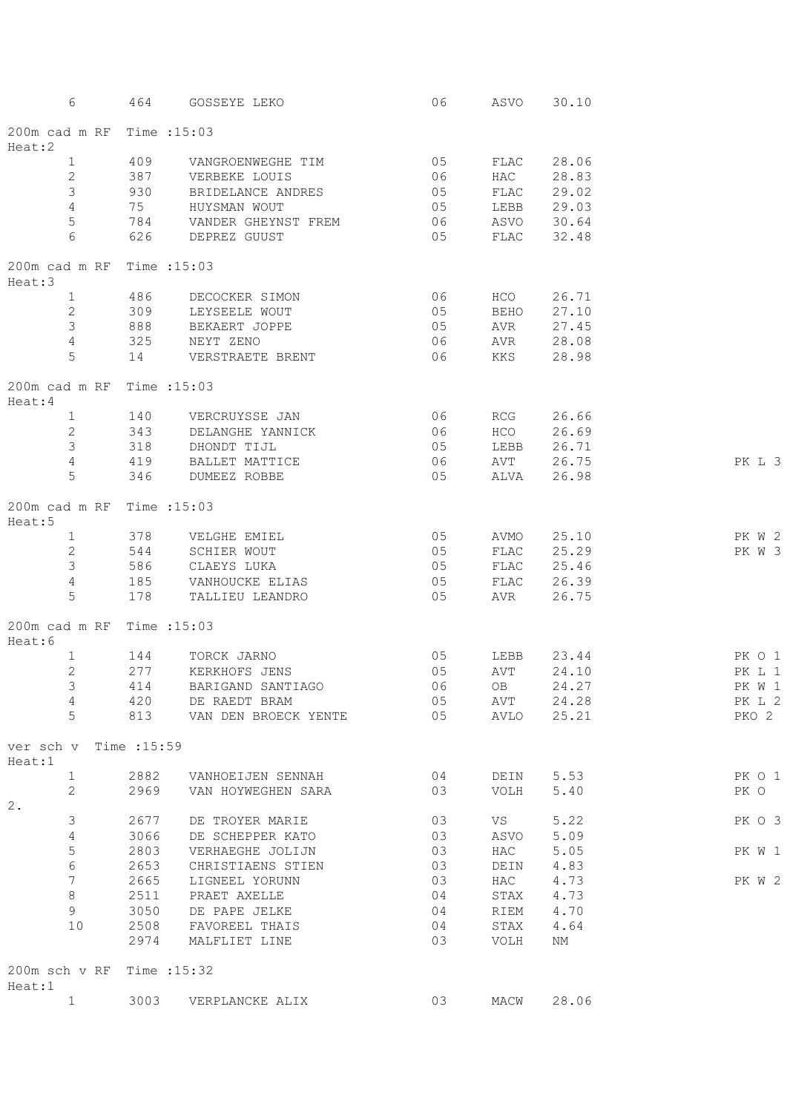| 6                                     | 464  | GOSSEYE LEKO                                                | 06                                      |            | ASVO 30.10 |        |
|---------------------------------------|------|-------------------------------------------------------------|-----------------------------------------|------------|------------|--------|
| 200m cad m RF Time : 15:03<br>Heat:2  |      |                                                             |                                         |            |            |        |
| $\mathbf{1}$                          | 409  | VANGROENWEGHE TIM                                           | $\begin{array}{c} 05 \\ 06 \end{array}$ |            | FLAC 28.06 |        |
| $\mathbf{2}$                          |      | 387 VERBEKE LOUIS                                           |                                         |            | HAC 28.83  |        |
| 3                                     |      | 930 BRIDELANCE ANDRES                                       | 05                                      |            | FLAC 29.02 |        |
| $\overline{4}$                        |      | 75 HUYSMAN WOUT                                             | 05                                      | LEBB 29.03 |            |        |
| $\mathsf S$                           |      | 784 VANDER GHEYNST FREM                                     | 06 ASVO 30.64                           |            |            |        |
| 6                                     |      | 626 DEPREZ GUUST                                            | 05 FLAC 32.48                           |            |            |        |
| 200m cad m RF Time : 15:03<br>Heat:3  |      |                                                             |                                         |            |            |        |
| $\mathbf{1}$                          |      | 486 DECOCKER SIMON                                          |                                         | HCO HOT    | 26.71      |        |
| $\mathbf{2}$                          |      | 309 LEYSEELE WOUT                                           | $\begin{array}{c} 06 \\ 05 \end{array}$ | BEHO 27.10 |            |        |
| 3                                     |      | 888 BEKAERT JOPPE                                           | 05                                      | AVR 27.45  |            |        |
| 4                                     |      | 325 NEYT ZENO                                               | 06                                      | AVR 28.08  |            |        |
| 5                                     |      | 14 VERSTRAETE BRENT                                         | 06 KKS 28.98                            |            |            |        |
| 200m cad m RF Time : 15:03<br>Heat: 4 |      |                                                             |                                         |            |            |        |
| $1 \quad$                             |      |                                                             |                                         |            |            |        |
| 2                                     |      | 140        VERCRUYSSE  JAN<br>343         DELANGHE  YANNICK |                                         |            |            |        |
| $\mathsf 3$                           |      | 318 DHONDT TIJL                                             | 05                                      | LEBB 26.71 |            |        |
| $\overline{4}$                        |      | 419 BALLET MATTICE                                          | 06                                      | AVT 26.75  |            | PK L 3 |
| 5                                     |      | 346 DUMEEZ ROBBE                                            | 05                                      | ALVA 26.98 |            |        |
| 200m cad m RF Time : 15:03<br>Heat:5  |      |                                                             |                                         |            |            |        |
| $\mathbf{1}$                          |      | 378 VELGHE EMIEL                                            | 05                                      | AVMO 25.10 |            | PK W 2 |
| 2                                     |      |                                                             | 05                                      | FLAC       | 25.29      | PK W 3 |
| $\mathcal{E}$                         |      |                                                             | 05                                      | FLAC 25.46 |            |        |
| $\overline{4}$                        |      | 185 VANHOUCKE ELIAS                                         | 05                                      | FLAC 26.39 |            |        |
| 5                                     |      | 178 TALLIEU LEANDRO                                         | 05                                      | AVR 26.75  |            |        |
| 200m cad m RF Time : 15:03<br>Heat:6  |      |                                                             |                                         |            |            |        |
| $\mathbf{1}$                          |      | 144 TORCK JARNO                                             | 05                                      | LEBB 23.44 |            | PK 0 1 |
| 2                                     | 277  | KERKHOFS JENS                                               | 05                                      | AVT 24.10  |            | PK L 1 |
| 3 <sup>7</sup>                        |      | 414 BARIGAND SANTIAGO                                       | 06                                      |            | OB 24.27   | PK W 1 |
| 4                                     | 420  | DE RAEDT BRAM                                               | 05                                      | AVT        | 24.28      | PK L 2 |
| 5                                     | 813  | VAN DEN BROECK YENTE                                        | 05                                      | AVLO       | 25.21      | PKO 2  |
| ver sch v Time :15:59<br>Heat:1       |      |                                                             |                                         |            |            |        |
| $\mathbf{1}$                          | 2882 | VANHOEIJEN SENNAH                                           | 04                                      |            | DEIN 5.53  | PK 0 1 |
| 2                                     | 2969 | VAN HOYWEGHEN SARA                                          | 03                                      | VOLH       | 5.40       | PK O   |
| 2.                                    |      |                                                             |                                         |            |            |        |
| 3                                     | 2677 | DE TROYER MARIE                                             | 03                                      | VS         | 5.22       | PK O 3 |
| 4                                     | 3066 | DE SCHEPPER KATO                                            | 03                                      | ASVO       | 5.09       |        |
| 5                                     | 2803 | VERHAEGHE JOLIJN                                            | 03                                      | HAC        | 5.05       | PK W 1 |
| $\epsilon$                            | 2653 | CHRISTIAENS STIEN                                           | 03                                      | DEIN       | 4.83       |        |
| 7                                     | 2665 | LIGNEEL YORUNN                                              | 03                                      | HAC        | 4.73       | PK W 2 |
| $\,8\,$                               | 2511 | PRAET AXELLE                                                | 04                                      | STAX       | 4.73       |        |
| 9                                     | 3050 | DE PAPE JELKE                                               | 04                                      | RIEM       | 4.70       |        |
| 10                                    | 2508 | FAVOREEL THAIS                                              | 04                                      | STAX       | 4.64       |        |
|                                       | 2974 | MALFLIET LINE                                               | 03                                      | VOLH       | NM         |        |
| 200m sch v RF Time : 15:32<br>Heat:1  |      |                                                             |                                         |            |            |        |
| $\mathbf{1}$                          | 3003 | VERPLANCKE ALIX                                             | 03                                      | MACW       | 28.06      |        |
|                                       |      |                                                             |                                         |            |            |        |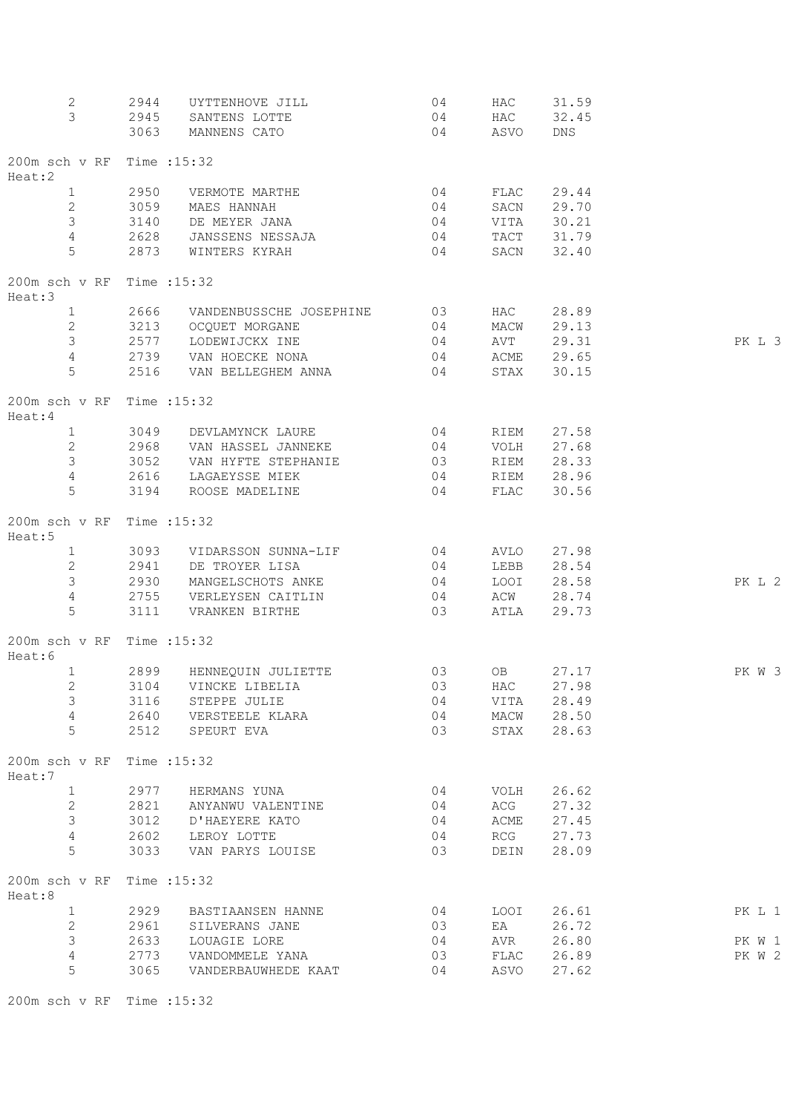| 2<br>3                  | 2944<br>2945<br>3063 | UYTTENHOVE JILL<br>SANTENS LOTTE<br>MANNENS CATO | 04<br>04<br>04 | HAC<br>HAC<br>ASVO | 31.59<br>32.45<br><b>DNS</b> |        |
|-------------------------|----------------------|--------------------------------------------------|----------------|--------------------|------------------------------|--------|
| 200m sch v RF<br>Heat:2 |                      | Time : 15:32                                     |                |                    |                              |        |
| $\mathbf{1}$            | 2950                 | VERMOTE MARTHE                                   | 04             | FLAC               | 29.44                        |        |
| $\mathbf{2}$            | 3059                 | MAES HANNAH                                      | 04             | SACN               | 29.70                        |        |
| 3                       | 3140                 | DE MEYER JANA                                    | 04             | VITA               | 30.21                        |        |
| $\overline{4}$          | 2628                 | JANSSENS NESSAJA                                 | 04             |                    | TACT 31.79                   |        |
| 5                       | 2873                 | WINTERS KYRAH                                    | 04             | SACN               | 32.40                        |        |
| 200m sch v RF<br>Heat:3 |                      | Time : 15:32                                     |                |                    |                              |        |
| $\mathbf{1}$            | 2666                 | VANDENBUSSCHE JOSEPHINE                          | 03             | HAC                | 28.89                        |        |
| $\overline{2}$          | 3213                 | OCQUET MORGANE                                   | 04             | MACW               | 29.13                        |        |
| $\mathfrak{Z}$          | 2577                 | LODEWIJCKX INE                                   | 04             | AVT                | 29.31                        | PK L 3 |
| $\overline{4}$          | 2739                 | VAN HOECKE NONA                                  | 04             | ACME               | 29.65                        |        |
| 5                       | 2516                 | VAN BELLEGHEM ANNA                               | 04             | STAX               | 30.15                        |        |
| 200m sch v RF<br>Heat:4 |                      | Time : 15:32                                     |                |                    |                              |        |
| $\mathbf{1}$            | 3049                 | DEVLAMYNCK LAURE                                 | 04             | RIEM               | 27.58                        |        |
| $\mathbf{2}$            | 2968                 | VAN HASSEL JANNEKE                               | 04             | VOLH               | 27.68                        |        |
| $\mathfrak{Z}$          | 3052                 | VAN HYFTE STEPHANIE                              | 03             | RIEM               | 28.33                        |        |
| 4                       | 2616                 | LAGAEYSSE MIEK                                   | 04             | RIEM               | 28.96                        |        |
| 5                       | 3194                 | ROOSE MADELINE                                   | 04             | FLAC               | 30.56                        |        |
| 200m sch v RF<br>Heat:5 |                      | Time : 15:32                                     |                |                    |                              |        |
| $\mathbf{1}$            | 3093                 | VIDARSSON SUNNA-LIF                              | 04             | AVLO               | 27.98                        |        |
| $\mathbf{2}$            | 2941                 | DE TROYER LISA                                   | 04             | LEBB               | 28.54                        |        |
| $\mathfrak{Z}$          | 2930                 | MANGELSCHOTS ANKE                                | 04             | LOOI               | 28.58                        | PK L 2 |
| $\overline{4}$          | 2755                 | VERLEYSEN CAITLIN                                | 04             | ACW                | 28.74                        |        |
| 5                       | 3111                 | VRANKEN BIRTHE                                   | 03             | ATLA               | 29.73                        |        |
| 200m sch v RF<br>Heat:6 |                      | Time : 15:32                                     |                |                    |                              |        |
| $\mathbf{1}$            | 2899                 | HENNEQUIN JULIETTE                               | 03             | OB                 | 27.17                        | PK W 3 |
| 2                       | 3104                 | VINCKE LIBELIA                                   | 03             | HAC                | 27.98                        |        |
| 3                       | 3116                 | STEPPE JULIE                                     | 04             | VITA               | 28.49                        |        |
| $\sqrt{4}$              | 2640                 | VERSTEELE KLARA                                  | 04             | MACW               | 28.50                        |        |
| 5                       | 2512                 | SPEURT EVA                                       | 03             | STAX               | 28.63                        |        |
| 200m sch v RF<br>Heat:7 |                      | Time : 15:32                                     |                |                    |                              |        |
| $\mathbf{1}$            | 2977                 | HERMANS YUNA                                     | 04             | VOLH               | 26.62                        |        |
| $\mathbf{2}$            | 2821                 | ANYANWU VALENTINE                                | 04             | ACG                | 27.32                        |        |
| 3                       | 3012                 | D'HAEYERE KATO                                   | 04             | ACME               | 27.45                        |        |
| $\overline{4}$          | 2602                 | LEROY LOTTE                                      | 04             | RCG                | 27.73                        |        |
| 5                       | 3033                 | VAN PARYS LOUISE                                 | 03             | DEIN               | 28.09                        |        |
| 200m sch v RF<br>Heat:8 |                      | Time : 15:32                                     |                |                    |                              |        |
| $\mathbf{1}$            | 2929                 | BASTIAANSEN HANNE                                | 04             | LOOI               | 26.61                        | PK L 1 |
| 2                       | 2961                 | SILVERANS JANE                                   | 03             | ΕA                 | 26.72                        |        |
| 3                       | 2633                 | LOUAGIE LORE                                     | 04             | AVR                | 26.80                        | PK W 1 |
| $\overline{4}$          | 2773                 | VANDOMMELE YANA                                  | 03             | FLAC               | 26.89                        | PK W 2 |
| 5                       | 3065                 | VANDERBAUWHEDE KAAT                              | 04             | ASVO               | 27.62                        |        |

200m sch v RF Time :15:32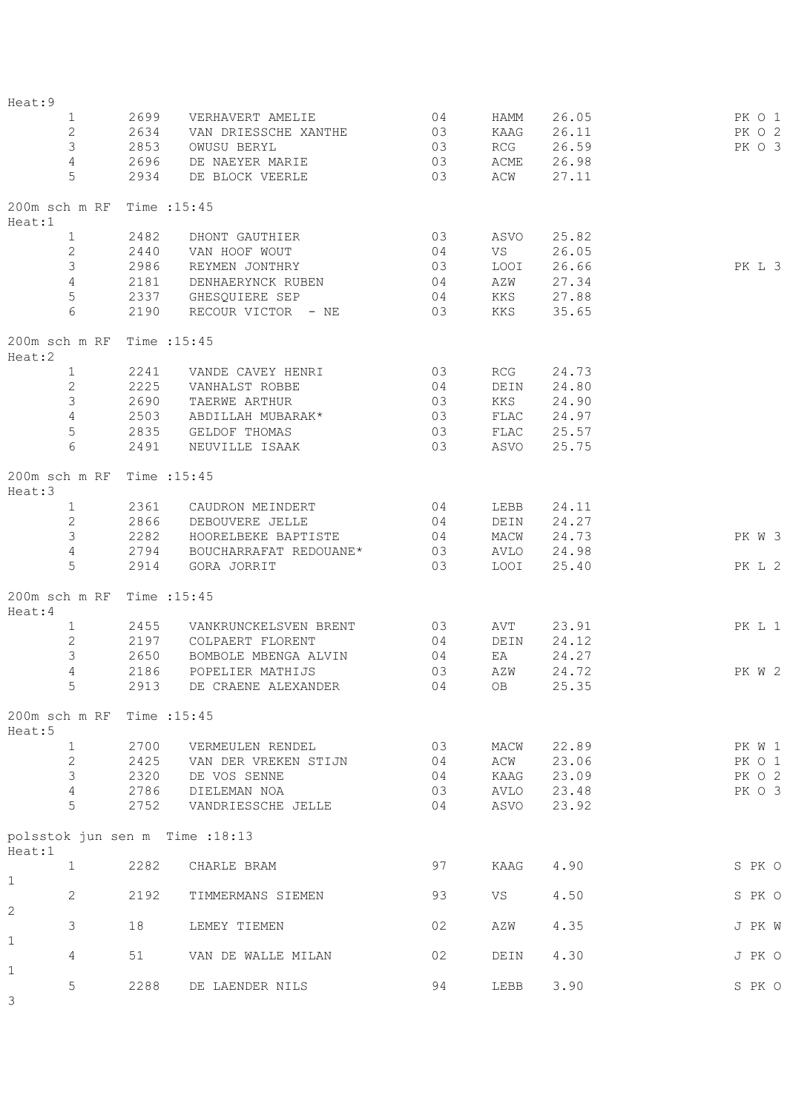| Heat: 9                                   |              |                           |                |      |            |        |
|-------------------------------------------|--------------|---------------------------|----------------|------|------------|--------|
| $\mathbf{1}$                              | 2699         | VERHAVERT AMELIE          | 04             | HAMM | 26.05      | PK O 1 |
| $\mathbf{2}$                              | 2634         | VAN DRIESSCHE XANTHE      | 03             | KAAG | 26.11      | PK O 2 |
| $\mathfrak{Z}$                            | 2853         | OWUSU BERYL               | 03             | RCG  | 26.59      | PK O 3 |
| $\overline{4}$                            | 2696         | DE NAEYER MARIE           | 03             | ACME | 26.98      |        |
| 5                                         | 2934         | DE BLOCK VEERLE           | 03             | ACW  | 27.11      |        |
| 200m sch m RF Time : 15:45<br>Heat:1      |              |                           |                |      |            |        |
| $\mathbf{1}$                              | 2482         | DHONT GAUTHIER            | 03             | ASVO | 25.82      |        |
| $\mathbf{2}$                              | 2440         | VAN HOOF WOUT             | 04             | VS   | 26.05      |        |
| $\mathfrak{Z}$                            | 2986         | REYMEN JONTHRY            | 03             | LOOI | 26.66      | PK L 3 |
| $\overline{4}$                            | 2181         | DENHAERYNCK RUBEN         | 04             | AZW  | 27.34      |        |
| $\mathbf 5$                               |              | 2337 GHESQUIERE SEP       | 04             | KKS  | 27.88      |        |
| 6                                         | 2190         | RECOUR VICTOR - NE        | 03             | KKS  | 35.65      |        |
| 200m sch m RF Time : 15:45                |              |                           |                |      |            |        |
| Heat:2<br>$\mathbf{1}$                    | 2241         | VANDE CAVEY HENRI 03      |                | RCG  | 24.73      |        |
| $\mathbf{2}$                              |              | VANHALST ROBBE            |                |      |            |        |
| $\mathfrak{Z}$                            | 2225<br>2690 |                           | 04             | DEIN | 24.80      |        |
|                                           |              | TAERWE ARTHUR             | 03             | KKS  | 24.90      |        |
| $\overline{4}$                            | 2503         | ABDILLAH MUBARAK*         | 03             | FLAC | 24.97      |        |
| 5                                         | 2835         | GELDOF THOMAS             | 03             |      | FLAC 25.57 |        |
| 6                                         | 2491         | NEUVILLE ISAAK            | 03             |      | ASVO 25.75 |        |
| 200m sch m RF Time : 15:45<br>Heat:3      |              |                           |                |      |            |        |
| $\mathbf{1}$                              | 2361         | CAUDRON MEINDERT          | 0 <sub>4</sub> | LEBB | 24.11      |        |
| $\overline{2}$                            | 2866         | DEBOUVERE JELLE           | 0 <sub>4</sub> | DEIN | 24.27      |        |
| $\mathcal{S}$                             | 2282         | HOORELBEKE BAPTISTE       | 04             | MACW | 24.73      | PK W 3 |
| $\overline{4}$                            | 2794         | BOUCHARRAFAT REDOUANE* 03 |                | AVLO | 24.98      |        |
| 5                                         | 2914         | GORA JORRIT               | 03             | LOOI | 25.40      | PK L 2 |
| 200m sch m RF<br>Heat:4                   |              | Time : 15:45              |                |      |            |        |
| $\mathbf{1}$                              | 2455         | VANKRUNCKELSVEN BRENT 03  |                | AVT  | 23.91      | PK L 1 |
| $\mathbf{2}$                              | 2197         | COLPAERT FLORENT          | 0 <sub>4</sub> | DEIN | 24.12      |        |
| $\mathfrak{S}$                            | 2650         | BOMBOLE MBENGA ALVIN      | $\sim$ 04      | ΕA   | 24.27      |        |
| $\overline{4}$                            | 2186         | POPELIER MATHIJS          | 03             | AZW  | 24.72      | PK W 2 |
| 5                                         |              | 2913 DE CRAENE ALEXANDER  | 04             | OB   | 25.35      |        |
|                                           |              |                           |                |      |            |        |
| 200m sch m RF Time : 15:45<br>Heat:5      |              |                           |                |      |            |        |
| $\mathbf{1}$                              | 2700         | VERMEULEN RENDEL          | 03             | MACW | 22.89      | PK W 1 |
| $\mathbf{2}$                              | 2425         | VAN DER VREKEN STIJN      | 04             | ACW  | 23.06      | PK 0 1 |
| 3                                         | 2320         | DE VOS SENNE              | 04             | KAAG | 23.09      | PK 0 2 |
| $\overline{4}$                            | 2786         | DIELEMAN NOA              | 03             | AVLO | 23.48      | PK O 3 |
| 5                                         | 2752         | VANDRIESSCHE JELLE        | 04             | ASVO | 23.92      |        |
| polsstok jun sen m Time : 18:13<br>Heat:1 |              |                           |                |      |            |        |
| $\mathbf{1}$                              | 2282         | CHARLE BRAM               | 97             | KAAG | 4.90       | S PK O |
| $\mathbf{1}$                              |              |                           |                |      |            |        |
| 2                                         | 2192         | TIMMERMANS SIEMEN         | 93             | VS   | 4.50       | S PK O |
| 2                                         |              |                           |                |      |            |        |
| 3                                         | 18           | LEMEY TIEMEN              | 02             | AZW  | 4.35       | J PK W |
| $\mathbf{1}$                              |              |                           |                |      |            |        |
| 4                                         | 51           | VAN DE WALLE MILAN        | 02             | DEIN | 4.30       | J PK O |
| $\mathbf 1$                               |              |                           |                |      |            |        |
| 5                                         | 2288         | DE LAENDER NILS           | 94             | LEBB | 3.90       | S PK O |
| $\mathsf 3$                               |              |                           |                |      |            |        |
|                                           |              |                           |                |      |            |        |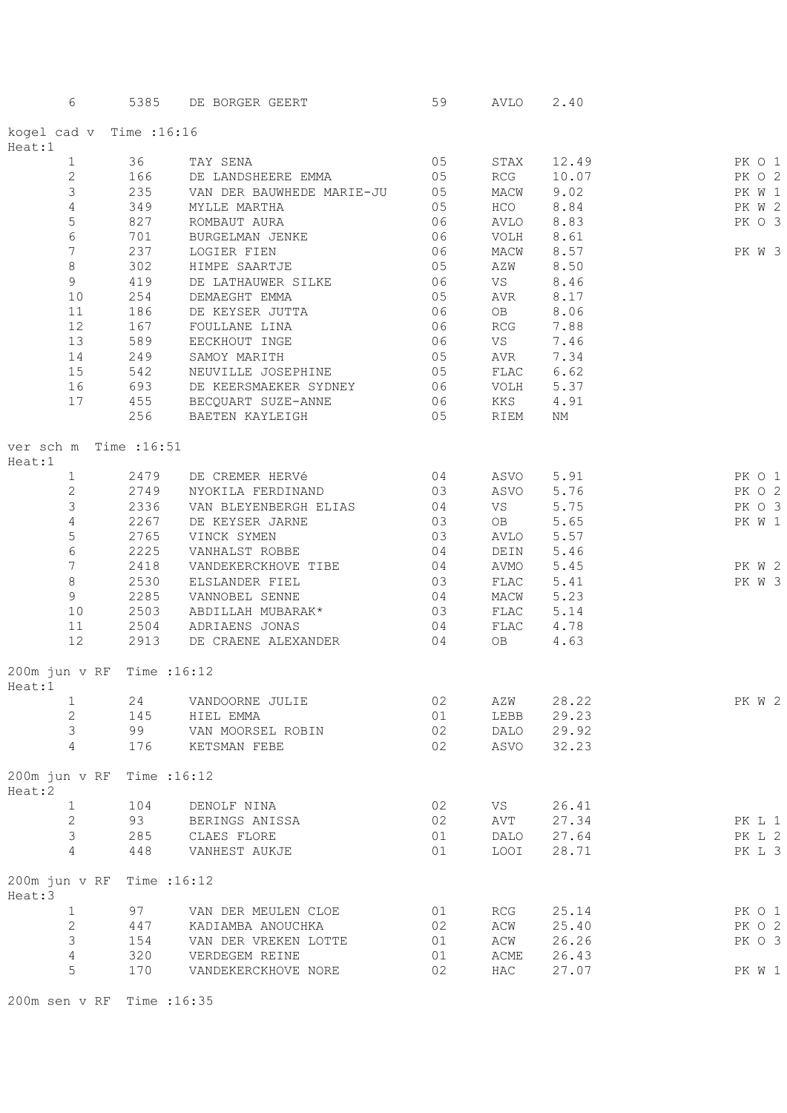| Heat:1<br>$\mathbf{1}$<br>$\mathbf{2}$ | kogel cad v Time : 16:16<br>36<br>166<br>235<br>349<br>827 | TAY SENA<br>DE LANDSHEERE EMMA<br>VAN DER BAUWHEDE MARIE-JU | 05<br>05  | STAX         |       |        |
|----------------------------------------|------------------------------------------------------------|-------------------------------------------------------------|-----------|--------------|-------|--------|
|                                        |                                                            |                                                             |           |              |       |        |
|                                        |                                                            |                                                             |           |              | 12.49 | PK O 1 |
|                                        |                                                            |                                                             |           | RCG          | 10.07 | PK O 2 |
|                                        |                                                            |                                                             | 05        | MACW         | 9.02  | PK W 1 |
| 3                                      |                                                            |                                                             |           |              |       |        |
| $\sqrt{4}$                             |                                                            | MYLLE MARTHA                                                | 05        | HCO          | 8.84  | PK W 2 |
| 5                                      |                                                            | ROMBAUT AURA                                                | 06        | AVLO         | 8.83  | PK O 3 |
| $\epsilon$                             | 701                                                        | BURGELMAN JENKE                                             | 06        | VOLH         | 8.61  |        |
| 7                                      | 237                                                        | LOGIER FIEN                                                 | 06        | MACW         | 8.57  | PK W 3 |
| $\,8\,$                                | 302                                                        | HIMPE SAARTJE                                               | 05        | AZW          | 8.50  |        |
| 9                                      | 419                                                        | DE LATHAUWER SILKE                                          | 06        | VS           | 8.46  |        |
| 10                                     | 254                                                        | DEMAEGHT EMMA                                               | 05        | AVR          | 8.17  |        |
| 11                                     | 186                                                        | DE KEYSER JUTTA                                             | 06        | OB           | 8.06  |        |
| 12                                     | 167                                                        | FOULLANE LINA                                               | 06        | RCG          | 7.88  |        |
| 13                                     | 589                                                        | EECKHOUT INGE                                               | 06        | VS           | 7.46  |        |
|                                        | 249                                                        |                                                             | 05        |              |       |        |
| 14                                     |                                                            | SAMOY MARITH                                                |           | AVR          | 7.34  |        |
| 15                                     | 542                                                        | NEUVILLE JOSEPHINE 05                                       |           | FLAC         | 6.62  |        |
| 16                                     |                                                            | 693 DE KEERSMAEKER SYDNEY 06                                |           | VOLH         | 5.37  |        |
| 17                                     |                                                            | 455 BECQUART SUZE-ANNE<br>06                                |           | KKS          | 4.91  |        |
|                                        |                                                            | 256 BAETEN KAYLEIGH                                         | $\sim$ 05 | RIEM         | NΜ    |        |
| Heat:1                                 | ver sch m Time :16:51                                      |                                                             |           |              |       |        |
| $\mathbf{1}$                           | 2479                                                       | DE CREMER HERVé                                             | 04        | ASVO         | 5.91  | PK 0 1 |
| $\mathbf{2}$                           | 2749                                                       | NYOKILA FERDINAND                                           | 03        | ASVO         | 5.76  | PK O 2 |
| 3                                      | 2336                                                       | VAN BLEYENBERGH ELIAS                                       | 04        | VS           | 5.75  | PK O 3 |
| $\sqrt{4}$                             | 2267                                                       | DE KEYSER JARNE                                             | 03        | OB           | 5.65  | PK W 1 |
| 5                                      | 2765                                                       | VINCK SYMEN                                                 | 03        | AVLO         | 5.57  |        |
| $\sqrt{6}$                             | 2225                                                       |                                                             | 04        |              | 5.46  |        |
|                                        |                                                            | VANHALST ROBBE                                              |           | DEIN         |       |        |
| $7\phantom{.0}$                        | 2418                                                       | VANDEKERCKHOVE TIBE                                         | 04        | AVMO         | 5.45  | PK W 2 |
| $\,8\,$                                | 2530                                                       | ELSLANDER FIEL                                              | 03        | ${\tt FLAC}$ | 5.41  | PK W 3 |
| 9                                      | 2285                                                       | VANNOBEL SENNE                                              | 04        | MACW         | 5.23  |        |
| 10                                     | 2503                                                       | ABDILLAH MUBARAK*                                           | 03        | FLAC         | 5.14  |        |
| 11                                     | 2504                                                       | ADRIAENS JONAS                                              | 04        | FLAC         | 4.78  |        |
| 12                                     | 2913                                                       | DE CRAENE ALEXANDER                                         | 04        | OB           | 4.63  |        |
| Heat:1                                 | 200m jun v RF Time : 16:12                                 |                                                             |           |              |       |        |
| ı                                      | 24                                                         | VANDOORNE JULIE                                             | 02        | AZW          | 28.22 | PK W 2 |
| $\mathbf{2}$                           | 145                                                        | HIEL EMMA                                                   | 01        | LEBB         | 29.23 |        |
| 3                                      | 99                                                         | VAN MOORSEL ROBIN                                           | 02        | DALO         | 29.92 |        |
| 4                                      |                                                            |                                                             |           |              |       |        |
|                                        | 176                                                        | KETSMAN FEBE                                                | 02        | ASVO         | 32.23 |        |
| Heat:2                                 | 200m jun v RF Time : 16:12                                 |                                                             |           |              |       |        |
| $\mathbf{1}$                           | 104                                                        | DENOLF NINA                                                 | 02        | VS           | 26.41 |        |
| $\overline{c}$                         | 93                                                         | BERINGS ANISSA                                              | 02        | AVT          | 27.34 | PK L 1 |
| 3                                      | 285                                                        | CLAES FLORE                                                 | 01        | DALO         | 27.64 | PK L 2 |
| $\overline{4}$                         | 448                                                        | VANHEST AUKJE                                               | 01        | LOOI         | 28.71 | PK L 3 |
| Heat:3                                 | 200m jun v RF Time : 16:12                                 |                                                             |           |              |       |        |
| $\mathbf{1}$                           | 97                                                         | VAN DER MEULEN CLOE                                         | 01        | RCG          | 25.14 | PK O 1 |
| $\mathbf{2}$                           |                                                            |                                                             |           |              |       |        |
|                                        | 447                                                        | KADIAMBA ANOUCHKA                                           | 02        | ACW          | 25.40 | PK O 2 |
| $\mathsf 3$                            | 154                                                        | VAN DER VREKEN LOTTE                                        | 01        | ACW          | 26.26 | PK O 3 |
| $\overline{4}$                         | 320                                                        | VERDEGEM REINE                                              | 01        | ACME         | 26.43 |        |
| 5                                      | 170                                                        | VANDEKERCKHOVE NORE                                         | 02        | HAC          | 27.07 | PK W 1 |

200m sen v RF Time :16:35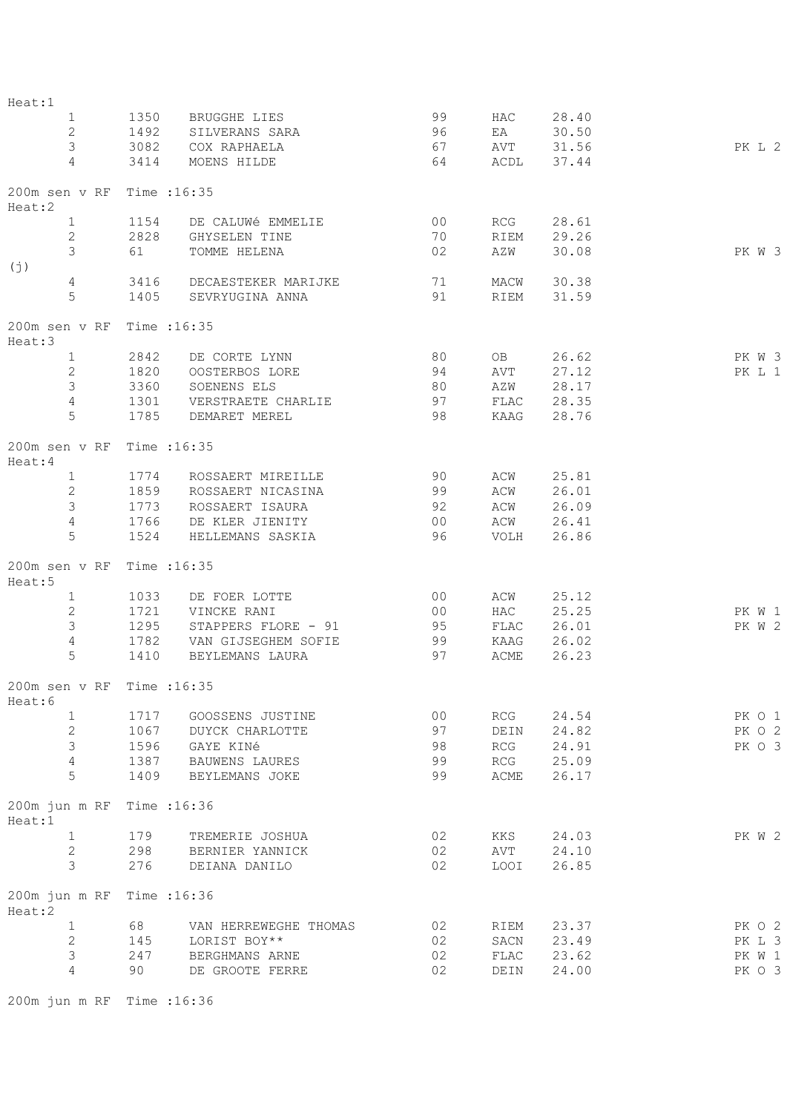| Heat:1                               |                           |         |                                   |                |            |            |        |
|--------------------------------------|---------------------------|---------|-----------------------------------|----------------|------------|------------|--------|
|                                      | $1 \qquad \qquad$         | 1350    | BRUGGHE LIES                      | 99             |            | HAC 28.40  |        |
| $\overline{2}$                       |                           | 1492    | SILVERANS SARA                    | 96             | EA         | 30.50      |        |
| $\mathcal{S}$                        |                           | 3082    | COX RAPHAELA                      | 67             |            | AVT 31.56  | PK L 2 |
| $\overline{4}$                       |                           | 3414    | MOENS HILDE                       | 64             |            | ACDL 37.44 |        |
|                                      |                           |         |                                   |                |            |            |        |
| 200m sen v RF Time : 16:35<br>Heat:2 |                           |         |                                   |                |            |            |        |
| 1                                    |                           | 1154    | DE CALUWé EMMELIE                 | 00             | RCG        | 28.61      |        |
|                                      | $2^{\circ}$               | 2828    | GHYSELEN TINE                     | 70             | RIEM       | 29.26      |        |
|                                      | $3 \quad \text{or} \quad$ | 61 — 10 | TOMME HELENA                      | 02             | AZW        | 30.08      | PK W 3 |
| (j)                                  |                           |         |                                   |                |            |            |        |
|                                      | $4\overline{ }$           |         | 3416 DECAESTEKER MARIJKE 71       |                |            | MACW 30.38 |        |
| 5                                    |                           | 1405    | SEVRYUGINA ANNA                   | 91             |            | RIEM 31.59 |        |
|                                      |                           |         |                                   |                |            |            |        |
| 200m sen v RF Time : 16:35<br>Heat:3 |                           |         |                                   |                |            |            |        |
| 1                                    |                           | 2842    | DE CORTE LYNN                     | 80             |            | OB 26.62   | PK W 3 |
|                                      | $\overline{2}$            | 1820    | OOSTERBOS LORE                    | 94             | AVT        | 27.12      | PK L 1 |
| $\mathfrak{Z}$                       |                           | 3360    | SOENENS ELS                       | 80             | AZW 28.17  |            |        |
| $\overline{4}$                       |                           | 1301    | VERSTRAETE CHARLIE 697 FLAC 28.35 |                |            |            |        |
| 5                                    |                           | 1785    | DEMARET MEREL                     | 98             | KAAG 28.76 |            |        |
| 200m sen v RF Time : 16:35           |                           |         |                                   |                |            |            |        |
| Heat:4                               |                           |         |                                   |                |            |            |        |
| 1                                    |                           | 1774    | ROSSAERT MIREILLE                 | 90             | ACW        | 25.81      |        |
| $\overline{2}$                       |                           |         | 1859 ROSSAERT NICASINA            | 99             | ACW        | 26.01      |        |
| $\mathfrak{Z}$                       |                           | 1773    | ROSSAERT ISAURA                   | 92             | ACW        | 26.09      |        |
| $\overline{4}$                       |                           |         | 1766 DE KLER JIENITY              | 00             |            | ACW 26.41  |        |
| 5                                    |                           | 1524    | HELLEMANS SASKIA 96               |                |            | VOLH 26.86 |        |
| 200m sen v RF Time : 16:35<br>Heat:5 |                           |         |                                   |                |            |            |        |
| 1                                    |                           | 1033    | DE FOER LOTTE                     | 00             | ACW        | 25.12      |        |
| $\mathbf{2}$                         |                           | 1721    | VINCKE RANI                       | 00             | HAC        | 25.25      | PK W 1 |
| $\mathcal{S}$                        |                           |         | 1295 STAPPERS FLORE - 91 95       |                | FLAC       | 26.01      | PK W 2 |
| $\overline{4}$                       |                           |         | 1782 VAN GIJSEGHEM SOFIE 99       |                | KAAG 26.02 |            |        |
| 5                                    |                           |         | 1410 BEYLEMANS LAURA              | 97             | ACME       | 26.23      |        |
|                                      |                           |         |                                   |                |            |            |        |
| 200m sen v RF<br>Heat:6              |                           |         | Time : 16:35                      |                |            |            |        |
| $\mathbf{1}$                         |                           | 1717    | GOOSSENS JUSTINE                  | 0 <sub>0</sub> | RCG        | 24.54      | PK O 1 |
| $\mathbf{2}$                         |                           | 1067    | DUYCK CHARLOTTE                   | 97             | DEIN       | 24.82      | PK 0 2 |
| $\mathsf S$                          |                           | 1596    | GAYE KINé                         | 98             | RCG        | 24.91      | PK O 3 |
| $\overline{4}$                       |                           | 1387    | BAUWENS LAURES                    | 99             | RCG        | 25.09      |        |
| 5                                    |                           | 1409    | BEYLEMANS JOKE                    | 99             | ACME       | 26.17      |        |
| 200m jun m RF<br>Heat:1              |                           |         | Time : 16:36                      |                |            |            |        |
| $\mathbf{1}$                         |                           | 179     | TREMERIE JOSHUA                   | 02             | KKS        | 24.03      | PK W 2 |
| $\mathbf{2}$                         |                           | 298     | BERNIER YANNICK                   | 02             | AVT        | 24.10      |        |
| 3                                    |                           | 276     | DEIANA DANILO                     | 02             | LOOI       | 26.85      |        |
| 200m jun m RF                        |                           |         | Time : 16:36                      |                |            |            |        |
| Heat:2                               |                           |         |                                   |                |            |            |        |
| $\mathbf{1}$                         |                           | 68      | VAN HERREWEGHE THOMAS             | 02             | RIEM       | 23.37      | PK O 2 |
| $\overline{c}$                       |                           | 145     | LORIST BOY**                      | 02             | SACN       | 23.49      | PK L 3 |
| $\mathfrak{Z}$                       |                           | 247     | BERGHMANS ARNE                    | 02             | FLAC       | 23.62      | PK W 1 |
| 4                                    |                           | 90      | DE GROOTE FERRE                   | 02             | DEIN       | 24.00      | PK O 3 |
|                                      |                           |         |                                   |                |            |            |        |

200m jun m RF Time :16:36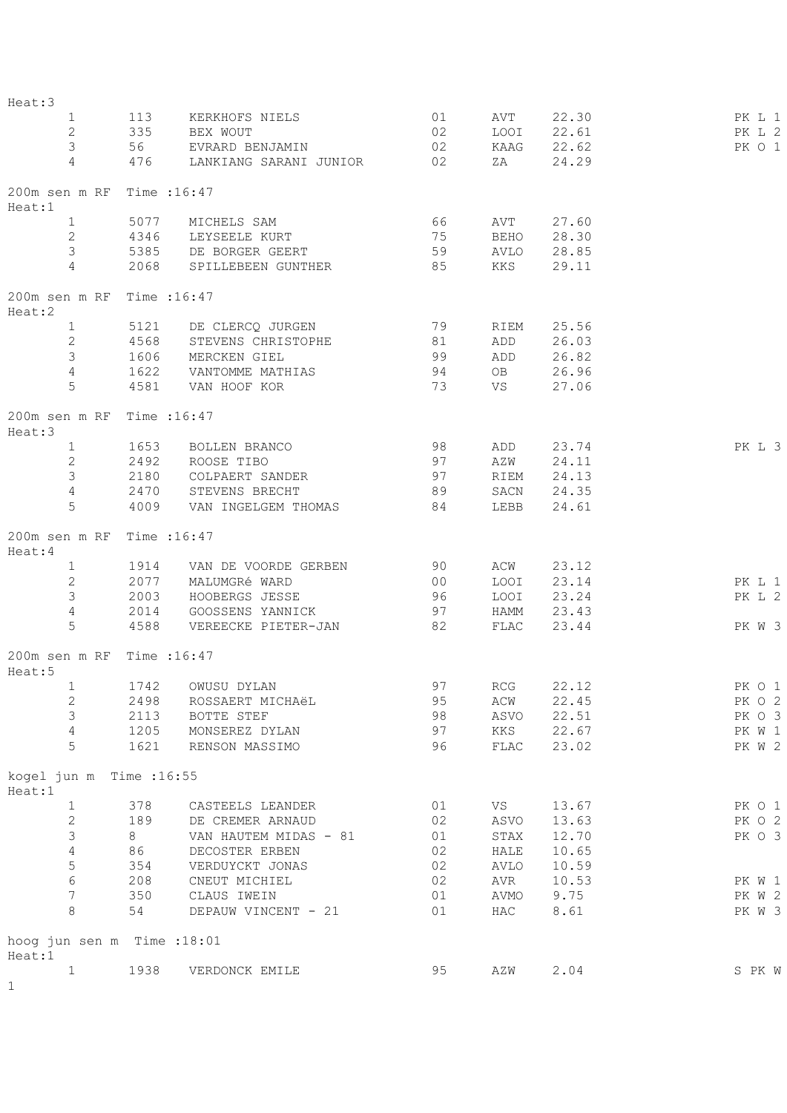| Heat:3                                |      |                               |          |              |           |        |
|---------------------------------------|------|-------------------------------|----------|--------------|-----------|--------|
| $\mathbf{1}$                          | 113  | KERKHOFS NIELS                | 01       | AVT          | 22.30     | PK L 1 |
| 2                                     |      | 335 BEX WOUT                  | 02       | LOOI         | 22.61     | PK L 2 |
| $\mathfrak{Z}$                        |      | 56 EVRARD BENJAMIN            | 02       | KAAG         | 22.62     | PK O 1 |
| $\overline{4}$                        |      | 476 LANKIANG SARANI JUNIOR 02 |          | ZA           | 24.29     |        |
| 200m sen m RF Time : 16:47<br>Heat:1  |      |                               |          |              |           |        |
| $\mathbf{1}$                          |      | 5077 MICHELS SAM              | 66       | AVT          | 27.60     |        |
| $\mathbf{2}$                          | 4346 | LEYSEELE KURT                 | 75       | <b>BEHO</b>  | 28.30     |        |
| 3                                     |      | 5385 DE BORGER GEERT          | 59 AVLO  |              | 28.85     |        |
| $\overline{4}$                        |      | 2068 SPILLEBEEN GUNTHER 85    |          | KKS          | 29.11     |        |
| 200m sen m RF Time : 16:47<br>Heat:2  |      |                               |          |              |           |        |
| 1                                     |      | 5121 DE CLERCQ JURGEN         |          | 79 RIEM      | 25.56     |        |
| $\mathbf{2}$                          | 4568 | STEVENS CHRISTOPHE            |          | ADD          | 26.03     |        |
| 3                                     | 1606 | MERCKEN GIEL                  | 81<br>99 | ADD          | 26.82     |        |
| 4                                     | 1622 | VANTOMME MATHIAS              | 94       | OB           | 26.96     |        |
| 5                                     |      | 4581 VAN HOOF KOR             | 73       | VS           | 27.06     |        |
| 200m sen m RF Time : 16:47<br>Heat:3  |      |                               |          |              |           |        |
| 1                                     |      | 1653 BOLLEN BRANCO            | 98       | ADD          | 23.74     | PK L 3 |
| $\mathbf{2}$                          | 2492 | ROOSE TIBO                    | 97       | AZW          | 24.11     |        |
| $\mathcal{S}$                         | 2180 | COLPAERT SANDER               |          | RIEM         | 24.13     |        |
| $\overline{4}$                        | 2470 | STEVENS BRECHT                | 97<br>89 | SACN         | 24.35     |        |
| 5                                     | 4009 | VAN INGELGEM THOMAS           | 84       | LEBB         | 24.61     |        |
| 200m sen m RF Time : 16:47<br>Heat:4  |      |                               |          |              |           |        |
| $\mathbf{1}$                          | 1914 | VAN DE VOORDE GERBEN          | 90       |              | ACW 23.12 |        |
| $\mathbf{2}$                          | 2077 | MALUMGRé WARD                 | 00       | LOOI         | 23.14     | PK L 1 |
| $\mathfrak{Z}$                        | 2003 | HOOBERGS JESSE                | 96       | LOOI         | 23.24     | PK L 2 |
| $\overline{4}$                        | 2014 | GOOSSENS YANNICK              | 97       | HAMM         | 23.43     |        |
| 5                                     | 4588 | VEREECKE PIETER-JAN           | 82       | FLAC         | 23.44     | PK W 3 |
| 200m sen m RF Time : 16:47<br>Heat:5  |      |                               |          |              |           |        |
| 1 1742                                |      | OWUSU DYLAN                   | 97       |              | RCG 22.12 | PK O 1 |
| 2                                     | 2498 | ROSSAERT MICHAëL              | 95       | ACW          | 22.45     | PK O 2 |
| 3                                     | 2113 | BOTTE STEF                    | 98       | ASVO         | 22.51     | PK O 3 |
| $\overline{4}$                        | 1205 | MONSEREZ DYLAN                | 97       | KKS          | 22.67     | PK W 1 |
| 5                                     | 1621 | RENSON MASSIMO                | 96       | ${\tt FLAC}$ | 23.02     | PK W 2 |
| kogel jun m Time : 16:55<br>Heat:1    |      |                               |          |              |           |        |
| $\mathbf{1}$                          | 378  | CASTEELS LEANDER              | 01       | VS           | 13.67     | PK O 1 |
| $\mathbf{2}$                          | 189  | DE CREMER ARNAUD              | 02       | ASVO         | 13.63     | PK O 2 |
| $\mathsf 3$                           | 8    | VAN HAUTEM MIDAS - 81         | 01       | STAX         | 12.70     | PK O 3 |
| $\sqrt{4}$                            | 86   | DECOSTER ERBEN                | 02       | HALE         | 10.65     |        |
| $\mathsf S$                           | 354  | VERDUYCKT JONAS               | 02       | AVLO         | 10.59     |        |
| $\sqrt{6}$                            | 208  | CNEUT MICHIEL                 | 02       | AVR          | 10.53     | PK W 1 |
| $\boldsymbol{7}$                      | 350  | CLAUS IWEIN                   | 01       | AVMO         | 9.75      | PK W 2 |
| 8                                     | 54   | DEPAUW VINCENT - 21           | 01       | HAC          | 8.61      | PK W 3 |
| hoog jun sen m Time : 18:01<br>Heat:1 |      |                               |          |              |           |        |
| $\mathbf{1}$                          | 1938 | VERDONCK EMILE                | 95       | AZW          | 2.04      | S PK W |
| 1                                     |      |                               |          |              |           |        |
|                                       |      |                               |          |              |           |        |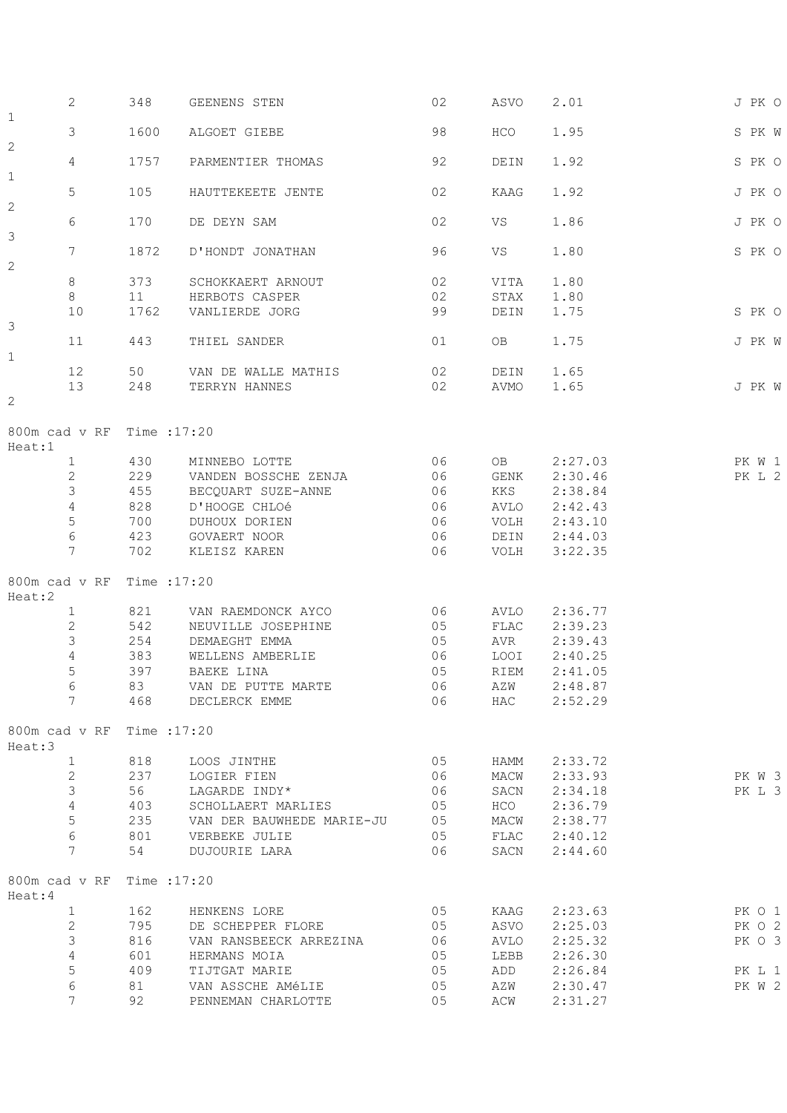|                                      | $\mathbf{2}$    | 348  | GEENENS STEN                 | 02 | ASVO       | 2.01               | J PK O |
|--------------------------------------|-----------------|------|------------------------------|----|------------|--------------------|--------|
| $1\,$                                | 3               | 1600 | ALGOET GIEBE                 | 98 | <b>HCO</b> | 1.95               | S PK W |
| $\mathbf{2}$                         | 4               | 1757 | PARMENTIER THOMAS            | 92 | DEIN       | 1.92               | S PK O |
| $1\,$                                |                 |      |                              |    |            |                    |        |
| $\mathbf{2}$                         | 5               | 105  | HAUTTEKEETE JENTE            | 02 | KAAG       | 1.92               | J PK O |
| 3                                    | 6               | 170  | DE DEYN SAM                  | 02 | VS         | 1.86               | J PK O |
|                                      | 7               | 1872 | D'HONDT JONATHAN             | 96 | VS         | 1.80               | S PK O |
| $\mathbf{2}$                         | $8\,$           | 373  | SCHOKKAERT ARNOUT            | 02 | VITA       | 1.80               |        |
|                                      | 8               | 11   | HERBOTS CASPER               | 02 | STAX       | 1.80               |        |
|                                      | 10              | 1762 | VANLIERDE JORG               | 99 | DEIN       | 1.75               | S PK O |
| 3                                    |                 |      |                              |    |            |                    |        |
| $\mathbf 1$                          | 11              | 443  | THIEL SANDER                 | 01 | OB.        | 1.75               | J PK W |
|                                      | 12              | 50   | VAN DE WALLE MATHIS          | 02 | DEIN       | 1.65               |        |
|                                      | 13              | 248  | TERRYN HANNES                | 02 | AVMO       | 1.65               | J PK W |
| $\overline{c}$                       |                 |      |                              |    |            |                    |        |
| 800m cad v RF Time : 17:20<br>Heat:1 |                 |      |                              |    |            |                    |        |
|                                      | $\mathbf 1$     | 430  | MINNEBO LOTTE                | 06 | OB         | 2:27.03            | PK W 1 |
|                                      | $\mathbf{2}$    | 229  | VANDEN BOSSCHE ZENJA         | 06 | GENK       | 2:30.46            | PK L 2 |
|                                      | 3               | 455  | BECQUART SUZE-ANNE           | 06 | KKS        | 2:38.84            |        |
|                                      | $\overline{4}$  | 828  | D'HOOGE CHLOé                | 06 | AVLO       | 2:42.43            |        |
|                                      | 5               | 700  | DUHOUX DORIEN                | 06 | VOLH       | 2:43.10            |        |
|                                      | $\epsilon$      | 423  |                              | 06 | DEIN       |                    |        |
|                                      | $\overline{7}$  | 702  | GOVAERT NOOR<br>KLEISZ KAREN | 06 | VOLH       | 2:44.03<br>3:22.35 |        |
|                                      |                 |      |                              |    |            |                    |        |
| 800m cad v RF Time : 17:20<br>Heat:2 |                 |      |                              |    |            |                    |        |
| $\mathbf{1}$                         |                 | 821  | VAN RAEMDONCK AYCO           | 06 | AVLO       | 2:36.77            |        |
|                                      | $\mathbf{2}$    | 542  | NEUVILLE JOSEPHINE           | 05 | FLAC       | 2:39.23            |        |
|                                      | 3               |      |                              | 05 |            | 2:39.43            |        |
|                                      |                 | 254  | DEMAEGHT EMMA                |    | AVR        |                    |        |
|                                      | $\overline{4}$  | 383  | WELLENS AMBERLIE             | 06 | LOOI       | 2:40.25            |        |
|                                      | 5               | 397  | BAEKE LINA                   | 05 | RIEM       | 2:41.05            |        |
| $6\phantom{1}6$                      |                 | 83   | VAN DE PUTTE MARTE           | 06 | <b>AZW</b> | 2:48.87            |        |
|                                      | $7\overline{ }$ | 468  | DECLERCK EMME                | 06 | HAC        | 2:52.29            |        |
| 800m cad v RF Time : 17:20<br>Heat:3 |                 |      |                              |    |            |                    |        |
|                                      | $\mathbf{1}$    | 818  | LOOS JINTHE                  | 05 | HAMM       | 2:33.72            |        |
|                                      | $\mathbf{2}$    | 237  | LOGIER FIEN                  | 06 | MACW       | 2:33.93            | PK W 3 |
|                                      | 3               | 56   | LAGARDE INDY*                | 06 | SACN       | 2:34.18            | PK L 3 |
|                                      | $\overline{4}$  | 403  | SCHOLLAERT MARLIES           | 05 | HCO        | 2:36.79            |        |
|                                      | 5               | 235  | VAN DER BAUWHEDE MARIE-JU    | 05 | MACW       | 2:38.77            |        |
|                                      | 6               | 801  | VERBEKE JULIE                | 05 | FLAC       | 2:40.12            |        |
|                                      | 7               | 54   | DUJOURIE LARA                | 06 | SACN       | 2:44.60            |        |
| 800m cad v RF Time : 17:20<br>Heat:4 |                 |      |                              |    |            |                    |        |
|                                      | $\mathbf 1$     | 162  | HENKENS LORE                 | 05 | KAAG       | 2:23.63            | PK O 1 |
|                                      | $\overline{c}$  | 795  | DE SCHEPPER FLORE            | 05 | ASVO       | 2:25.03            | PK O 2 |
|                                      | 3               | 816  | VAN RANSBEECK ARREZINA       | 06 | AVLO       | 2:25.32            | PK O 3 |
|                                      | $\overline{4}$  | 601  | HERMANS MOIA                 | 05 | LEBB       | 2:26.30            |        |
|                                      | 5               | 409  | TIJTGAT MARIE                | 05 | ADD        | 2:26.84            | PK L 1 |
|                                      | 6               | 81   | VAN ASSCHE AMéLIE            | 05 | AZW        | 2:30.47            | PK W 2 |
|                                      | 7               | 92   | PENNEMAN CHARLOTTE           | 05 | ACW        | 2:31.27            |        |
|                                      |                 |      |                              |    |            |                    |        |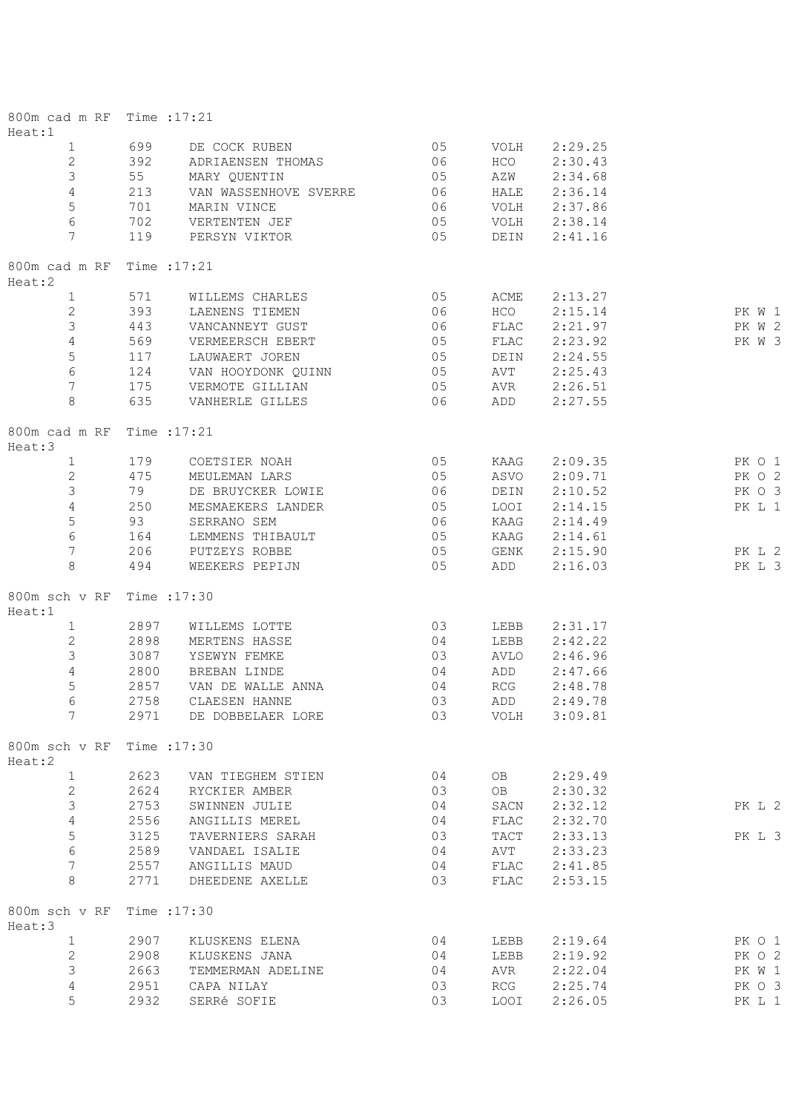| 800m cad m RF Time : 17:21<br>Heat:1 |              |                       |          |                    |                    |        |
|--------------------------------------|--------------|-----------------------|----------|--------------------|--------------------|--------|
| $\mathbf{1}$                         | 699          | DE COCK RUBEN         | 05       | VOLH               | 2:29.25            |        |
| 2                                    | 392          | ADRIAENSEN THOMAS     | 06       | HCO                | 2:30.43            |        |
| 3                                    | 55           | MARY QUENTIN          | 05       | AZW                | 2:34.68            |        |
| $\overline{4}$                       | 213          | VAN WASSENHOVE SVERRE | 06       | HALE               | 2:36.14            |        |
| 5                                    | 701          | MARIN VINCE           | 06       | VOLH               | 2:37.86            |        |
| 6                                    | 702          | VERTENTEN JEF         | 05       | VOLH               | 2:38.14            |        |
| 7                                    | 119          | PERSYN VIKTOR         | 05       | DEIN               | 2:41.16            |        |
| 800m cad m RF                        | Time : 17:21 |                       |          |                    |                    |        |
| Heat:2                               |              |                       |          |                    |                    |        |
| $\mathbf{1}$                         | 571          | WILLEMS CHARLES       | 05       | ACME               | 2:13.27            |        |
| $\mathbf{2}$                         | 393          | LAENENS TIEMEN        | 06       | HCO                | 2:15.14            | PK W 1 |
| 3                                    | 443          | VANCANNEYT GUST       | 06       | FLAC               | 2:21.97            | PK W 2 |
| $\overline{4}$                       | 569          | VERMEERSCH EBERT      | 05       | FLAC               | 2:23.92            | PK W 3 |
| $\mathbf 5$                          | 117          | LAUWAERT JOREN        | 05       | DEIN               | 2:24.55            |        |
| $\epsilon$                           | 124          | VAN HOOYDONK QUINN    | 05       | AVT                | 2:25.43            |        |
| $\overline{7}$                       | 175          | VERMOTE GILLIAN       | 05       | AVR                | 2:26.51            |        |
| 8                                    | 635          | VANHERLE GILLES       | 06       | ADD                | 2:27.55            |        |
| 800m cad m RF<br>Heat:3              | Time : 17:21 |                       |          |                    |                    |        |
| $\mathbf{1}$                         | 179          | COETSIER NOAH         | 05       | KAAG               | 2:09.35            | PK 0 1 |
| 2                                    |              |                       |          |                    |                    |        |
|                                      | 475          | MEULEMAN LARS         | 05       | ASVO               | 2:09.71            | PK O 2 |
| 3                                    | 79           | DE BRUYCKER LOWIE     | 06       | DEIN               | 2:10.52            | PK O 3 |
| $\overline{4}$                       | 250          | MESMAEKERS LANDER     | 05       | LOOI               | 2:14.15            | PK L 1 |
| $\mathsf S$                          | 93           | SERRANO SEM           | 06       | KAAG               | 2:14.49            |        |
| 6                                    | 164          | LEMMENS THIBAULT      | 05       | KAAG               | 2:14.61            |        |
| 7                                    | 206          | PUTZEYS ROBBE         | 05       | GENK               | 2:15.90            | PK L 2 |
| 8                                    | 494          | WEEKERS PEPIJN        | 05       | ADD                | 2:16.03            | PK L 3 |
| 800m sch v RF<br>Heat:1              | Time : 17:30 |                       |          |                    |                    |        |
| $\mathbf{1}$                         | 2897         | WILLEMS LOTTE         | 03       | LEBB               | 2:31.17            |        |
| $\mathbf{2}$                         | 2898         | MERTENS HASSE         | 04       | LEBB               | 2:42.22            |        |
| $\mathsf 3$                          | 3087         | YSEWYN FEMKE          | 03       | AVLO               | 2:46.96            |        |
| $\overline{4}$                       | 2800         | BREBAN LINDE          | 04       | ADD                | 2:47.66            |        |
| 5                                    |              |                       |          |                    |                    |        |
|                                      | 2857         | VAN DE WALLE ANNA     | 04       | RCG                | 2:48.78            |        |
| 6<br>7                               | 2758         | CLAESEN HANNE         | 03<br>03 | ADD<br><b>VOLH</b> | 2:49.78<br>3:09.81 |        |
|                                      | 2971         | DE DOBBELAER LORE     |          |                    |                    |        |
| 800m sch v RF<br>Heat:2              | Time : 17:30 |                       |          |                    |                    |        |
| $\mathbf{1}$                         | 2623         | VAN TIEGHEM STIEN     | 04       | OB.                | 2:29.49            |        |
| $\overline{c}$                       | 2624         | RYCKIER AMBER         | 03       | OB                 | 2:30.32            |        |
| 3                                    | 2753         | SWINNEN JULIE         | 04       | SACN               | 2:32.12            | PK L 2 |
| $\overline{4}$                       | 2556         | ANGILLIS MEREL        | 04       | ${\tt FLAC}$       | 2:32.70            |        |
| 5                                    | 3125         | TAVERNIERS SARAH      | 03       | TACT               | 2:33.13            | PK L 3 |
| $\epsilon$                           | 2589         | VANDAEL ISALIE        | 04       | AVT                | 2:33.23            |        |
| 7                                    | 2557         | ANGILLIS MAUD         | 04       | ${\tt FLAC}$       | 2:41.85            |        |
| 8                                    | 2771         | DHEEDENE AXELLE       | 03       | ${\tt FLAC}$       | 2:53.15            |        |
| 800m sch v RF                        | Time : 17:30 |                       |          |                    |                    |        |
| Heat:3                               |              |                       |          |                    |                    |        |
| $\mathbf{1}$                         | 2907         | KLUSKENS ELENA        | 04       | LEBB               | 2:19.64            | PK O 1 |
| $\mathbf{2}$                         | 2908         | KLUSKENS JANA         | 04       | LEBB               | 2:19.92            | PK O 2 |
| 3                                    | 2663         | TEMMERMAN ADELINE     | 04       | AVR                | 2:22.04            | PK W 1 |
| $\sqrt{4}$                           | 2951         | CAPA NILAY            | 03       | RCG                | 2:25.74            | PK O 3 |
| 5                                    | 2932         | SERRé SOFIE           | 03       | <b>LOOI</b>        | 2:26.05            | PK L 1 |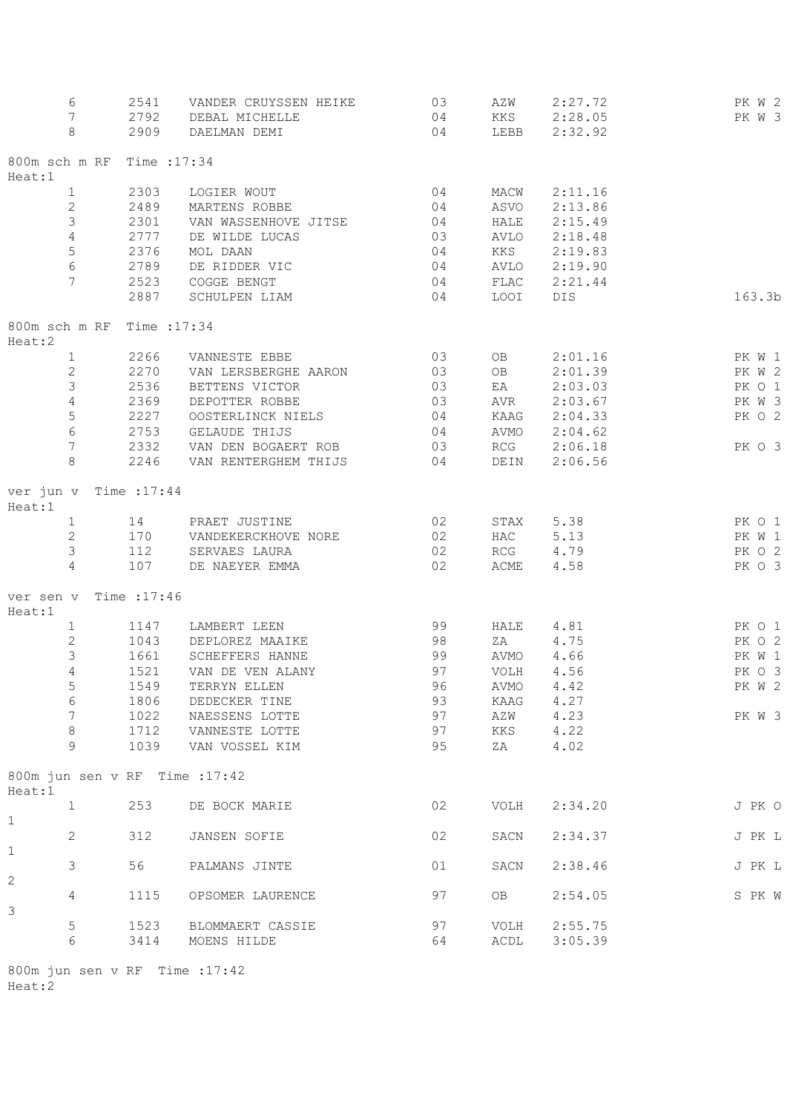| 6                                        | 2541         | VANDER CRUYSSEN HEIKE | $\overline{03}$ | AZW       | 2:27.72   | PK W 2 |
|------------------------------------------|--------------|-----------------------|-----------------|-----------|-----------|--------|
| $7\phantom{.0}$                          | 2792         | DEBAL MICHELLE        | 04              | KKS       | 2:28.05   | PK W 3 |
| 8                                        | 2909         | DAELMAN DEMI          | 04              | LEBB      | 2:32.92   |        |
| 800m sch m RF                            | Time : 17:34 |                       |                 |           |           |        |
| Heat:1                                   |              |                       |                 |           |           |        |
| $\mathbf{1}$                             | 2303         | LOGIER WOUT           | 04              | MACW      | 2:11.16   |        |
| $\sqrt{2}$                               | 2489         | MARTENS ROBBE         | 04              | ASVO      | 2:13.86   |        |
| 3                                        | 2301         | VAN WASSENHOVE JITSE  | 04              | HALE      | 2:15.49   |        |
| 4                                        | 2777         | DE WILDE LUCAS        | 03              | AVLO      | 2:18.48   |        |
| 5                                        | 2376         | MOL DAAN              | 04              | KKS       | 2:19.83   |        |
| $\sqrt{6}$                               | 2789         | DE RIDDER VIC         | 04              | AVLO      | 2:19.90   |        |
| 7                                        | 2523         | COGGE BENGT           | 04              | FLAC      | 2:21.44   |        |
|                                          | 2887         | SCHULPEN LIAM         | 04              | LOOI      | DIS       | 163.3b |
| 800m sch m RF Time : 17:34               |              |                       |                 |           |           |        |
| Heat:2                                   |              |                       |                 |           |           |        |
| $\mathbf{1}$                             | 2266         | VANNESTE EBBE         | 03              | OB        | 2:01.16   | PK W 1 |
| $\mathbf{2}$                             | 2270         | VAN LERSBERGHE AARON  | 03              | OB        | 2:01.39   | PK W 2 |
| 3                                        | 2536         | BETTENS VICTOR        | 03              | EA        | 2:03.03   | PK O 1 |
| 4                                        | 2369         | DEPOTTER ROBBE        | 03              | AVR       | 2:03.67   | PK W 3 |
| $\mathsf S$                              | 2227         | OOSTERLINCK NIELS     | 04              | KAAG      | 2:04.33   | PK O 2 |
| $\epsilon$                               | 2753         | GELAUDE THIJS         | 04              | AVMO      | 2:04.62   |        |
| 7                                        | 2332         | VAN DEN BOGAERT ROB   | 03              | RCG       | 2:06.18   | PK O 3 |
| 8                                        | 2246         | VAN RENTERGHEM THIJS  | 04              | DEIN      | 2:06.56   |        |
| ver jun v Time : 17:44<br>Heat:1         |              |                       |                 |           |           |        |
| $\mathbf{1}$                             | 14           | PRAET JUSTINE         | 02              | STAX      | 5.38      | PK O 1 |
| $\mathbf{2}$                             | 170          | VANDEKERCKHOVE NORE   | 02              | HAC       | 5.13      | PK W 1 |
| 3                                        | 112          | SERVAES LAURA         | 02              | RCG       | 4.79      | PK O 2 |
| 4                                        | 107          | DE NAEYER EMMA        | 02              | ACME      | 4.58      | PK O 3 |
| ver sen v<br>Heat:1                      | Time : 17:46 |                       |                 |           |           |        |
| $\mathbf{1}$                             | 1147         | LAMBERT LEEN          | 99              | HALE      | 4.81      | PK O 1 |
| $\mathbf{2}$                             | 1043         | DEPLOREZ MAAIKE       | 98              | ZA        | 4.75      | PK O 2 |
| 3                                        | 1661         | SCHEFFERS HANNE       | 99              |           | AVMO 4.66 | PK W 1 |
| 4                                        | 1521         | VAN DE VEN ALANY      | 97              | VOLH      | 4.56      | PK O 3 |
| 5                                        |              |                       |                 | AVMO 4.42 |           | PK W 2 |
|                                          |              | 1549 TERRYN ELLEN     | 96              |           |           |        |
| $\epsilon$                               | 1806         | DEDECKER TINE         | 93              | KAAG      | 4.27      |        |
| $\boldsymbol{7}$                         | 1022         | NAESSENS LOTTE        | 97              | AZW       | 4.23      | PK W 3 |
| $\,8\,$                                  | 1712         | VANNESTE LOTTE        | 97              | KKS       | 4.22      |        |
| 9                                        | 1039         | VAN VOSSEL KIM        | 95              | ΖA        | 4.02      |        |
| 800m jun sen v RF Time : 17:42<br>Heat:1 |              |                       |                 |           |           |        |
| $\mathbf{1}$<br>$\mathbf 1$              | 253          | DE BOCK MARIE         | 02              | VOLH      | 2:34.20   | J PK O |
| 2<br>$\mathbf 1$                         | 312          | JANSEN SOFIE          | 02              | SACN      | 2:34.37   | J PK L |
| 3                                        | 56           | PALMANS JINTE         | 01              | SACN      | 2:38.46   | J PK L |
| 2<br>4                                   | 1115         | OPSOMER LAURENCE      | 97              | OB.       | 2:54.05   | S PK W |
| 3                                        |              |                       |                 |           |           |        |
| $\mathsf S$                              | 1523         | BLOMMAERT CASSIE      | 97              | VOLH      | 2:55.75   |        |
| 6                                        | 3414         | MOENS HILDE           | 64              | ACDL      | 3:05.39   |        |
|                                          |              |                       |                 |           |           |        |

800m jun sen v RF Time :17:42 Heat:2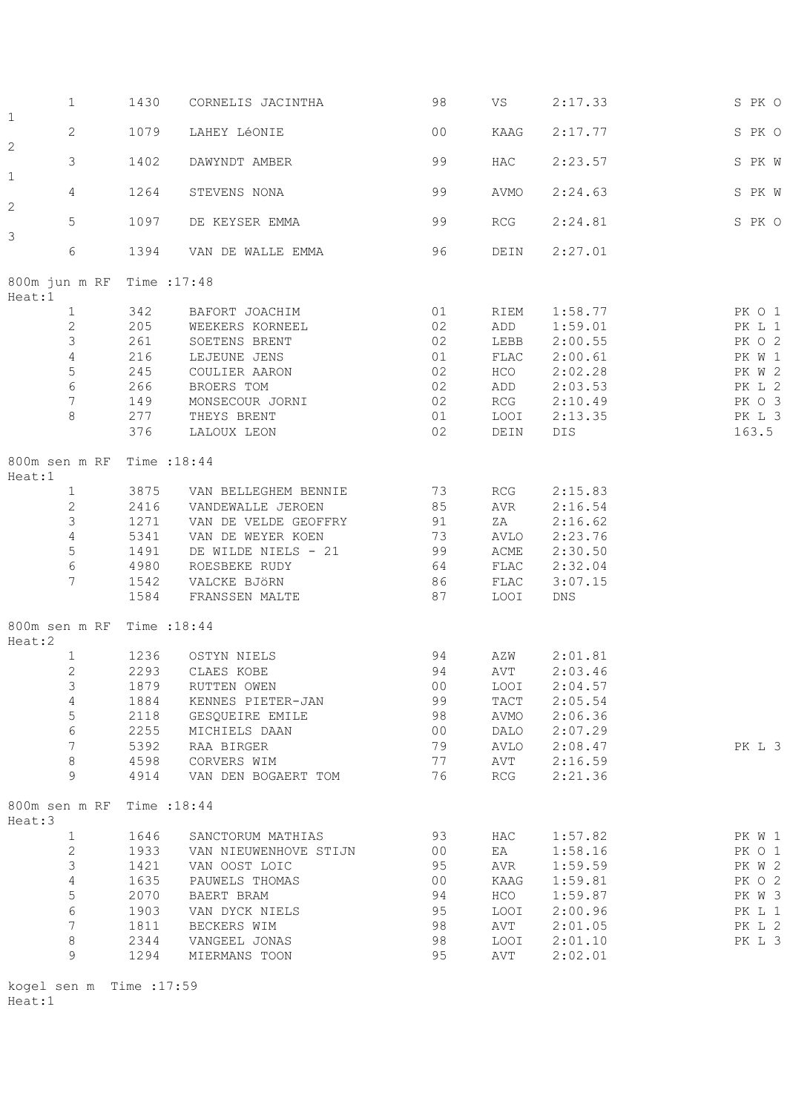|                         | $\mathbf{1}$     | 1430                       | CORNELIS JACINTHA          | 98              | VS            | 2:17.33 | S PK O |
|-------------------------|------------------|----------------------------|----------------------------|-----------------|---------------|---------|--------|
| $\mathbf 1$             | $\mathbf{2}$     | 1079                       | LAHEY LÉONIE               | 0 <sub>0</sub>  | KAAG          | 2:17.77 | S PK O |
| $\overline{c}$          | 3                | 1402                       | DAWYNDT AMBER              | 99              | HAC           | 2:23.57 | S PK W |
| $\mathbf 1$             | $\overline{4}$   | 1264                       | STEVENS NONA               | 99              | AVMO          | 2:24.63 | S PK W |
| 2                       | 5                | 1097                       | DE KEYSER EMMA             | 99              | RCG           | 2:24.81 | S PK O |
| 3                       | $\epsilon$       | 1394                       | 96<br>VAN DE WALLE EMMA    |                 | DEIN          | 2:27.01 |        |
|                         |                  | 800m jun m RF Time : 17:48 |                            |                 |               |         |        |
| Heat:1                  |                  |                            | 342 BAFORT JOACHIM         |                 |               |         |        |
|                         | $\mathbf{1}$     |                            |                            | 01              | RIEM          | 1:58.77 | PK O 1 |
|                         | $\mathbf{2}$     | 205                        | WEEKERS KORNEEL            | 02              | ADD           | 1:59.01 | PK L 1 |
|                         | 3                | 261                        | SOETENS BRENT              | 02              | LEBB          | 2:00.55 | PK O 2 |
|                         | $\overline{4}$   | 216                        | LEJEUNE JENS               | 01              | FLAC          | 2:00.61 | PK W 1 |
|                         | $\mathsf S$      | 245                        | COULIER AARON              | 02              | HCO           | 2:02.28 | PK W 2 |
|                         | $\sqrt{6}$       | 266                        |                            | 02              |               | 2:03.53 |        |
|                         |                  |                            | BROERS TOM                 |                 | ADD           |         | PK L 2 |
|                         | $7\phantom{.0}$  | 149                        | MONSECOUR JORNI            | 02              | RCG           | 2:10.49 | PK O 3 |
|                         | 8                | 277                        | THEYS BRENT                | 01              | LOOI          | 2:13.35 | PK L 3 |
|                         |                  | 376                        | LALOUX LEON                | 02              | DEIN          | DIS     | 163.5  |
| Heat:1                  |                  | 800m sen m RF Time : 18:44 |                            |                 |               |         |        |
|                         | $\mathbf{1}$     | 3875                       | 73<br>VAN BELLEGHEM BENNIE |                 | RCG           | 2:15.83 |        |
|                         | $\mathbf{2}$     | 2416                       | VANDEWALLE JEROEN          | 85              | AVR           | 2:16.54 |        |
|                         | 3                | 1271                       | VAN DE VELDE GEOFFRY<br>91 |                 | ZA            | 2:16.62 |        |
|                         |                  |                            |                            |                 |               |         |        |
|                         | $\overline{4}$   | 5341                       | VAN DE WEYER KOEN<br>73    |                 | AVLO          | 2:23.76 |        |
|                         | $\mathsf S$      | 1491                       | 99<br>DE WILDE NIELS - 21  |                 | ACME          | 2:30.50 |        |
|                         | $\sqrt{6}$       | 4980                       | ROESBEKE RUDY              | 64              | FLAC          | 2:32.04 |        |
|                         | $7\phantom{.0}$  | 1542                       | VALCKE BJÖRN               | 86              | FLAC          | 3:07.15 |        |
|                         |                  | 1584                       | FRANSSEN MALTE             | 87              | LOOI          | DNS     |        |
| Heat:2                  |                  | 800m sen m RF Time : 18:44 |                            |                 |               |         |        |
|                         | $\mathbf{1}$     |                            | 1236 OSTYN NIELS           | 94              | AZW           | 2:01.81 |        |
|                         | $\mathbf{2}$     | 2293                       | CLAES KOBE                 | 94              | AVT           | 2:03.46 |        |
|                         | 3                | 1879                       |                            | 00 <sub>o</sub> | LOOI          | 2:04.57 |        |
|                         |                  |                            | RUTTEN OWEN                |                 |               |         |        |
|                         | $\overline{4}$   | 1884                       | KENNES PIETER-JAN          | 99              | $_{\rm TACT}$ | 2:05.54 |        |
|                         | $\mathsf S$      | 2118                       | GESQUEIRE EMILE            | 98              | AVMO          | 2:06.36 |        |
|                         | $\epsilon$       | 2255                       | MICHIELS DAAN              | 0 <sub>0</sub>  | DALO          | 2:07.29 |        |
|                         | $\boldsymbol{7}$ | 5392                       | RAA BIRGER                 | 79              | AVLO          | 2:08.47 | PK L 3 |
|                         | $\,8\,$          | 4598                       | CORVERS WIM                | 77              | AVT           | 2:16.59 |        |
|                         | 9                | 4914                       | VAN DEN BOGAERT TOM        | 76              | RCG           | 2:21.36 |        |
| 800m sen m RF<br>Heat:3 |                  | Time : 18:44               |                            |                 |               |         |        |
|                         | $\mathbf{1}$     | 1646                       | SANCTORUM MATHIAS          | 93              | HAC           | 1:57.82 | PK W 1 |
|                         | $\mathbf{2}$     | 1933                       | VAN NIEUWENHOVE STIJN      | 0 <sup>0</sup>  | EA            | 1:58.16 | PK O 1 |
|                         |                  |                            |                            |                 |               |         |        |
|                         | $\mathsf 3$      | 1421                       | VAN OOST LOIC              | 95              | AVR           | 1:59.59 | PK W 2 |
|                         | $\overline{4}$   | 1635                       | PAUWELS THOMAS             | 0 <sup>0</sup>  | KAAG          | 1:59.81 | PK O 2 |
|                         | 5                | 2070                       | BAERT BRAM                 | 94              | HCO           | 1:59.87 | PK W 3 |
|                         | $\epsilon$       | 1903                       | VAN DYCK NIELS             | 95              | LOOI          | 2:00.96 | PK L 1 |
|                         | $\boldsymbol{7}$ | 1811                       | BECKERS WIM                | 98              | AVT           | 2:01.05 | PK L 2 |
|                         | $\,8\,$          | 2344                       |                            |                 |               |         |        |
|                         |                  |                            | VANGEEL JONAS              | 98              | LOOI          | 2:01.10 | PK L 3 |
|                         | 9                | 1294                       | MIERMANS TOON              | 95              | AVT           | 2:02.01 |        |

kogel sen m Time :17:59 Heat:1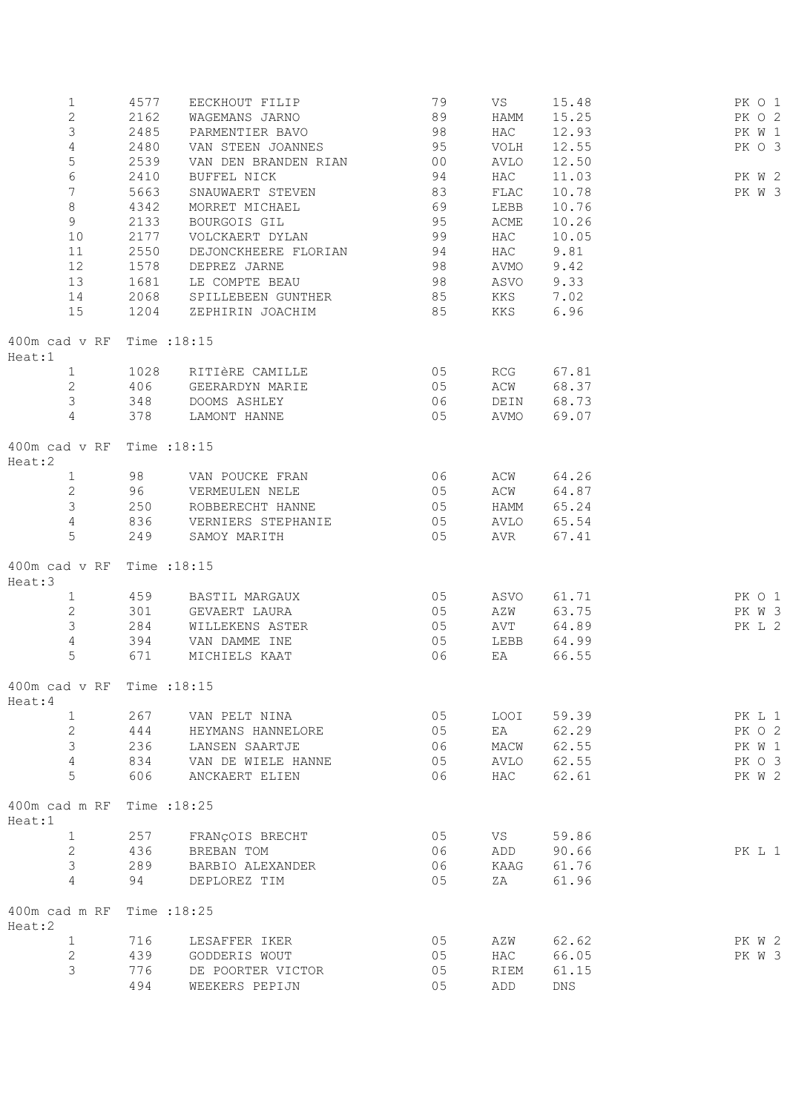| $\mathbf{1}$                             | 4577      | EECKHOUT FILIP                   | 79       | VS         | 15.48          | PK 0 1 |
|------------------------------------------|-----------|----------------------------------|----------|------------|----------------|--------|
| $\mathbf{2}$                             | 2162      | WAGEMANS JARNO                   | 89       | HAMM       | 15.25          | PK O 2 |
| $\mathfrak{Z}$                           | 2485      | PARMENTIER BAVO                  | 98       | HAC        | 12.93          | PK W 1 |
| $\overline{4}$                           | 2480      | VAN STEEN JOANNES                | 95       | VOLH       | 12.55          | PK O 3 |
| 5                                        | 2539      | VAN DEN BRANDEN RIAN 00          |          | AVLO       | 12.50          |        |
| 6                                        | 2410      | BUFFEL NICK                      | 94       | HAC        | 11.03          | PK W 2 |
| $7\phantom{.}$                           | 5663      | SNAUWAERT STEVEN                 | 83       | FLAC       | 10.78          | PK W 3 |
| 8                                        | 4342      | MORRET MICHAEL                   | 69       |            |                |        |
|                                          |           |                                  |          | LEBB       | 10.76          |        |
| $\overline{9}$                           | 2133      | BOURGOIS GIL                     | 95       | ACME       | 10.26          |        |
| 10                                       | 2177      | VOLCKAERT DYLAN                  | 99       | HAC        | 10.05          |        |
| 11                                       | 2550      | DEJONCKHEERE FLORIAN             | 94       | HAC        | 9.81           |        |
| 12                                       | 1578      | DEPREZ JARNE                     | 98       | AVMO       | 9.42           |        |
| 13                                       | 1681      | LE COMPTE BEAU                   | 98       | ASVO       | 9.33           |        |
| 14                                       | 2068      | SPILLEBEEN GUNTHER 85            |          | KKS 7.02   |                |        |
| 15                                       | 1204      | ZEPHIRIN JOACHIM 85              |          | KKS        | 6.96           |        |
| 400m cad v RF<br>Heat:1                  |           | Time :18:15                      |          |            |                |        |
| 1                                        | 1028      | RITIÈRE CAMILLE                  | 05       |            | RCG 67.81      |        |
| $\overline{2}$                           | 406       | GEERARDYN MARIE                  | 05       | ACW        | 68.37          |        |
| $\mathfrak{Z}$                           | 348       | DOOMS ASHLEY                     | 06       |            | DEIN 68.73     |        |
| $\overline{4}$                           | 378       | LAMONT HANNE                     | 05       | AVMO       | 69.07          |        |
|                                          |           |                                  |          |            |                |        |
| $400m$ cad $v$ RF<br>Heat:2              |           | Time : 18:15                     |          |            |                |        |
| $1 \quad$                                | 98 — 10   | VAN POUCKE FRAN                  | 06       | ACW        | 64.26          |        |
| $\overline{2}$                           |           | 96 VERMEULEN NELE                | 05       |            | ACW 64.87      |        |
| $\mathcal{S}$                            | 250       | ROBBERECHT HANNE                 | 05       | HAMM       | 65.24          |        |
| $\overline{4}$                           | 836       | VERNIERS STEPHANIE               | 05       |            | AVLO 65.54     |        |
| 5                                        | 249       | SAMOY MARITH                     | 05       | AVR        | 67.41          |        |
| 400m cad v RF Time : 18:15<br>Heat:3     |           |                                  |          |            |                |        |
| $\mathbf{1}$                             | 459       | BASTIL MARGAUX 05                |          | ASVO       | 61.71          | PK O 1 |
| $\overline{2}$                           | 301       | GEVAERT LAURA                    | 05       | AZW        | 63.75          | PK W 3 |
| $\mathcal{S}$                            | 284       | WILLEKENS ASTER                  | 05       |            | 64.89          |        |
| $\overline{4}$                           |           |                                  |          | AVT        |                | PK L 2 |
|                                          | 394       | VAN DAMME INE                    | 05       | LEBB       | 64.99          |        |
| 5                                        | 671       | MICHIELS KAAT                    | 06       | EA         | 66.55          |        |
| $400m$ cad v RF Time : $18:15$<br>Heat:4 |           |                                  |          |            |                |        |
| $\mathbf{1}$                             | 267       | VAN PELT NINA                    | 05       | LOOI       | 59.39          | PK L 1 |
| $\mathbf{2}$                             | 444       | HEYMANS HANNELORE                | 05       | EA         | 62.29          | PK O 2 |
| $\mathfrak{Z}$                           | 236       | LANSEN SAARTJE                   | 06       | MACW       | 62.55          | PK W 1 |
| $\overline{4}$                           | 834       | VAN DE WIELE HANNE               | 05       | AVLO       | 62.55          | PK O 3 |
| 5                                        | 606       | ANCKAERT ELIEN                   | 06       | HAC        | 62.61          | PK W 2 |
| 400m cad m RF<br>Heat:1                  |           | Time : 18:25                     |          |            |                |        |
| $\mathbf{1}$                             | 257       | FRANÇOIS BRECHT                  | 05       | VS         | 59.86          |        |
| $\mathbf{2}$                             | 436       | BREBAN TOM                       | 06       | ADD        | 90.66          | PK L 1 |
|                                          |           |                                  |          |            |                |        |
| $\mathfrak{Z}$<br>$\overline{4}$         | 289<br>94 | BARBIO ALEXANDER<br>DEPLOREZ TIM | 06<br>05 | KAAG<br>ΖA | 61.76<br>61.96 |        |
|                                          |           |                                  |          |            |                |        |
| 400m cad m RF<br>Heat:2                  |           | Time : 18:25                     |          |            |                |        |
| $\mathbf{1}$                             | 716       | LESAFFER IKER                    | 05       | AZW        | 62.62          | PK W 2 |
| 2                                        | 439       | GODDERIS WOUT                    | 05       | HAC        | 66.05          | PK W 3 |
| 3                                        | 776       | DE POORTER VICTOR                | 05       | RIEM       | 61.15          |        |
|                                          | 494       | WEEKERS PEPIJN                   | 05       | ADD        | <b>DNS</b>     |        |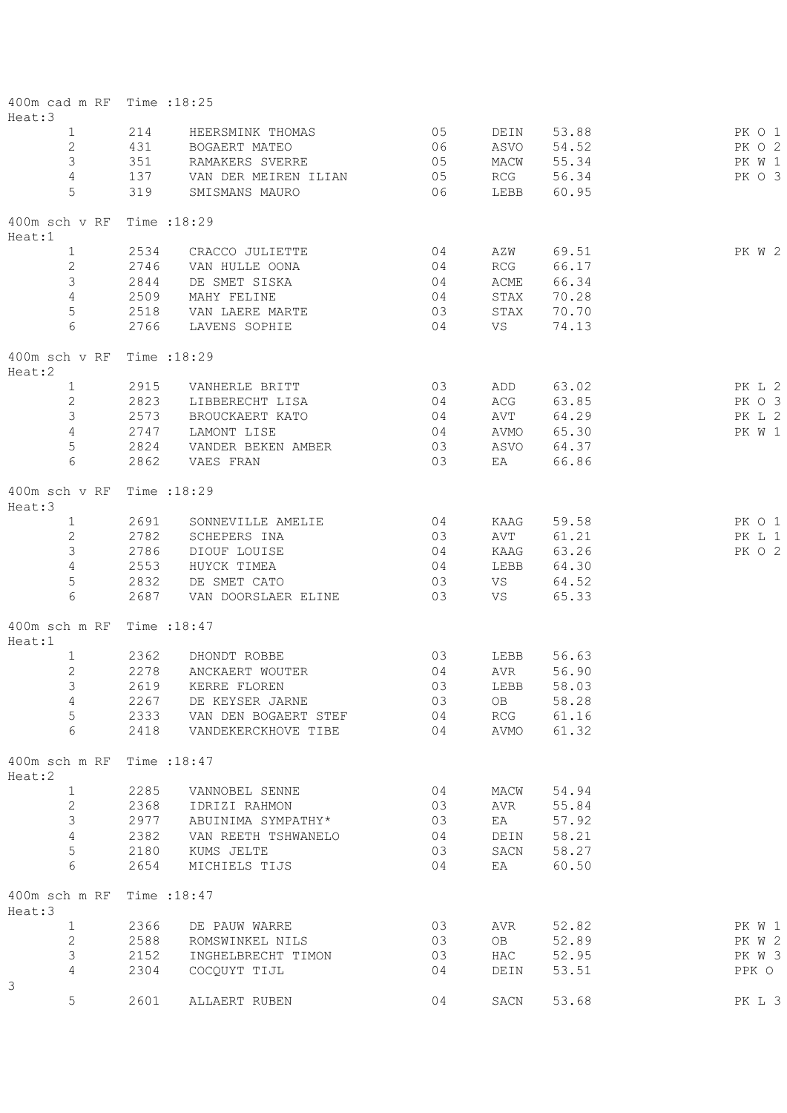| 400m cad m RF Time :18:25<br>Heat:3  |      |                      |    |            |       |        |
|--------------------------------------|------|----------------------|----|------------|-------|--------|
| $\mathbf{1}$                         | 214  | HEERSMINK THOMAS     | 05 | DEIN       | 53.88 | PK 0 1 |
| $\mathbf{2}$                         | 431  | BOGAERT MATEO        | 06 | ASVO       | 54.52 | PK 0 2 |
| 3                                    | 351  | RAMAKERS SVERRE      | 05 | MACW       | 55.34 | PK W 1 |
| $\overline{4}$                       | 137  | VAN DER MEIREN ILIAN | 05 | RCG        | 56.34 | PK 0 3 |
| $5\phantom{.}$                       | 319  | SMISMANS MAURO       | 06 | LEBB       | 60.95 |        |
| 400m sch v RF Time : 18:29<br>Heat:1 |      |                      |    |            |       |        |
| $\mathbf{1}$                         | 2534 | CRACCO JULIETTE      | 04 | AZW        | 69.51 | PK W 2 |
| $\overline{2}$                       | 2746 | VAN HULLE OONA       | 04 | RCG        | 66.17 |        |
| $\mathfrak{Z}$                       | 2844 | DE SMET SISKA        | 04 | ACME       | 66.34 |        |
| 4                                    | 2509 | MAHY FELINE          | 04 | STAX       | 70.28 |        |
| $\mathsf S$                          | 2518 | VAN LAERE MARTE      | 03 | STAX       | 70.70 |        |
| 6                                    | 2766 | LAVENS SOPHIE        | 04 | VS         | 74.13 |        |
| 400m sch v RF<br>Heat:2              |      | Time : 18:29         |    |            |       |        |
| $\mathbf{1}$                         | 2915 | VANHERLE BRITT       | 03 | ADD        | 63.02 | PK L 2 |
| $\overline{2}$                       | 2823 | LIBBERECHT LISA      | 04 | ACG        | 63.85 | PK O 3 |
| 3                                    | 2573 | BROUCKAERT KATO      | 04 | AVT        | 64.29 | PK L 2 |
| 4                                    | 2747 | LAMONT LISE          | 04 | AVMO       | 65.30 | PK W 1 |
| $\mathsf S$                          | 2824 | VANDER BEKEN AMBER   | 03 | ASVO       | 64.37 |        |
| 6                                    | 2862 | VAES FRAN            | 03 | EA         | 66.86 |        |
| 400m sch v RF<br>Heat:3              |      | Time : 18:29         |    |            |       |        |
| $\mathbf{1}$                         | 2691 | SONNEVILLE AMELIE    | 04 | KAAG       | 59.58 | PK 0 1 |
| $\mathbf{2}$                         | 2782 | SCHEPERS INA         | 03 | AVT        | 61.21 | PK L 1 |
| 3                                    | 2786 | DIOUF LOUISE         | 04 | KAAG       | 63.26 | PK O 2 |
| 4                                    | 2553 | HUYCK TIMEA          | 04 | LEBB       | 64.30 |        |
| $\mathsf S$                          | 2832 | DE SMET CATO         | 03 | VS         | 64.52 |        |
| 6                                    | 2687 | VAN DOORSLAER ELINE  | 03 | VS         | 65.33 |        |
| 400m sch m RF<br>Heat:1              |      | Time : 18:47         |    |            |       |        |
| $\mathbf{1}$                         | 2362 | DHONDT ROBBE         | 03 | LEBB       | 56.63 |        |
| $\overline{c}$                       | 2278 | ANCKAERT WOUTER      | 04 | AVR        | 56.90 |        |
| 3                                    | 2619 | KERRE FLOREN         | 03 | LEBB       | 58.03 |        |
| $\overline{4}$                       | 2267 | DE KEYSER JARNE      | 03 | OB         | 58.28 |        |
| 5                                    | 2333 | VAN DEN BOGAERT STEF | 04 | <b>RCG</b> | 61.16 |        |
| 6                                    | 2418 | VANDEKERCKHOVE TIBE  | 04 | AVMO       | 61.32 |        |
| 400m sch m RF<br>Heat:2              |      | Time : 18:47         |    |            |       |        |
| $\mathbf{1}$                         | 2285 | VANNOBEL SENNE       | 04 | MACW       | 54.94 |        |
| $\mathbf{2}$                         | 2368 | IDRIZI RAHMON        | 03 | AVR        | 55.84 |        |
| 3                                    | 2977 | ABUINIMA SYMPATHY*   | 03 | EA         | 57.92 |        |
| $\overline{4}$                       | 2382 | VAN REETH TSHWANELO  | 04 | DEIN       | 58.21 |        |
| 5                                    | 2180 | KUMS JELTE           | 03 | SACN       | 58.27 |        |
| 6                                    | 2654 | MICHIELS TIJS        | 04 | EA         | 60.50 |        |
| 400m sch m RF<br>Heat:3              |      | Time : 18:47         |    |            |       |        |
| $\mathbf{1}$                         | 2366 | DE PAUW WARRE        | 03 | AVR        | 52.82 | PK W 1 |
| $\overline{c}$                       | 2588 | ROMSWINKEL NILS      | 03 | OB         | 52.89 | PK W 2 |
| 3                                    | 2152 | INGHELBRECHT TIMON   | 03 | HAC        | 52.95 | PK W 3 |
| 4                                    | 2304 | COCQUYT TIJL         | 04 | DEIN       | 53.51 | PPK O  |
| 3                                    |      |                      |    |            |       |        |
| 5                                    | 2601 | ALLAERT RUBEN        | 04 | SACN       | 53.68 | PK L 3 |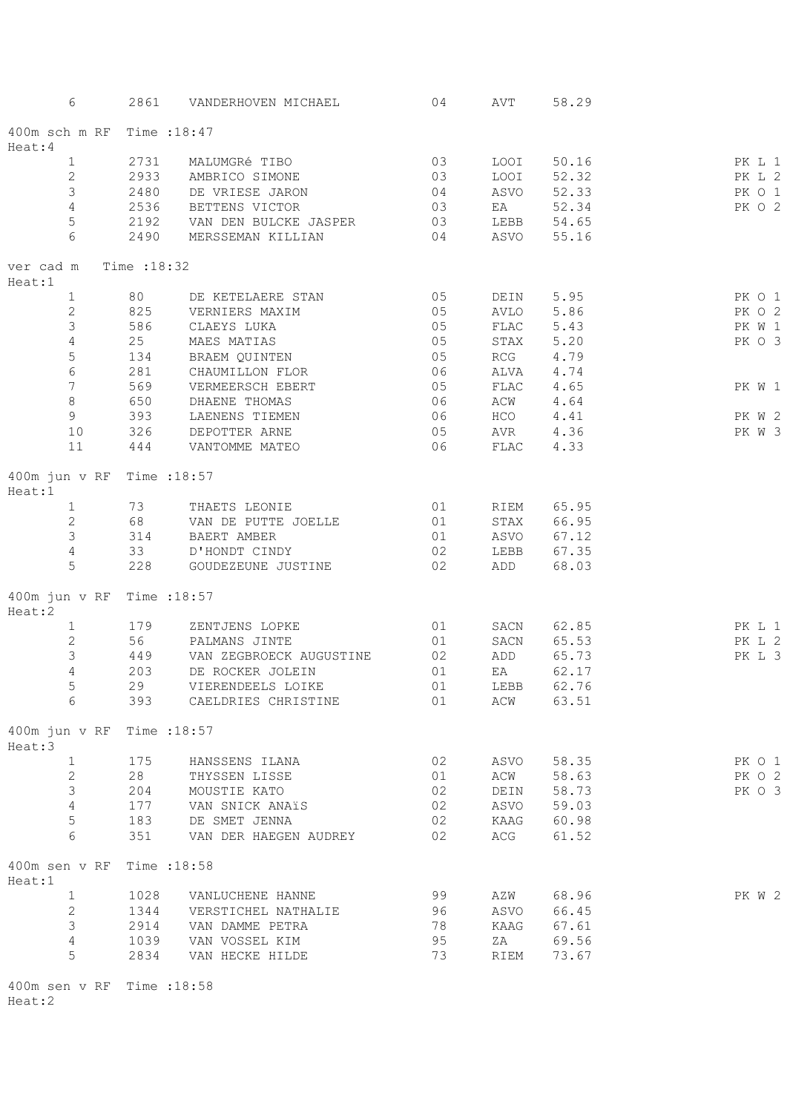| 6                          | 2861         | VANDERHOVEN MICHAEL     | 04 | AVT          | 58.29      |        |
|----------------------------|--------------|-------------------------|----|--------------|------------|--------|
| 400m sch m RF Time : 18:47 |              |                         |    |              |            |        |
| Heat:4                     |              |                         |    |              |            |        |
| $\mathbf{1}$               | 2731         | MALUMGRé TIBO           | 03 | LOOI         | 50.16      | PK L 1 |
| $\overline{c}$             | 2933         | AMBRICO SIMONE          | 03 | LOOI         | 52.32      | PK L 2 |
| 3                          | 2480         | DE VRIESE JARON         | 04 | ASVO         | 52.33      | PK 0 1 |
| $\overline{4}$             | 2536         | BETTENS VICTOR          | 03 | EA           | 52.34      | PK 0 2 |
| 5                          | 2192         | VAN DEN BULCKE JASPER   | 03 |              | LEBB 54.65 |        |
| 6                          | 2490         | MERSSEMAN KILLIAN       | 04 | ASVO         | 55.16      |        |
| ver cad m<br>Heat:1        | Time : 18:32 |                         |    |              |            |        |
| $\mathbf{1}$               | 80           | DE KETELAERE STAN       | 05 | DEIN         | 5.95       | PK 0 1 |
| $\overline{c}$             | 825          | VERNIERS MAXIM          | 05 | AVLO         | 5.86       | PK 0 2 |
| 3                          | 586          | CLAEYS LUKA             | 05 | FLAC         | 5.43       | PK W 1 |
| $\overline{4}$             | 25           | MAES MATIAS             | 05 | STAX         | 5.20       | PK 0 3 |
| $\mathsf S$                | 134          | BRAEM QUINTEN           | 05 | RCG          | 4.79       |        |
| $\epsilon$                 | 281          | CHAUMILLON FLOR         | 06 | ALVA         | 4.74       |        |
| $\overline{7}$             |              |                         |    |              |            |        |
|                            | 569          | VERMEERSCH EBERT        | 05 | FLAC         | 4.65       | PK W 1 |
| $\,8\,$                    | 650          | DHAENE THOMAS           | 06 | ACW          | 4.64       |        |
| 9                          | 393          | LAENENS TIEMEN          | 06 | HCO          | 4.41       | PK W 2 |
| $10$                       | 326          | DEPOTTER ARNE           | 05 | AVR          | 4.36       | PK W 3 |
| 11                         | 444          | VANTOMME MATEO          | 06 | ${\tt FLAC}$ | 4.33       |        |
| 400m jun v RF<br>Heat:1    | Time : 18:57 |                         |    |              |            |        |
| $1 \quad$                  | 73           | THAETS LEONIE           | 01 | RIEM         | 65.95      |        |
| $\mathbf{2}$               | 68           | VAN DE PUTTE JOELLE     | 01 | STAX         | 66.95      |        |
| $\mathfrak{Z}$             | 314          | BAERT AMBER             | 01 | ASVO         | 67.12      |        |
| $\sqrt{4}$                 | 33           | D'HONDT CINDY           | 02 | LEBB         | 67.35      |        |
| 5                          | 228          | GOUDEZEUNE JUSTINE      | 02 | ADD          | 68.03      |        |
| 400m jun v RF<br>Heat:2    | Time : 18:57 |                         |    |              |            |        |
| $\mathbf{1}$               | 179          | ZENTJENS LOPKE          | 01 | SACN         | 62.85      | PK L 1 |
| $\mathbf{2}$               | 56 10        | PALMANS JINTE           | 01 | SACN         | 65.53      | PK L 2 |
| $\mathfrak{Z}$             | 449          |                         | 02 | ADD          |            | PK L 3 |
| $\overline{4}$             |              | VAN ZEGBROECK AUGUSTINE |    |              | 65.73      |        |
|                            | 203          | DE ROCKER JOLEIN        | 01 | EA           | 62.17      |        |
| 5                          | 29           | VIERENDEELS LOIKE       | 01 |              | LEBB 62.76 |        |
| 6                          | 393          | CAELDRIES CHRISTINE     | 01 | ACW          | 63.51      |        |
| 400m jun v RF<br>Heat:3    | Time : 18:57 |                         |    |              |            |        |
| $\mathbf{1}$               | 175          | HANSSENS ILANA          | 02 | ASVO         | 58.35      | PK 0 1 |
| $\overline{2}$             | 28           | THYSSEN LISSE           | 01 | ACW          | 58.63      | PK 0 2 |
| $\mathfrak{Z}$             | 204          | MOUSTIE KATO            | 02 | DEIN         | 58.73      | PK 0 3 |
| $\overline{4}$             | 177          | VAN SNICK ANAïS         | 02 | ASVO         | 59.03      |        |
| 5                          | 183          | DE SMET JENNA           | 02 | KAAG         | 60.98      |        |
| 6                          | 351          | VAN DER HAEGEN AUDREY   | 02 | ACG          | 61.52      |        |
| 400m sen v RF<br>Heat:1    | Time : 18:58 |                         |    |              |            |        |
| $\mathbf{1}$               | 1028         | VANLUCHENE HANNE        | 99 | AZW          | 68.96      | PK W 2 |
| $\mathbf{2}$               | 1344         | VERSTICHEL NATHALIE     | 96 | ASVO         | 66.45      |        |
| $\mathfrak{Z}$             | 2914         | VAN DAMME PETRA         | 78 | KAAG         | 67.61      |        |
| $\overline{4}$             | 1039         | VAN VOSSEL KIM          | 95 | ZA           | 69.56      |        |
| 5                          | 2834         | VAN HECKE HILDE         | 73 | RIEM         | 73.67      |        |
|                            |              |                         |    |              |            |        |

400m sen v RF Time :18:58 Heat:2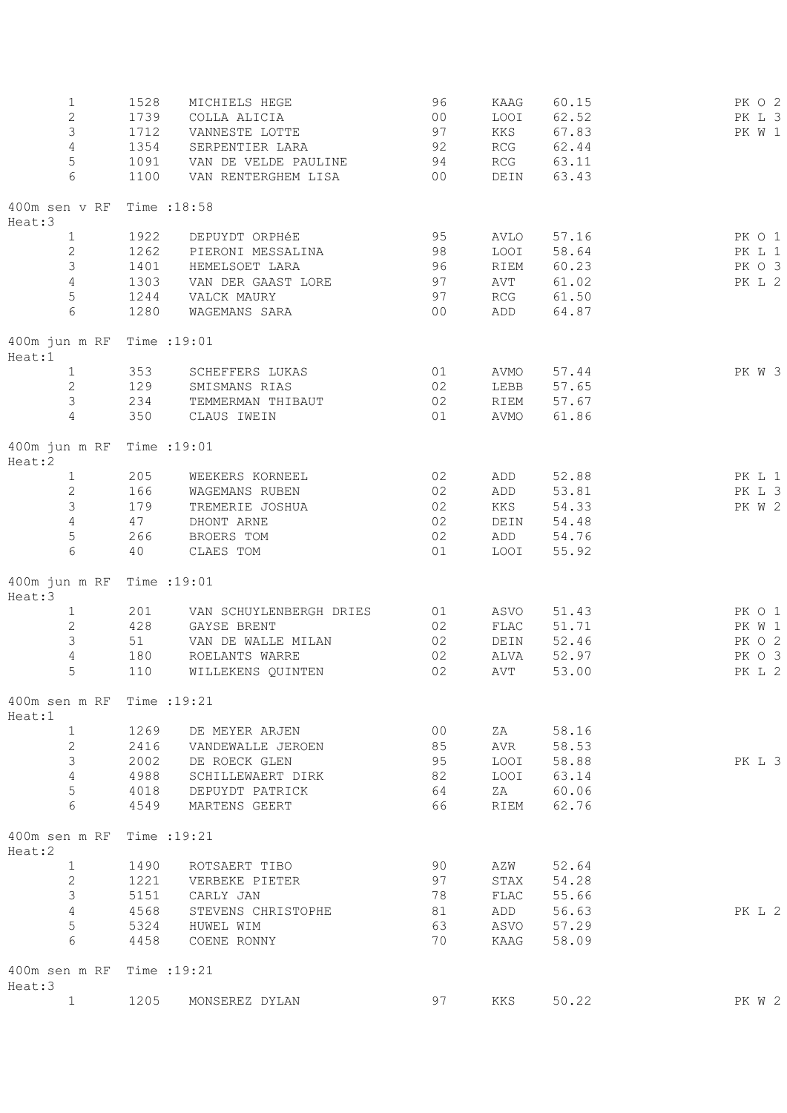| 1<br>$\overline{c}$<br>3<br>$\sqrt{4}$<br>$\mathsf S$<br>6 | 1528<br>1739<br>1712<br>1354<br>1091<br>1100 | MICHIELS HEGE<br>COLLA ALICIA<br>VANNESTE LOTTE<br>SERPENTIER LARA<br>VAN DE VELDE PAULINE<br>VAN RENTERGHEM LISA | 96<br>00<br>97<br>92<br>94<br>00 | KAAG<br>LOOI<br>KKS<br>RCG<br>RCG<br>DEIN | 60.15<br>62.52<br>67.83<br>62.44<br>63.11<br>63.43 | PK 0 2<br>PK L 3<br>PK W 1 |
|------------------------------------------------------------|----------------------------------------------|-------------------------------------------------------------------------------------------------------------------|----------------------------------|-------------------------------------------|----------------------------------------------------|----------------------------|
| 400m sen v RF Time : 18:58                                 |                                              |                                                                                                                   |                                  |                                           |                                                    |                            |
| Heat:3<br>1                                                | 1922                                         | DEPUYDT ORPHÉE                                                                                                    | 95                               | AVLO                                      | 57.16                                              | PK 0 1                     |
| $\mathbf{2}$                                               | 1262                                         | PIERONI MESSALINA                                                                                                 | 98                               | LOOI                                      | 58.64                                              | PK L 1                     |
| 3                                                          | 1401                                         | HEMELSOET LARA                                                                                                    | 96                               | RIEM                                      | 60.23                                              | PK 0 3                     |
| $\sqrt{4}$                                                 | 1303                                         | VAN DER GAAST LORE                                                                                                | 97                               | AVT                                       | 61.02                                              | PK L 2                     |
| $\mathsf S$                                                | 1244                                         | VALCK MAURY                                                                                                       | 97                               | $\mathop{\rm RCG}\nolimits$               | 61.50                                              |                            |
| 6                                                          | 1280                                         | WAGEMANS SARA                                                                                                     | 00                               | ADD                                       | 64.87                                              |                            |
| 400m jun m RF Time : 19:01<br>Heat:1                       |                                              |                                                                                                                   |                                  |                                           |                                                    |                            |
| $\mathbf{1}$                                               | 353                                          | SCHEFFERS LUKAS                                                                                                   | 01                               | AVMO                                      | 57.44                                              | PK W 3                     |
| 2                                                          | 129                                          | SMISMANS RIAS                                                                                                     | 02                               | LEBB                                      | 57.65                                              |                            |
| 3                                                          | 234                                          | TEMMERMAN THIBAUT                                                                                                 | 02                               | RIEM                                      | 57.67                                              |                            |
| $\overline{4}$                                             | 350                                          | CLAUS IWEIN                                                                                                       | 01                               | AVMO                                      | 61.86                                              |                            |
| 400m jun m RF Time : 19:01<br>Heat:2                       |                                              |                                                                                                                   |                                  |                                           |                                                    |                            |
| $\mathbf{1}$                                               | 205                                          | WEEKERS KORNEEL                                                                                                   | 02                               | ADD                                       | 52.88                                              | PK L 1                     |
| $\sqrt{2}$                                                 | 166                                          | WAGEMANS RUBEN                                                                                                    | 02                               | ADD                                       | 53.81                                              | PK L 3                     |
| $\mathsf 3$                                                | 179                                          | TREMERIE JOSHUA                                                                                                   | 02                               | KKS                                       | 54.33                                              | PK W 2                     |
| $\overline{4}$                                             | 47                                           | DHONT ARNE                                                                                                        | 02                               | DEIN                                      | 54.48                                              |                            |
| 5<br>$6\phantom{.}6$                                       | 266<br>40                                    | BROERS TOM<br>CLAES TOM                                                                                           | 02<br>01                         | ADD<br>LOOI                               | 54.76<br>55.92                                     |                            |
| 400m jun m RF Time : 19:01<br>Heat:3                       |                                              |                                                                                                                   |                                  |                                           |                                                    |                            |
| $\mathbf{1}$                                               | 201                                          | VAN SCHUYLENBERGH DRIES                                                                                           | 01                               | ASVO                                      | 51.43                                              | PK 0 1                     |
| $\sqrt{2}$                                                 | 428                                          | GAYSE BRENT                                                                                                       | 02                               | FLAC                                      | 51.71                                              | PK W 1                     |
| 3                                                          | 51                                           | VAN DE WALLE MILAN                                                                                                | 02                               | DEIN                                      | 52.46                                              | PK 0 2                     |
| $\sqrt{4}$                                                 | 180                                          | ROELANTS WARRE                                                                                                    | 02                               | ALVA                                      | 52.97                                              | PK 0 3                     |
| 5                                                          | 110                                          | WILLEKENS QUINTEN                                                                                                 | 02                               | AVT                                       | 53.00                                              | PK L 2                     |
| 400m sen m RF Time : 19:21<br>Heat:1                       |                                              |                                                                                                                   |                                  |                                           |                                                    |                            |
| $\mathbf{1}$                                               | 1269                                         | DE MEYER ARJEN                                                                                                    | 00                               | ZA                                        | 58.16                                              |                            |
| $\mathbf{2}$                                               | 2416                                         | VANDEWALLE JEROEN                                                                                                 | 85                               | AVR                                       | 58.53                                              |                            |
| 3                                                          | 2002                                         | DE ROECK GLEN                                                                                                     | 95                               |                                           | LOOI 58.88                                         | PK L 3                     |
| 4                                                          | 4988                                         | SCHILLEWAERT DIRK                                                                                                 | 82                               |                                           | LOOI 63.14                                         |                            |
| 5<br>6                                                     | 4018<br>4549                                 | DEPUYDT PATRICK<br>MARTENS GEERT                                                                                  | 64<br>66                         |                                           | ZA 60.06<br>RIEM 62.76                             |                            |
| 400m sen m RF Time : 19:21                                 |                                              |                                                                                                                   |                                  |                                           |                                                    |                            |
| Heat:2                                                     |                                              |                                                                                                                   |                                  |                                           |                                                    |                            |
| $\mathbf{1}$<br>$\mathbf{2}$                               | 1490<br>1221                                 | ROTSAERT TIBO<br>VERBEKE PIETER                                                                                   | 90<br>97                         | AZW                                       | 52.64<br>STAX 54.28                                |                            |
| 3                                                          | 5151                                         | CARLY JAN                                                                                                         | 78                               |                                           | FLAC 55.66                                         |                            |
| 4                                                          | 4568                                         | STEVENS CHRISTOPHE                                                                                                | 81                               |                                           | ADD 56.63                                          | PK L 2                     |
| 5                                                          | 5324                                         | HUWEL WIM                                                                                                         | 63                               |                                           | ASVO 57.29                                         |                            |
| 6                                                          | 4458                                         | COENE RONNY                                                                                                       | 70                               | KAAG                                      | 58.09                                              |                            |
| 400m sen m RF Time : 19:21<br>Heat:3                       |                                              |                                                                                                                   |                                  |                                           |                                                    |                            |
| $\mathbf{1}$                                               | 1205                                         | MONSEREZ DYLAN                                                                                                    | 97                               | KKS                                       | 50.22                                              | PK W 2                     |
|                                                            |                                              |                                                                                                                   |                                  |                                           |                                                    |                            |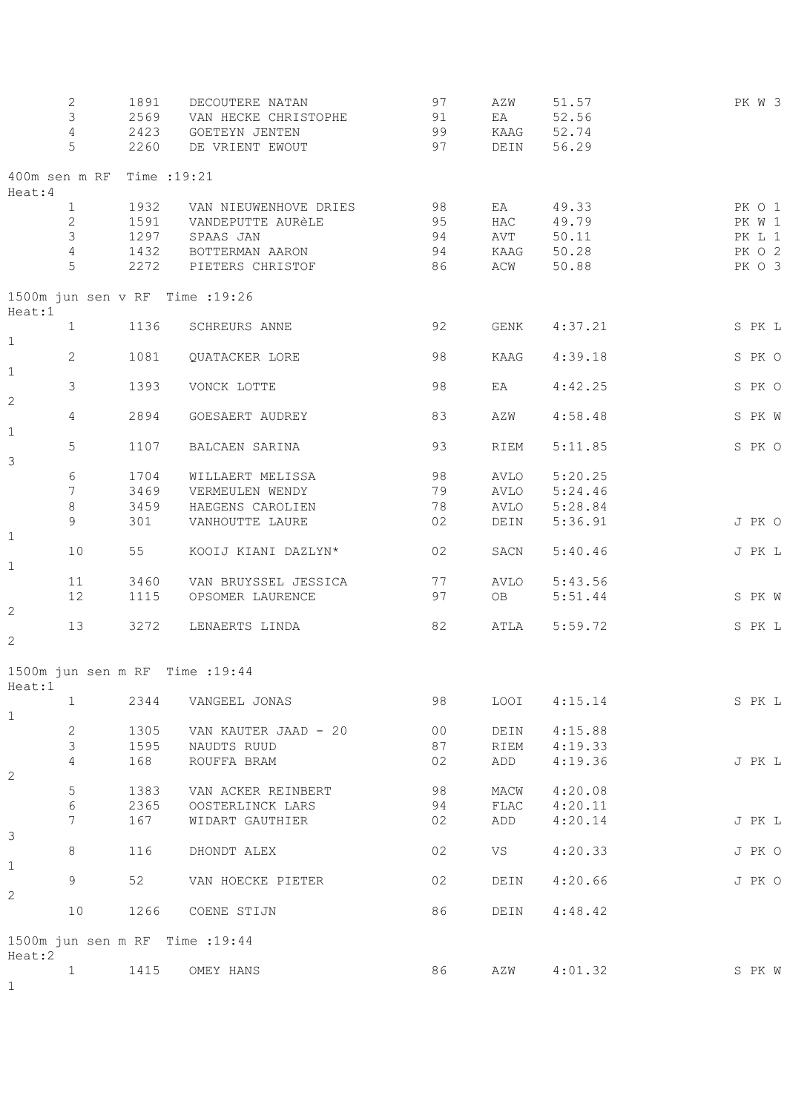|                | 2                          | 1891 | DECOUTERE NATAN                 | 97             | AZW          | 51.57   | PK W 3 |
|----------------|----------------------------|------|---------------------------------|----------------|--------------|---------|--------|
|                | $\mathsf 3$                | 2569 | VAN HECKE CHRISTOPHE            | 91             | EA           | 52.56   |        |
|                |                            |      |                                 |                |              |         |        |
|                | $\overline{4}$             | 2423 | GOETEYN JENTEN                  | 99             | KAAG         | 52.74   |        |
|                | 5                          | 2260 | DE VRIENT EWOUT                 | 97             | DEIN         | 56.29   |        |
| Heat: 4        | 400m sen m RF Time : 19:21 |      |                                 |                |              |         |        |
|                | $\mathbf{1}$               | 1932 | VAN NIEUWENHOVE DRIES           | 98             | EA           | 49.33   | PK O 1 |
|                | $\mathbf{2}$               | 1591 | VANDEPUTTE AURÈLE               | 95             | HAC          | 49.79   | PK W 1 |
|                | 3                          | 1297 | SPAAS JAN                       | 94             | AVT          | 50.11   | PK L 1 |
|                | 4                          | 1432 | BOTTERMAN AARON                 | 94             | KAAG         | 50.28   | PK O 2 |
|                | 5                          | 2272 | PIETERS CHRISTOF                | 86             | ACW          | 50.88   | PK O 3 |
|                |                            |      | 1500m jun sen v RF Time : 19:26 |                |              |         |        |
| Heat:1         | $\mathbf{1}$               | 1136 | SCHREURS ANNE                   | 92             | GENK         | 4:37.21 | S PK L |
| $1\,$          | $\mathbf{2}$               | 1081 | QUATACKER LORE                  | 98             | KAAG         | 4:39.18 | S PK O |
| $\mathbf 1$    |                            |      |                                 |                |              |         |        |
| $\mathbf{2}$   | 3                          | 1393 | VONCK LOTTE                     | 98             | EA           | 4:42.25 | S PK O |
|                |                            |      |                                 |                |              |         |        |
| $\mathbf 1$    | $\overline{4}$             | 2894 | GOESAERT AUDREY                 | 83             | AZW          | 4:58.48 | S PK W |
|                | 5                          | 1107 | BALCAEN SARINA                  | 93             | RIEM         | 5:11.85 | S PK O |
| 3              |                            |      |                                 |                |              |         |        |
|                | 6                          | 1704 | WILLAERT MELISSA                | 98             | AVLO         | 5:20.25 |        |
|                | 7                          | 3469 | VERMEULEN WENDY                 | 79             | AVLO         | 5:24.46 |        |
|                | $\,8\,$                    | 3459 | HAEGENS CAROLIEN                | 78             | AVLO         | 5:28.84 |        |
|                | 9                          | 301  | VANHOUTTE LAURE                 | 02             | DEIN         | 5:36.91 | J PK O |
| $1\,$          |                            |      |                                 |                |              |         |        |
| $\mathbf 1$    | 10                         | 55   | KOOIJ KIANI DAZLYN*             | 02             | SACN         | 5:40.46 | J PK L |
|                | 11                         | 3460 | VAN BRUYSSEL JESSICA            | 77             | AVLO         | 5:43.56 |        |
|                | 12                         | 1115 | OPSOMER LAURENCE                | 97             | OB           | 5:51.44 | S PK W |
| $\mathbf{2}$   |                            |      |                                 |                |              |         |        |
|                | 13                         | 3272 | LENAERTS LINDA                  | 82             | ATLA         | 5:59.72 | S PK L |
| $\mathbf{2}$   |                            |      |                                 |                |              |         |        |
|                |                            |      | 1500m jun sen m RF Time : 19:44 |                |              |         |        |
| Heat:1         | 1                          | 2344 | VANGEEL JONAS                   | 98             | LOOI         | 4:15.14 | S PK L |
| $\mathbf{1}$   |                            |      |                                 |                |              |         |        |
|                | $\mathbf{2}$               | 1305 | VAN KAUTER JAAD - 20            | 0 <sub>0</sub> | DEIN         | 4:15.88 |        |
|                | 3                          | 1595 | NAUDTS RUUD                     | 87             | RIEM         | 4:19.33 |        |
|                | 4                          | 168  | ROUFFA BRAM                     | 02             | ADD          | 4:19.36 | J PK L |
| $\mathbf{2}$   |                            |      |                                 |                |              |         |        |
|                | 5                          | 1383 | VAN ACKER REINBERT              | 98             | MACW         | 4:20.08 |        |
|                | $\epsilon$                 | 2365 | OOSTERLINCK LARS                | 94             | ${\tt FLAC}$ |         |        |
|                |                            |      |                                 |                |              | 4:20.11 |        |
| $\mathfrak{Z}$ | 7                          | 167  | WIDART GAUTHIER                 | 02             | ADD          | 4:20.14 | J PK L |
|                | 8                          | 116  | DHONDT ALEX                     | 02             | VS           | 4:20.33 | J PK O |
| $1\,$          |                            |      |                                 |                |              |         |        |
|                | 9                          | 52   | VAN HOECKE PIETER               | 02             | DEIN         | 4:20.66 | J PK O |
| 2              |                            |      |                                 |                |              |         |        |
|                | 10                         | 1266 | COENE STIJN                     | 86             | DEIN         | 4:48.42 |        |
|                |                            |      | 1500m jun sen m RF Time : 19:44 |                |              |         |        |
| Heat:2         |                            |      |                                 |                |              |         |        |
|                | $\mathbf{1}$               | 1415 | OMEY HANS                       | 86             | AZW          | 4:01.32 | S PK W |
| $\mathbf{1}$   |                            |      |                                 |                |              |         |        |